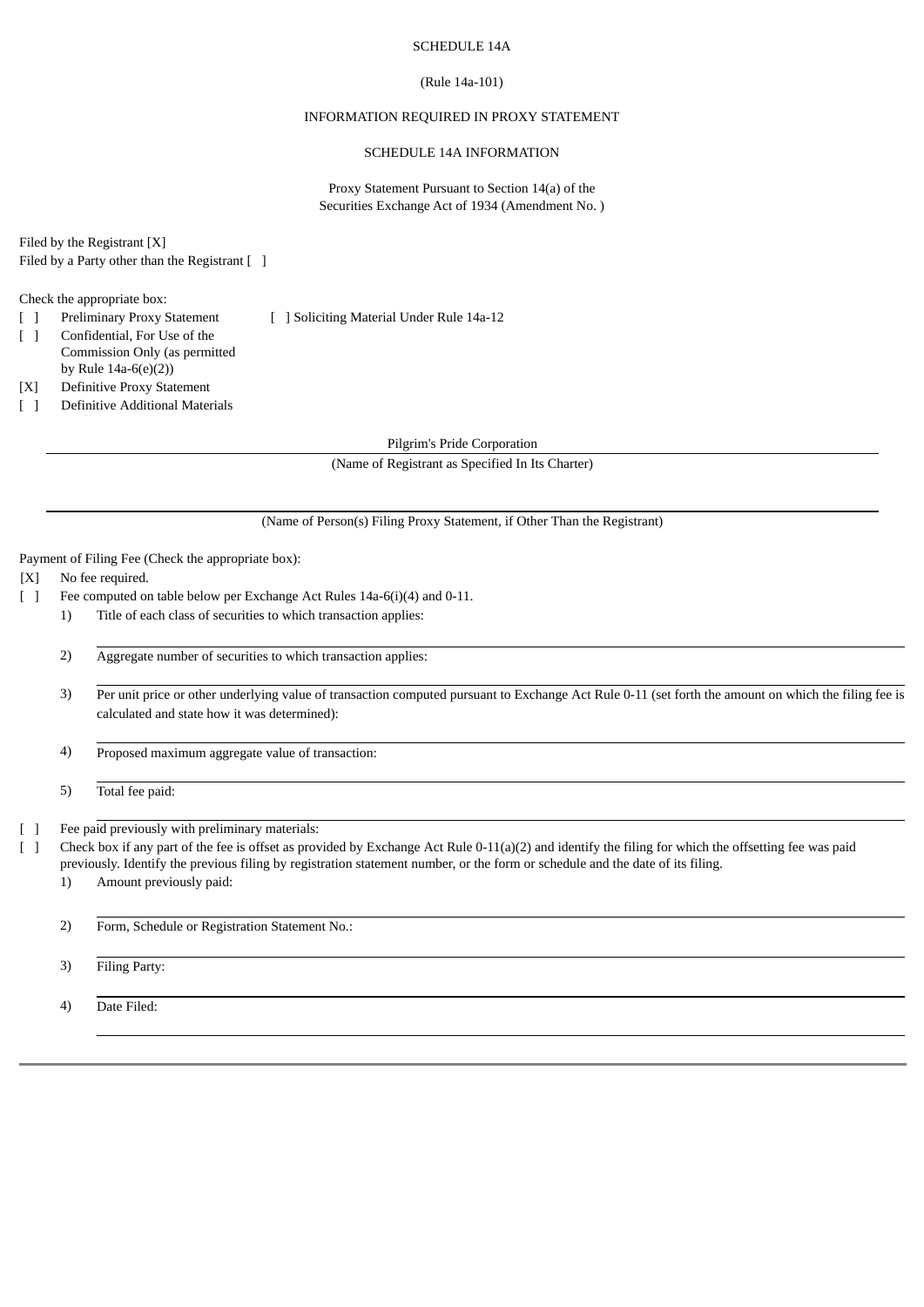### SCHEDULE 14A

### (Rule 14a-101)

### INFORMATION REQUIRED IN PROXY STATEMENT

### SCHEDULE 14A INFORMATION

Proxy Statement Pursuant to Section 14(a) of the Securities Exchange Act of 1934 (Amendment No. )

Filed by the Registrant [X] Filed by a Party other than the Registrant [ ]

Check the appropriate box:

[ ] Preliminary Proxy Statement [ ] Soliciting Material Under Rule 14a-12

- [ ] Confidential, For Use of the Commission Only (as permitted by Rule 14a-6(e)(2))
- [X] Definitive Proxy Statement
- [ ] Definitive Additional Materials

Pilgrim's Pride Corporation

(Name of Registrant as Specified In Its Charter)

(Name of Person(s) Filing Proxy Statement, if Other Than the Registrant)

Payment of Filing Fee (Check the appropriate box):

- [X] No fee required.
- [ ] Fee computed on table below per Exchange Act Rules 14a-6(i)(4) and 0-11.
	- 1) Title of each class of securities to which transaction applies:
		- 2) Aggregate number of securities to which transaction applies:
		- 3) Per unit price or other underlying value of transaction computed pursuant to Exchange Act Rule 0-11 (set forth the amount on which the filing fee is calculated and state how it was determined):

4) Proposed maximum aggregate value of transaction:

5) Total fee paid:

[ ] Fee paid previously with preliminary materials:

[ ] Check box if any part of the fee is offset as provided by Exchange Act Rule 0-11(a)(2) and identify the filing for which the offsetting fee was paid previously. Identify the previous filing by registration statement number, or the form or schedule and the date of its filing.

1) Amount previously paid:

2) Form, Schedule or Registration Statement No.:

3) Filing Party:

4) Date Filed: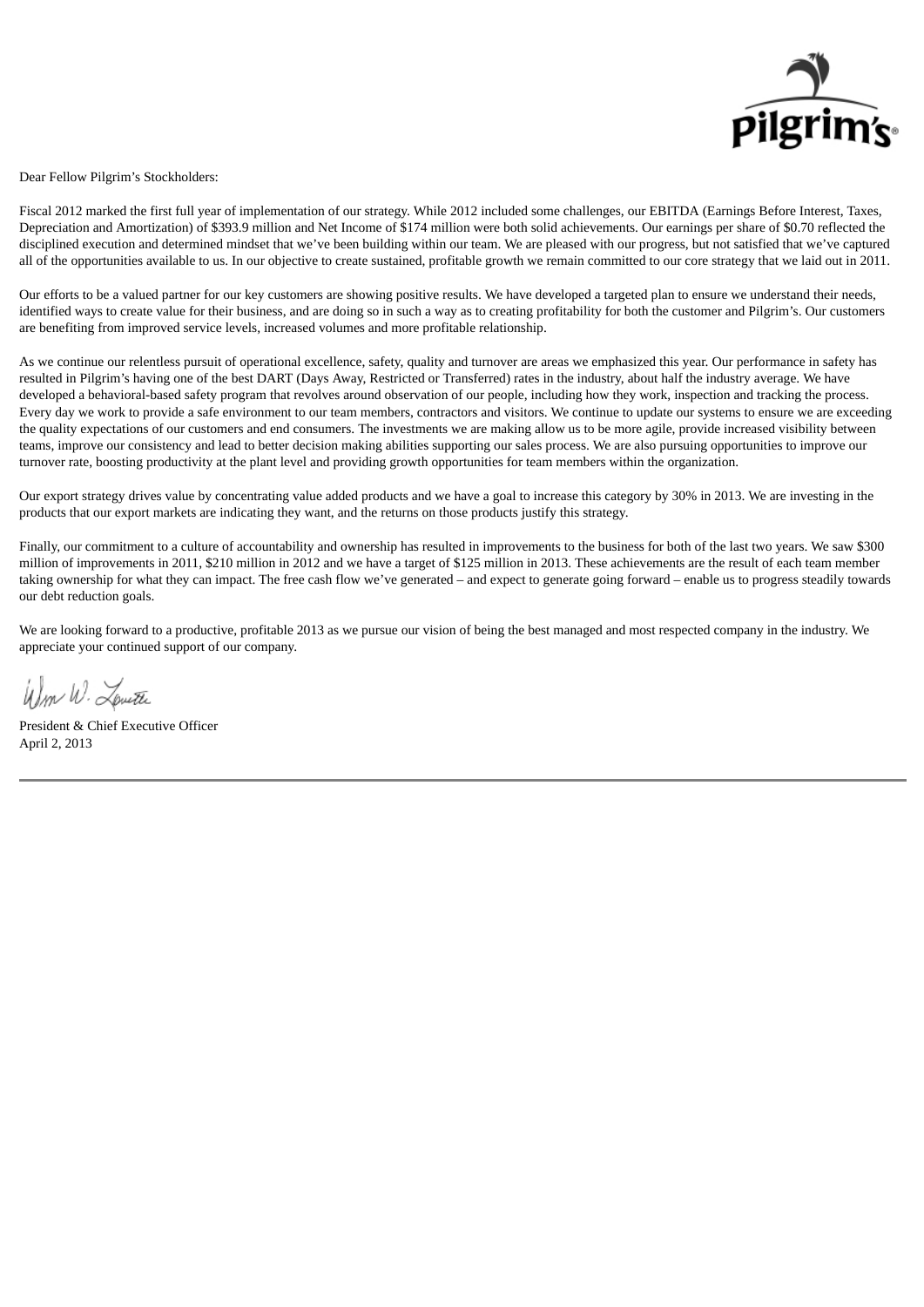

Dear Fellow Pilgrim's Stockholders:

Fiscal 2012 marked the first full year of implementation of our strategy. While 2012 included some challenges, our EBITDA (Earnings Before Interest, Taxes, Depreciation and Amortization) of \$393.9 million and Net Income of \$174 million were both solid achievements. Our earnings per share of \$0.70 reflected the disciplined execution and determined mindset that we've been building within our team. We are pleased with our progress, but not satisfied that we've captured all of the opportunities available to us. In our objective to create sustained, profitable growth we remain committed to our core strategy that we laid out in 2011.

Our efforts to be a valued partner for our key customers are showing positive results. We have developed a targeted plan to ensure we understand their needs, identified ways to create value for their business, and are doing so in such a way as to creating profitability for both the customer and Pilgrim's. Our customers are benefiting from improved service levels, increased volumes and more profitable relationship.

As we continue our relentless pursuit of operational excellence, safety, quality and turnover are areas we emphasized this year. Our performance in safety has resulted in Pilgrim's having one of the best DART (Days Away, Restricted or Transferred) rates in the industry, about half the industry average. We have developed a behavioral-based safety program that revolves around observation of our people, including how they work, inspection and tracking the process. Every day we work to provide a safe environment to our team members, contractors and visitors. We continue to update our systems to ensure we are exceeding the quality expectations of our customers and end consumers. The investments we are making allow us to be more agile, provide increased visibility between teams, improve our consistency and lead to better decision making abilities supporting our sales process. We are also pursuing opportunities to improve our turnover rate, boosting productivity at the plant level and providing growth opportunities for team members within the organization.

Our export strategy drives value by concentrating value added products and we have a goal to increase this category by 30% in 2013. We are investing in the products that our export markets are indicating they want, and the returns on those products justify this strategy.

Finally, our commitment to a culture of accountability and ownership has resulted in improvements to the business for both of the last two years. We saw \$300 million of improvements in 2011, \$210 million in 2012 and we have a target of \$125 million in 2013. These achievements are the result of each team member taking ownership for what they can impact. The free cash flow we've generated – and expect to generate going forward – enable us to progress steadily towards our debt reduction goals.

We are looking forward to a productive, profitable 2013 as we pursue our vision of being the best managed and most respected company in the industry. We appreciate your continued support of our company.

Ulm W. Lewette

President & Chief Executive Officer April 2, 2013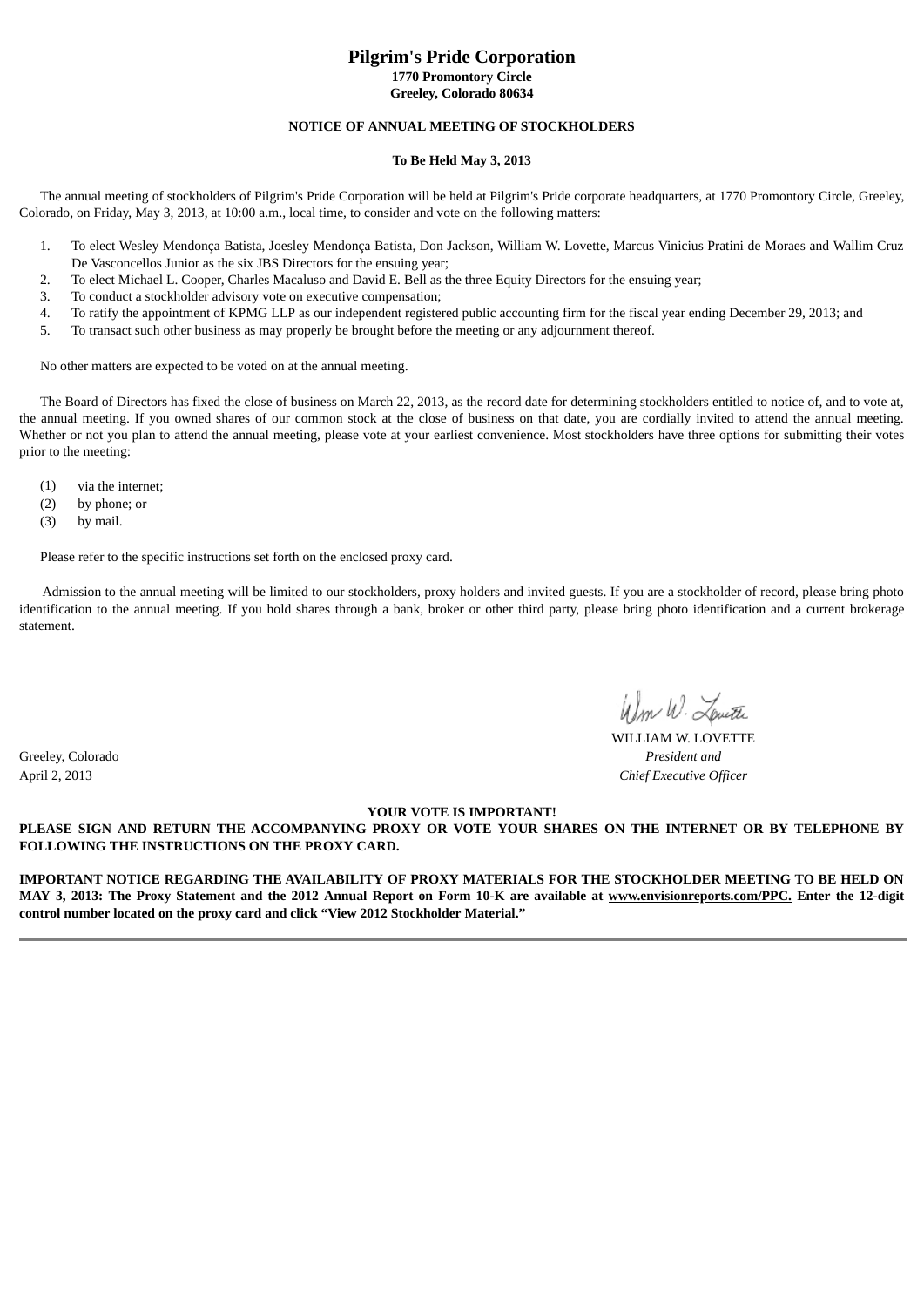# **Pilgrim's Pride Corporation 1770 Promontory Circle**

**Greeley, Colorado 80634**

### **NOTICE OF ANNUAL MEETING OF STOCKHOLDERS**

### **To Be Held May 3, 2013**

 The annual meeting of stockholders of Pilgrim's Pride Corporation will be held at Pilgrim's Pride corporate headquarters, at 1770 Promontory Circle, Greeley, Colorado, on Friday, May 3, 2013, at 10:00 a.m., local time, to consider and vote on the following matters:

- 1. To elect Wesley Mendonça Batista, Joesley Mendonça Batista, Don Jackson, William W. Lovette, Marcus Vinicius Pratini de Moraes and Wallim Cruz De Vasconcellos Junior as the six JBS Directors for the ensuing year;
- 2. To elect Michael L. Cooper, Charles Macaluso and David E. Bell as the three Equity Directors for the ensuing year;
- 3. To conduct a stockholder advisory vote on executive compensation;
- 4. To ratify the appointment of KPMG LLP as our independent registered public accounting firm for the fiscal year ending December 29, 2013; and
- 5. To transact such other business as may properly be brought before the meeting or any adjournment thereof.

No other matters are expected to be voted on at the annual meeting.

 The Board of Directors has fixed the close of business on March 22, 2013, as the record date for determining stockholders entitled to notice of, and to vote at, the annual meeting. If you owned shares of our common stock at the close of business on that date, you are cordially invited to attend the annual meeting. Whether or not you plan to attend the annual meeting, please vote at your earliest convenience. Most stockholders have three options for submitting their votes prior to the meeting:

- (1) via the internet;
- (2) by phone; or
- (3) by mail.

Please refer to the specific instructions set forth on the enclosed proxy card.

Admission to the annual meeting will be limited to our stockholders, proxy holders and invited guests. If you are a stockholder of record, please bring photo identification to the annual meeting. If you hold shares through a bank, broker or other third party, please bring photo identification and a current brokerage statement.

Ulm W. Levette

WILLIAM W. LOVETTE *President and Chief Executive Officer*

Greeley, Colorado April 2, 2013

### **YOUR VOTE IS IMPORTANT!**

**PLEASE SIGN AND RETURN THE ACCOMPANYING PROXY OR VOTE YOUR SHARES ON THE INTERNET OR BY TELEPHONE BY FOLLOWING THE INSTRUCTIONS ON THE PROXY CARD.**

**IMPORTANT NOTICE REGARDING THE AVAILABILITY OF PROXY MATERIALS FOR THE STOCKHOLDER MEETING TO BE HELD ON MAY 3, 2013: The Proxy Statement and the 2012 Annual Report on Form 10-K are available at www.envisionreports.com/PPC. Enter the 12-digit control number located on the proxy card and click "View 2012 Stockholder Material."**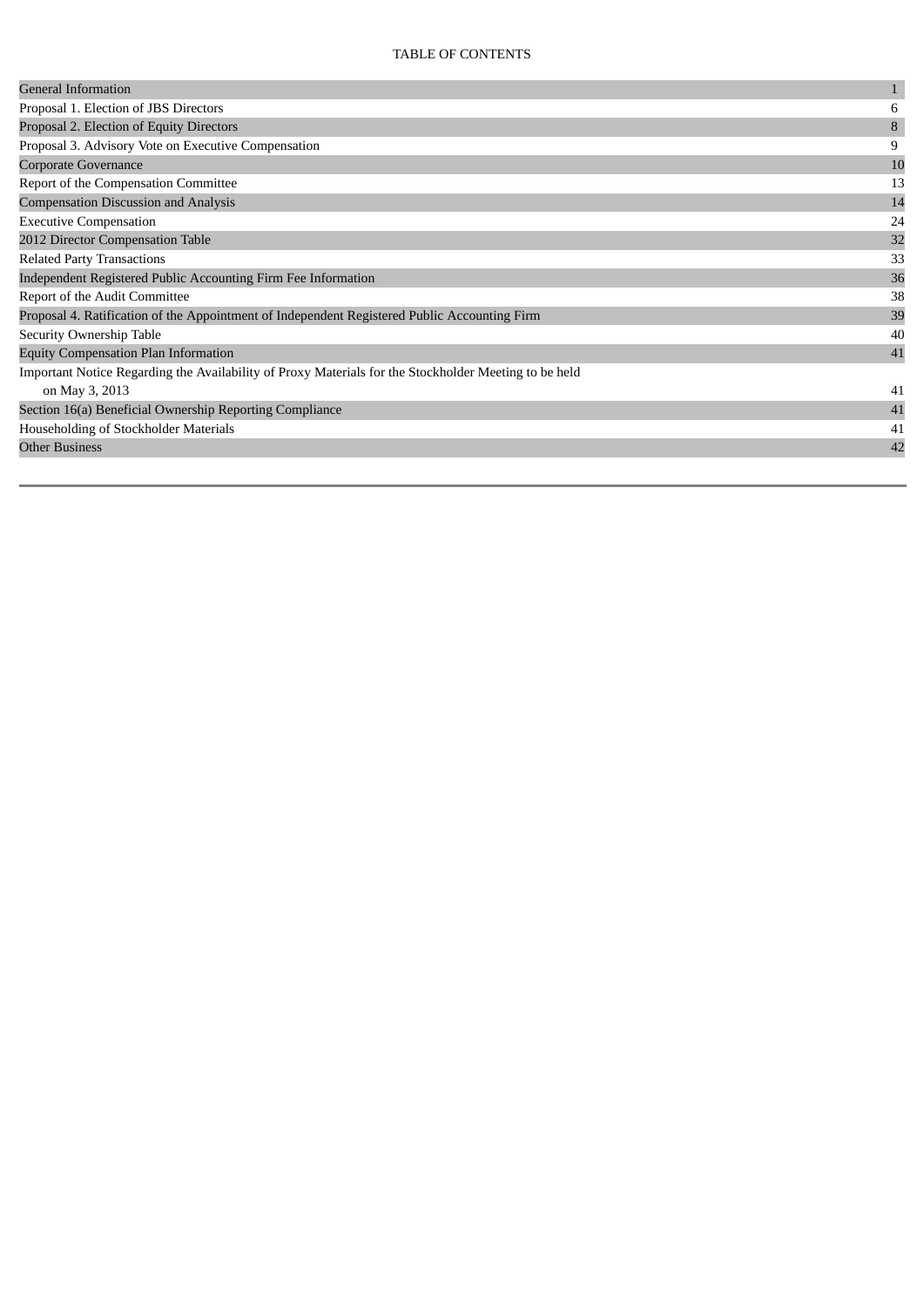| <b>General Information</b>                                                                            |        |
|-------------------------------------------------------------------------------------------------------|--------|
| Proposal 1. Election of JBS Directors                                                                 | 6      |
| Proposal 2. Election of Equity Directors                                                              | $\, 8$ |
| Proposal 3. Advisory Vote on Executive Compensation                                                   | 9      |
| Corporate Governance                                                                                  | 10     |
| Report of the Compensation Committee                                                                  | 13     |
| <b>Compensation Discussion and Analysis</b>                                                           | 14     |
| <b>Executive Compensation</b>                                                                         | 24     |
| 2012 Director Compensation Table                                                                      | 32     |
| <b>Related Party Transactions</b>                                                                     | 33     |
| Independent Registered Public Accounting Firm Fee Information                                         | 36     |
| Report of the Audit Committee                                                                         | 38     |
| Proposal 4. Ratification of the Appointment of Independent Registered Public Accounting Firm          | 39     |
| Security Ownership Table                                                                              | 40     |
| <b>Equity Compensation Plan Information</b>                                                           | 41     |
| Important Notice Regarding the Availability of Proxy Materials for the Stockholder Meeting to be held |        |
| on May 3, 2013                                                                                        | 41     |
| Section 16(a) Beneficial Ownership Reporting Compliance                                               | 41     |
| Householding of Stockholder Materials                                                                 | 41     |
| <b>Other Business</b>                                                                                 | 42     |
|                                                                                                       |        |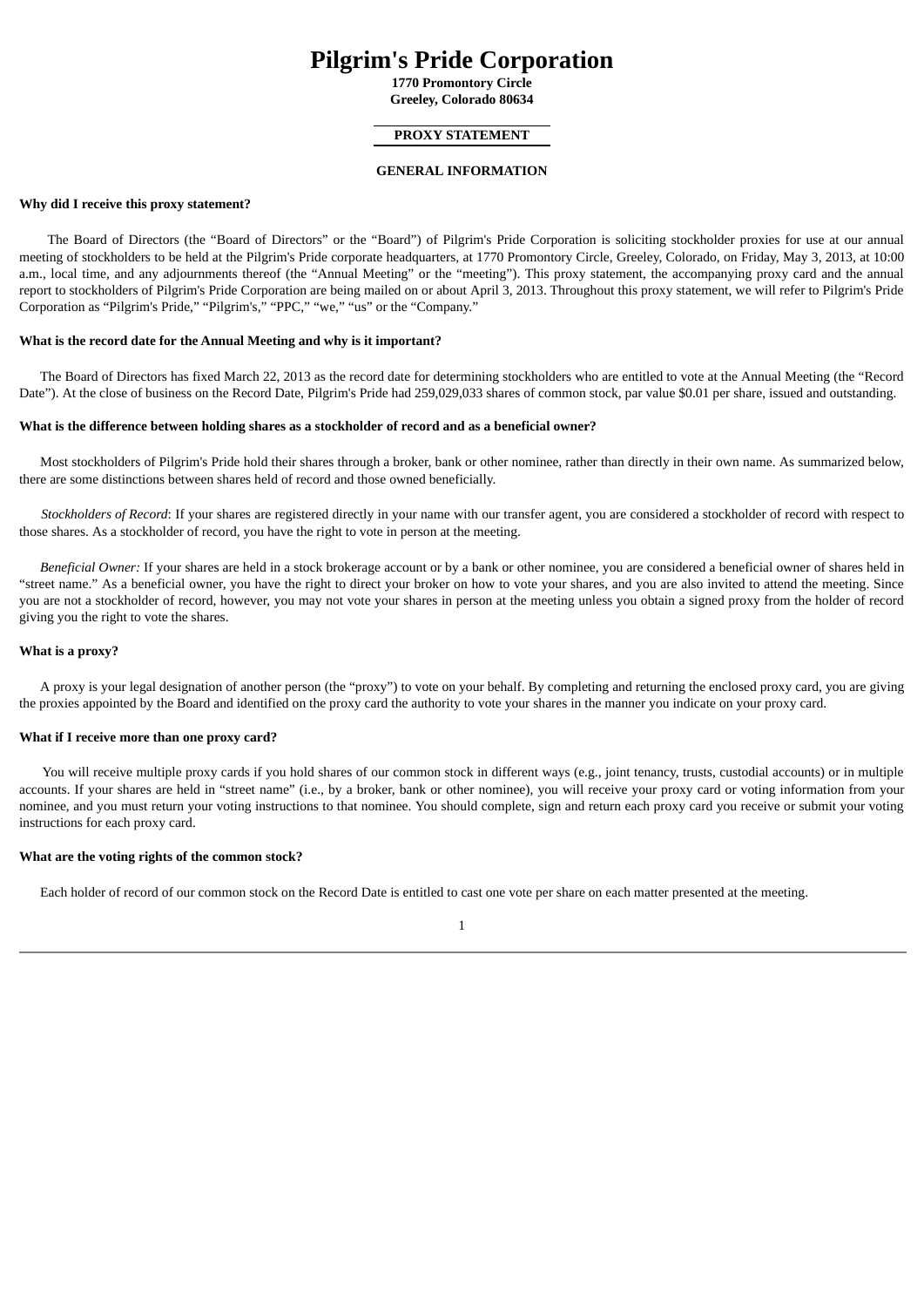# **Pilgrim's Pride Corporation**

**1770 Promontory Circle Greeley, Colorado 80634**

### **PROXY STATEMENT**

### **GENERAL INFORMATION**

#### **Why did I receive this proxy statement?**

The Board of Directors (the "Board of Directors" or the "Board") of Pilgrim's Pride Corporation is soliciting stockholder proxies for use at our annual meeting of stockholders to be held at the Pilgrim's Pride corporate headquarters, at 1770 Promontory Circle, Greeley, Colorado, on Friday, May 3, 2013, at 10:00 a.m., local time, and any adjournments thereof (the "Annual Meeting" or the "meeting"). This proxy statement, the accompanying proxy card and the annual report to stockholders of Pilgrim's Pride Corporation are being mailed on or about April 3, 2013. Throughout this proxy statement, we will refer to Pilgrim's Pride Corporation as "Pilgrim's Pride," "Pilgrim's," "PPC," "we," "us" or the "Company."

#### **What is the record date for the Annual Meeting and why is it important?**

 The Board of Directors has fixed March 22, 2013 as the record date for determining stockholders who are entitled to vote at the Annual Meeting (the "Record Date"). At the close of business on the Record Date, Pilgrim's Pride had 259,029,033 shares of common stock, par value \$0.01 per share, issued and outstanding.

#### **What is the difference between holding shares as a stockholder of record and as a beneficial owner?**

 Most stockholders of Pilgrim's Pride hold their shares through a broker, bank or other nominee, rather than directly in their own name. As summarized below, there are some distinctions between shares held of record and those owned beneficially.

*Stockholders of Record*: If your shares are registered directly in your name with our transfer agent, you are considered a stockholder of record with respect to those shares. As a stockholder of record, you have the right to vote in person at the meeting.

 *Beneficial Owner:* If your shares are held in a stock brokerage account or by a bank or other nominee, you are considered a beneficial owner of shares held in "street name." As a beneficial owner, you have the right to direct your broker on how to vote your shares, and you are also invited to attend the meeting. Since you are not a stockholder of record, however, you may not vote your shares in person at the meeting unless you obtain a signed proxy from the holder of record giving you the right to vote the shares.

#### **What is a proxy?**

 A proxy is your legal designation of another person (the "proxy") to vote on your behalf. By completing and returning the enclosed proxy card, you are giving the proxies appointed by the Board and identified on the proxy card the authority to vote your shares in the manner you indicate on your proxy card.

#### **What if I receive more than one proxy card?**

You will receive multiple proxy cards if you hold shares of our common stock in different ways (e.g., joint tenancy, trusts, custodial accounts) or in multiple accounts. If your shares are held in "street name" (i.e., by a broker, bank or other nominee), you will receive your proxy card or voting information from your nominee, and you must return your voting instructions to that nominee. You should complete, sign and return each proxy card you receive or submit your voting instructions for each proxy card.

#### **What are the voting rights of the common stock?**

Each holder of record of our common stock on the Record Date is entitled to cast one vote per share on each matter presented at the meeting.

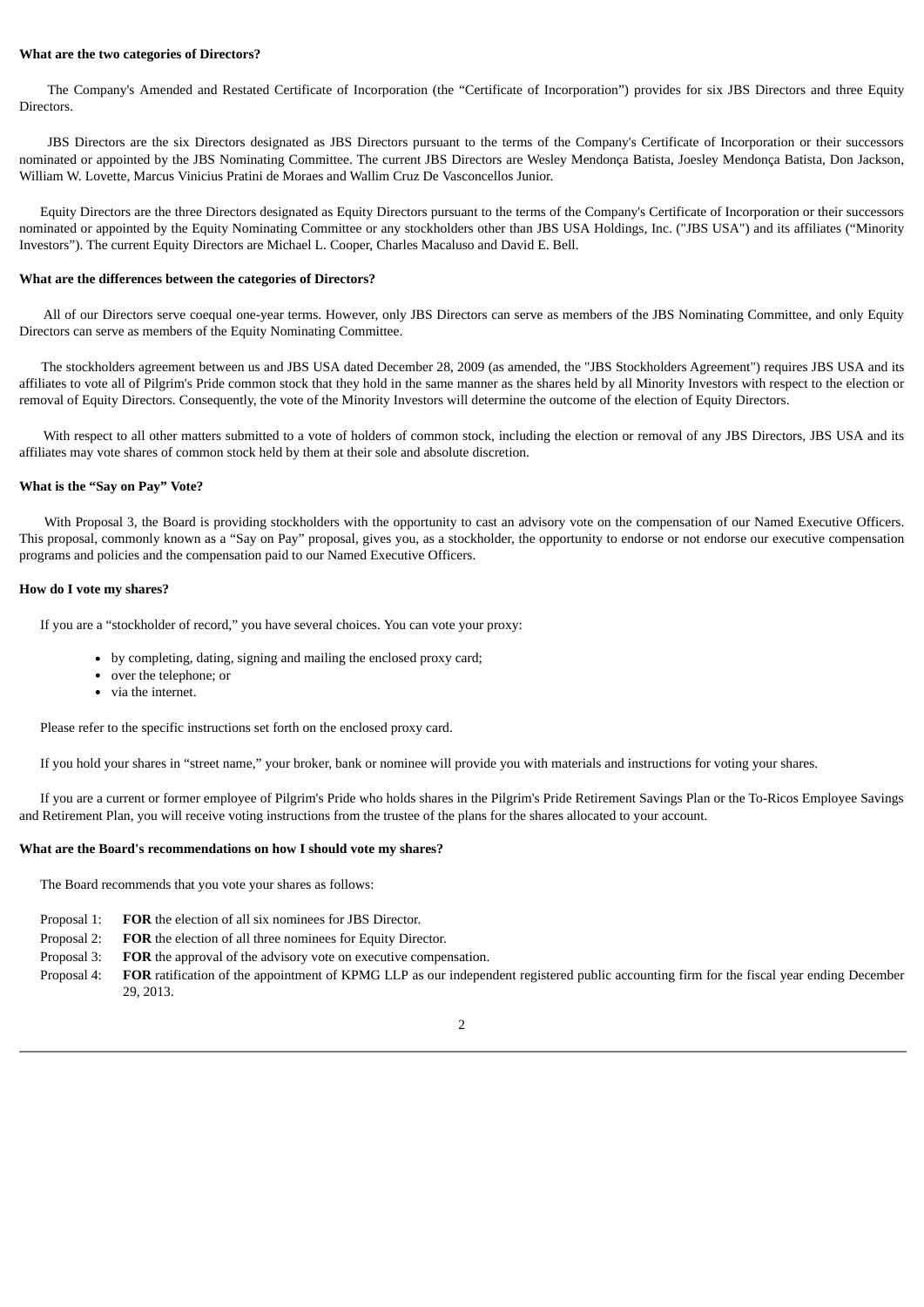#### **What are the two categories of Directors?**

The Company's Amended and Restated Certificate of Incorporation (the "Certificate of Incorporation") provides for six JBS Directors and three Equity Directors.

JBS Directors are the six Directors designated as JBS Directors pursuant to the terms of the Company's Certificate of Incorporation or their successors nominated or appointed by the JBS Nominating Committee. The current JBS Directors are Wesley Mendonça Batista, Joesley Mendonça Batista, Don Jackson, William W. Lovette, Marcus Vinicius Pratini de Moraes and Wallim Cruz De Vasconcellos Junior.

 Equity Directors are the three Directors designated as Equity Directors pursuant to the terms of the Company's Certificate of Incorporation or their successors nominated or appointed by the Equity Nominating Committee or any stockholders other than JBS USA Holdings, Inc. ("JBS USA") and its affiliates ("Minority Investors"). The current Equity Directors are Michael L. Cooper, Charles Macaluso and David E. Bell.

### **What are the differences between the categories of Directors?**

All of our Directors serve coequal one-year terms. However, only JBS Directors can serve as members of the JBS Nominating Committee, and only Equity Directors can serve as members of the Equity Nominating Committee.

The stockholders agreement between us and JBS USA dated December 28, 2009 (as amended, the "JBS Stockholders Agreement") requires JBS USA and its affiliates to vote all of Pilgrim's Pride common stock that they hold in the same manner as the shares held by all Minority Investors with respect to the election or removal of Equity Directors. Consequently, the vote of the Minority Investors will determine the outcome of the election of Equity Directors.

With respect to all other matters submitted to a vote of holders of common stock, including the election or removal of any JBS Directors, JBS USA and its affiliates may vote shares of common stock held by them at their sole and absolute discretion.

#### **What is the "Say on Pay" Vote?**

With Proposal 3, the Board is providing stockholders with the opportunity to cast an advisory vote on the compensation of our Named Executive Officers. This proposal, commonly known as a "Say on Pay" proposal, gives you, as a stockholder, the opportunity to endorse or not endorse our executive compensation programs and policies and the compensation paid to our Named Executive Officers.

### **How do I vote my shares?**

If you are a "stockholder of record," you have several choices. You can vote your proxy:

- by completing, dating, signing and mailing the enclosed proxy card;
- over the telephone; or
- via the internet.

Please refer to the specific instructions set forth on the enclosed proxy card.

If you hold your shares in "street name," your broker, bank or nominee will provide you with materials and instructions for voting your shares.

 If you are a current or former employee of Pilgrim's Pride who holds shares in the Pilgrim's Pride Retirement Savings Plan or the To-Ricos Employee Savings and Retirement Plan, you will receive voting instructions from the trustee of the plans for the shares allocated to your account.

#### **What are the Board's recommendations on how I should vote my shares?**

The Board recommends that you vote your shares as follows:

- Proposal 1: **FOR** the election of all six nominees for JBS Director.
- Proposal 2: **FOR** the election of all three nominees for Equity Director.
- Proposal 3: **FOR** the approval of the advisory vote on executive compensation.
- Proposal 4: **FOR** ratification of the appointment of KPMG LLP as our independent registered public accounting firm for the fiscal year ending December 29, 2013.

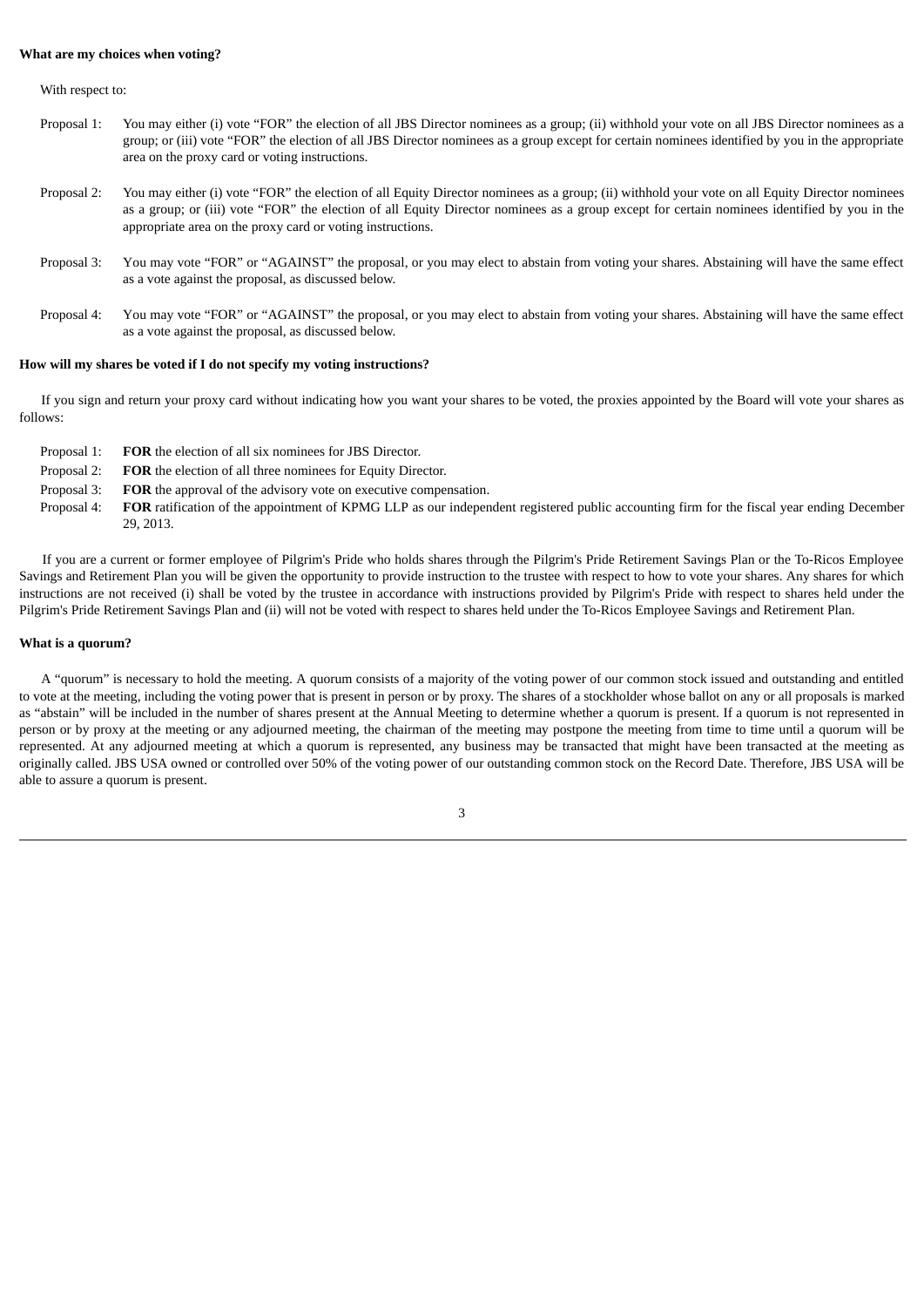#### **What are my choices when voting?**

With respect to:

| Proposal 1: | You may either (i) vote "FOR" the election of all JBS Director nominees as a group; (ii) withhold your vote on all JBS Director nominees as a<br>group; or (iii) vote "FOR" the election of all JBS Director nominees as a group except for certain nominees identified by you in the appropriate<br>area on the proxy card or voting instructions.          |
|-------------|--------------------------------------------------------------------------------------------------------------------------------------------------------------------------------------------------------------------------------------------------------------------------------------------------------------------------------------------------------------|
| Proposal 2: | You may either (i) vote "FOR" the election of all Equity Director nominees as a group; (ii) withhold your vote on all Equity Director nominees<br>as a group; or (iii) vote "FOR" the election of all Equity Director nominees as a group except for certain nominees identified by you in the<br>appropriate area on the proxy card or voting instructions. |
| Proposal 3: | You may vote "FOR" or "AGAINST" the proposal, or you may elect to abstain from voting your shares. Abstaining will have the same effect                                                                                                                                                                                                                      |

Proposal 4: You may vote "FOR" or "AGAINST" the proposal, or you may elect to abstain from voting your shares. Abstaining will have the same effect as a vote against the proposal, as discussed below.

### **How will my shares be voted if I do not specify my voting instructions?**

If you sign and return your proxy card without indicating how you want your shares to be voted, the proxies appointed by the Board will vote your shares as follows:

- Proposal 1: **FOR** the election of all six nominees for JBS Director.
- Proposal 2: **FOR** the election of all three nominees for Equity Director.

as a vote against the proposal, as discussed below.

- Proposal 3: **FOR** the approval of the advisory vote on executive compensation.
- Proposal 4: **FOR** ratification of the appointment of KPMG LLP as our independent registered public accounting firm for the fiscal year ending December 29, 2013.

If you are a current or former employee of Pilgrim's Pride who holds shares through the Pilgrim's Pride Retirement Savings Plan or the To-Ricos Employee Savings and Retirement Plan you will be given the opportunity to provide instruction to the trustee with respect to how to vote your shares. Any shares for which instructions are not received (i) shall be voted by the trustee in accordance with instructions provided by Pilgrim's Pride with respect to shares held under the Pilgrim's Pride Retirement Savings Plan and (ii) will not be voted with respect to shares held under the To-Ricos Employee Savings and Retirement Plan.

#### **What is a quorum?**

A "quorum" is necessary to hold the meeting. A quorum consists of a majority of the voting power of our common stock issued and outstanding and entitled to vote at the meeting, including the voting power that is present in person or by proxy. The shares of a stockholder whose ballot on any or all proposals is marked as "abstain" will be included in the number of shares present at the Annual Meeting to determine whether a quorum is present. If a quorum is not represented in person or by proxy at the meeting or any adjourned meeting, the chairman of the meeting may postpone the meeting from time to time until a quorum will be represented. At any adjourned meeting at which a quorum is represented, any business may be transacted that might have been transacted at the meeting as originally called. JBS USA owned or controlled over 50% of the voting power of our outstanding common stock on the Record Date. Therefore, JBS USA will be able to assure a quorum is present.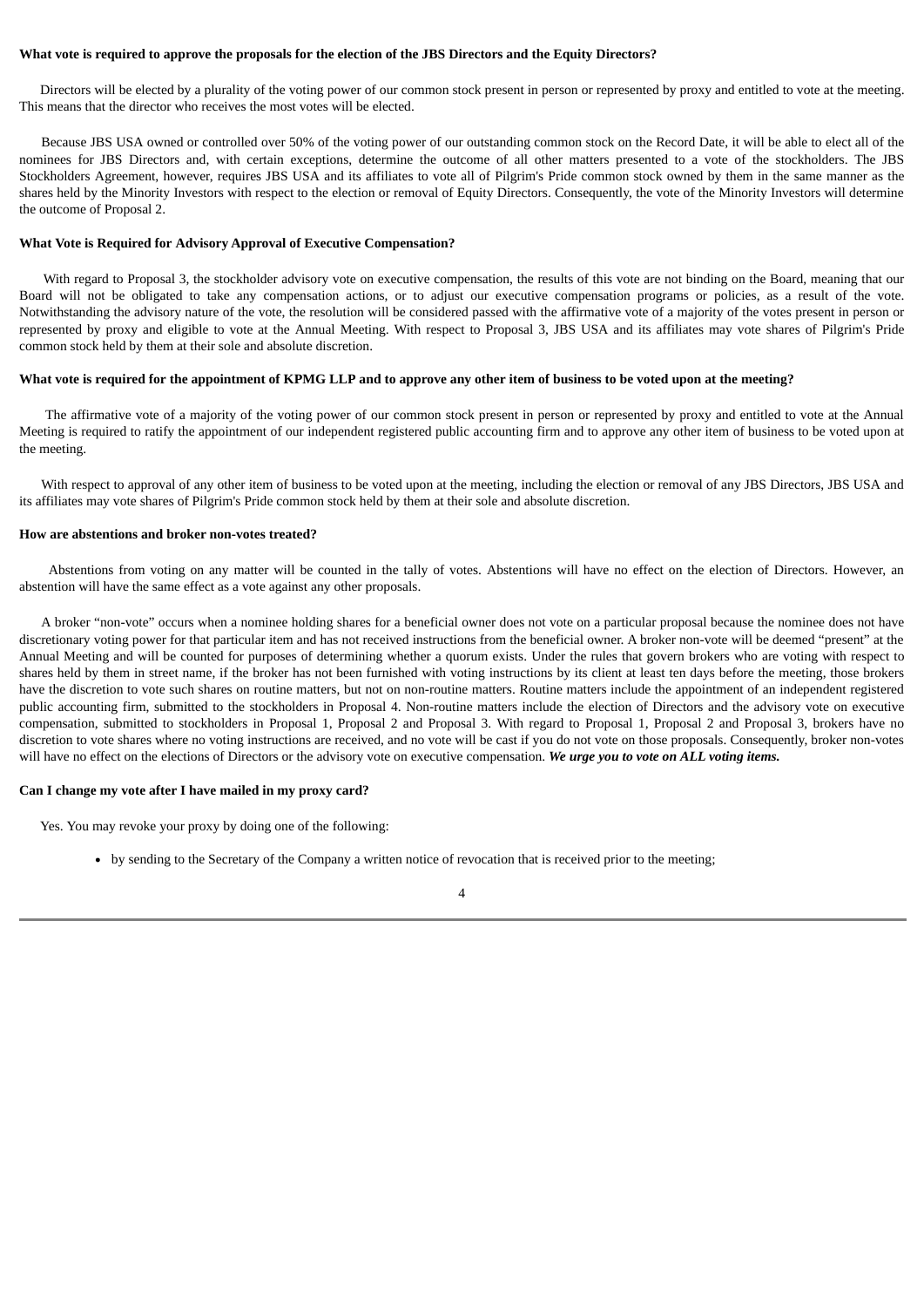#### **What vote is required to approve the proposals for the election of the JBS Directors and the Equity Directors?**

 Directors will be elected by a plurality of the voting power of our common stock present in person or represented by proxy and entitled to vote at the meeting. This means that the director who receives the most votes will be elected.

Because JBS USA owned or controlled over 50% of the voting power of our outstanding common stock on the Record Date, it will be able to elect all of the nominees for JBS Directors and, with certain exceptions, determine the outcome of all other matters presented to a vote of the stockholders. The JBS Stockholders Agreement, however, requires JBS USA and its affiliates to vote all of Pilgrim's Pride common stock owned by them in the same manner as the shares held by the Minority Investors with respect to the election or removal of Equity Directors. Consequently, the vote of the Minority Investors will determine the outcome of Proposal 2.

#### **What Vote is Required for Advisory Approval of Executive Compensation?**

With regard to Proposal 3, the stockholder advisory vote on executive compensation, the results of this vote are not binding on the Board, meaning that our Board will not be obligated to take any compensation actions, or to adjust our executive compensation programs or policies, as a result of the vote. Notwithstanding the advisory nature of the vote, the resolution will be considered passed with the affirmative vote of a majority of the votes present in person or represented by proxy and eligible to vote at the Annual Meeting. With respect to Proposal 3, JBS USA and its affiliates may vote shares of Pilgrim's Pride common stock held by them at their sole and absolute discretion.

### **What vote is required for the appointment of KPMG LLP and to approve any other item of business to be voted upon at the meeting?**

The affirmative vote of a majority of the voting power of our common stock present in person or represented by proxy and entitled to vote at the Annual Meeting is required to ratify the appointment of our independent registered public accounting firm and to approve any other item of business to be voted upon at the meeting.

With respect to approval of any other item of business to be voted upon at the meeting, including the election or removal of any JBS Directors, JBS USA and its affiliates may vote shares of Pilgrim's Pride common stock held by them at their sole and absolute discretion.

#### **How are abstentions and broker non-votes treated?**

Abstentions from voting on any matter will be counted in the tally of votes. Abstentions will have no effect on the election of Directors. However, an abstention will have the same effect as a vote against any other proposals.

A broker "non-vote" occurs when a nominee holding shares for a beneficial owner does not vote on a particular proposal because the nominee does not have discretionary voting power for that particular item and has not received instructions from the beneficial owner. A broker non-vote will be deemed "present" at the Annual Meeting and will be counted for purposes of determining whether a quorum exists. Under the rules that govern brokers who are voting with respect to shares held by them in street name, if the broker has not been furnished with voting instructions by its client at least ten days before the meeting, those brokers have the discretion to vote such shares on routine matters, but not on non-routine matters. Routine matters include the appointment of an independent registered public accounting firm, submitted to the stockholders in Proposal 4. Non-routine matters include the election of Directors and the advisory vote on executive compensation, submitted to stockholders in Proposal 1, Proposal 2 and Proposal 3. With regard to Proposal 1, Proposal 2 and Proposal 3, brokers have no discretion to vote shares where no voting instructions are received, and no vote will be cast if you do not vote on those proposals. Consequently, broker non-votes will have no effect on the elections of Directors or the advisory vote on executive compensation. *We urge you to vote on ALL voting items.*

#### **Can I change my vote after I have mailed in my proxy card?**

Yes. You may revoke your proxy by doing one of the following:

by sending to the Secretary of the Company a written notice of revocation that is received prior to the meeting;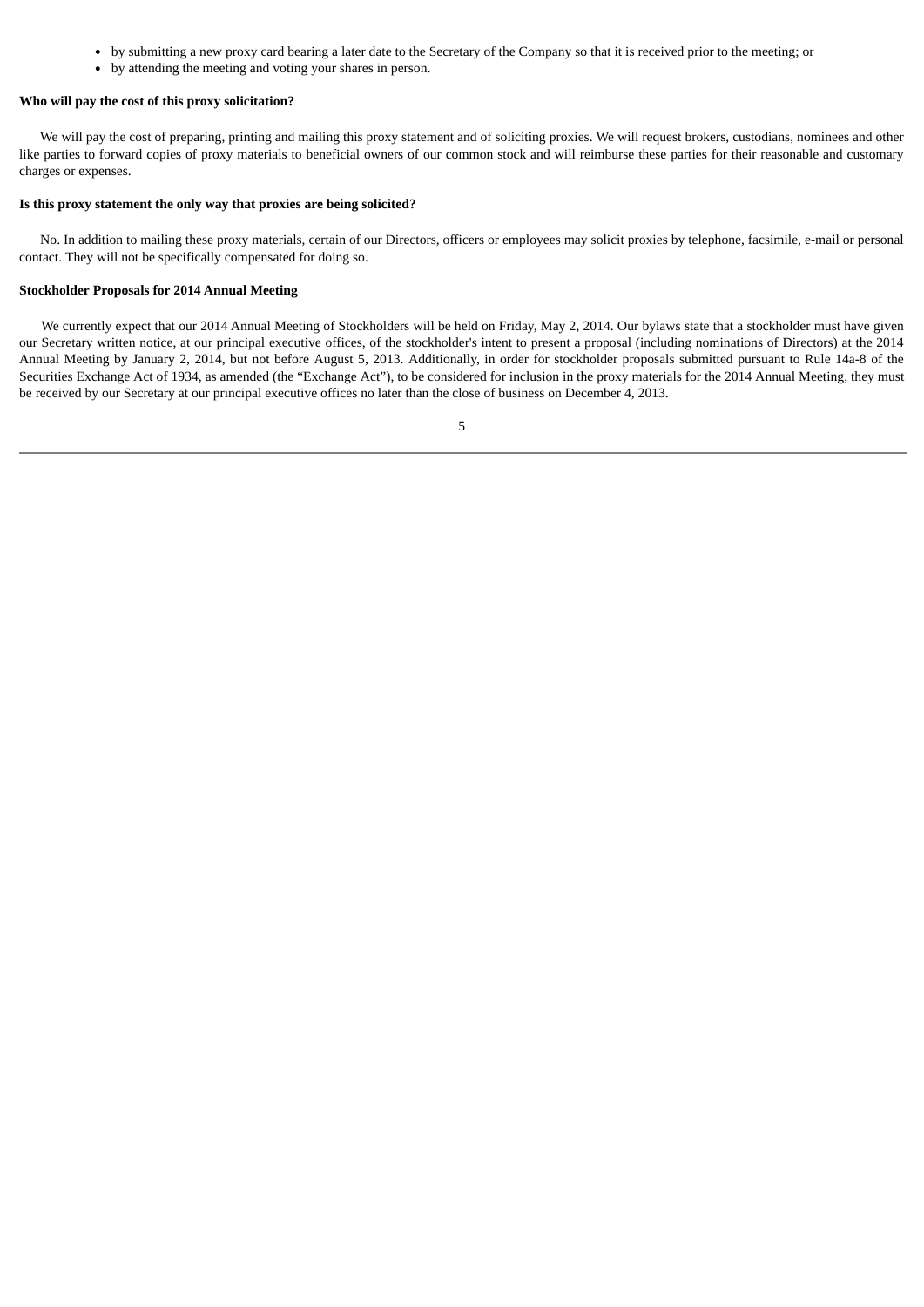- by submitting a new proxy card bearing a later date to the Secretary of the Company so that it is received prior to the meeting; or
- by attending the meeting and voting your shares in person.

### **Who will pay the cost of this proxy solicitation?**

 We will pay the cost of preparing, printing and mailing this proxy statement and of soliciting proxies. We will request brokers, custodians, nominees and other like parties to forward copies of proxy materials to beneficial owners of our common stock and will reimburse these parties for their reasonable and customary charges or expenses.

#### **Is this proxy statement the only way that proxies are being solicited?**

 No. In addition to mailing these proxy materials, certain of our Directors, officers or employees may solicit proxies by telephone, facsimile, e-mail or personal contact. They will not be specifically compensated for doing so.

#### **Stockholder Proposals for 2014 Annual Meeting**

We currently expect that our 2014 Annual Meeting of Stockholders will be held on Friday, May 2, 2014. Our bylaws state that a stockholder must have given our Secretary written notice, at our principal executive offices, of the stockholder's intent to present a proposal (including nominations of Directors) at the 2014 Annual Meeting by January 2, 2014, but not before August 5, 2013. Additionally, in order for stockholder proposals submitted pursuant to Rule 14a-8 of the Securities Exchange Act of 1934, as amended (the "Exchange Act"), to be considered for inclusion in the proxy materials for the 2014 Annual Meeting, they must be received by our Secretary at our principal executive offices no later than the close of business on December 4, 2013.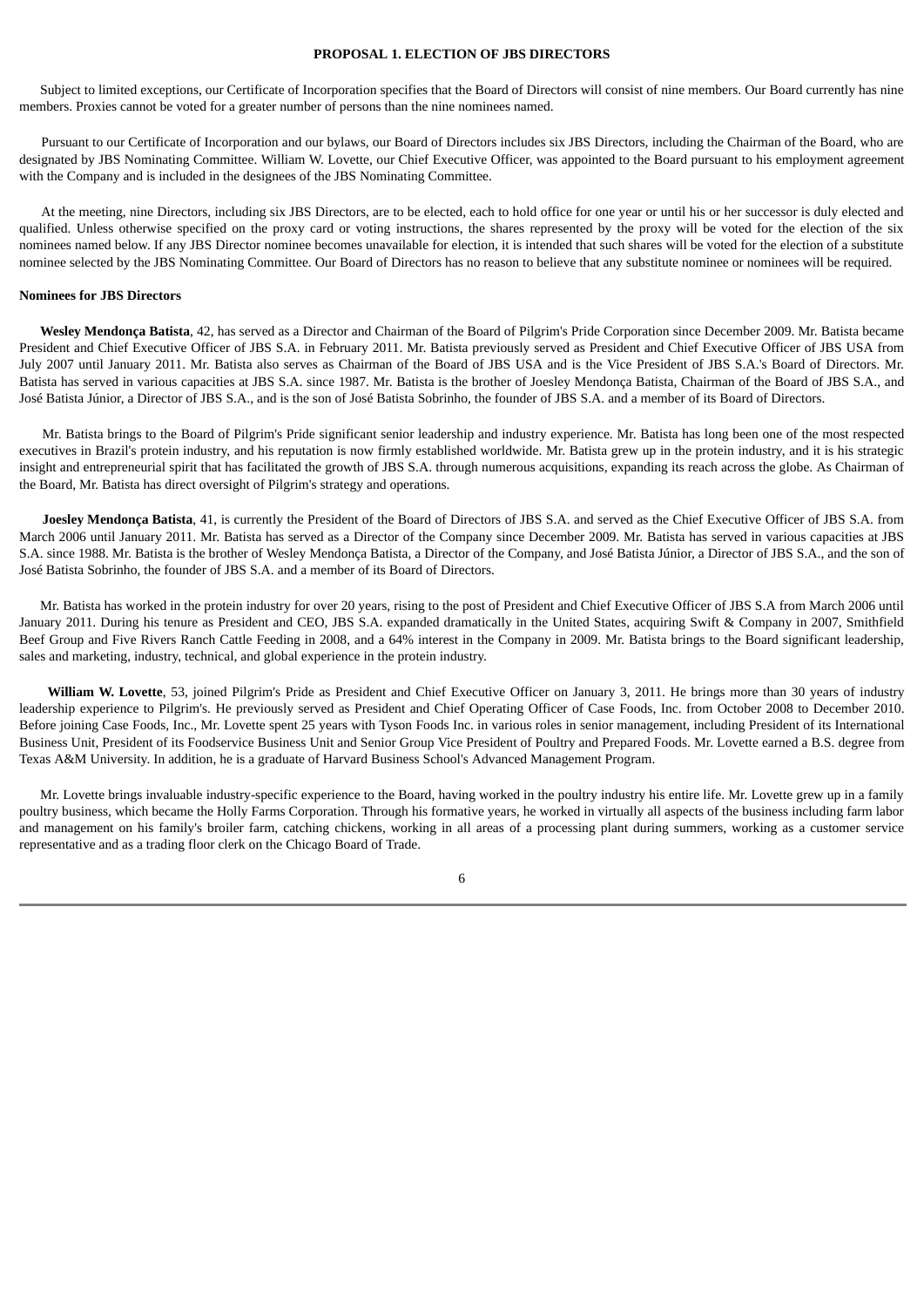### **PROPOSAL 1. ELECTION OF JBS DIRECTORS**

 Subject to limited exceptions, our Certificate of Incorporation specifies that the Board of Directors will consist of nine members. Our Board currently has nine members. Proxies cannot be voted for a greater number of persons than the nine nominees named.

Pursuant to our Certificate of Incorporation and our bylaws, our Board of Directors includes six JBS Directors, including the Chairman of the Board, who are designated by JBS Nominating Committee. William W. Lovette, our Chief Executive Officer, was appointed to the Board pursuant to his employment agreement with the Company and is included in the designees of the JBS Nominating Committee.

At the meeting, nine Directors, including six JBS Directors, are to be elected, each to hold office for one year or until his or her successor is duly elected and qualified. Unless otherwise specified on the proxy card or voting instructions, the shares represented by the proxy will be voted for the election of the six nominees named below. If any JBS Director nominee becomes unavailable for election, it is intended that such shares will be voted for the election of a substitute nominee selected by the JBS Nominating Committee. Our Board of Directors has no reason to believe that any substitute nominee or nominees will be required.

#### **Nominees for JBS Directors**

 **Wesley Mendonça Batista**, 42, has served as a Director and Chairman of the Board of Pilgrim's Pride Corporation since December 2009. Mr. Batista became President and Chief Executive Officer of JBS S.A. in February 2011. Mr. Batista previously served as President and Chief Executive Officer of JBS USA from July 2007 until January 2011. Mr. Batista also serves as Chairman of the Board of JBS USA and is the Vice President of JBS S.A.'s Board of Directors. Mr. Batista has served in various capacities at JBS S.A. since 1987. Mr. Batista is the brother of Joesley Mendonça Batista, Chairman of the Board of JBS S.A., and José Batista Júnior, a Director of JBS S.A., and is the son of José Batista Sobrinho, the founder of JBS S.A. and a member of its Board of Directors.

Mr. Batista brings to the Board of Pilgrim's Pride significant senior leadership and industry experience. Mr. Batista has long been one of the most respected executives in Brazil's protein industry, and his reputation is now firmly established worldwide. Mr. Batista grew up in the protein industry, and it is his strategic insight and entrepreneurial spirit that has facilitated the growth of JBS S.A. through numerous acquisitions, expanding its reach across the globe. As Chairman of the Board, Mr. Batista has direct oversight of Pilgrim's strategy and operations.

**Joesley Mendonça Batista**, 41, is currently the President of the Board of Directors of JBS S.A. and served as the Chief Executive Officer of JBS S.A. from March 2006 until January 2011. Mr. Batista has served as a Director of the Company since December 2009. Mr. Batista has served in various capacities at JBS S.A. since 1988. Mr. Batista is the brother of Wesley Mendonça Batista, a Director of the Company, and José Batista Júnior, a Director of JBS S.A., and the son of José Batista Sobrinho, the founder of JBS S.A. and a member of its Board of Directors.

 Mr. Batista has worked in the protein industry for over 20 years, rising to the post of President and Chief Executive Officer of JBS S.A from March 2006 until January 2011. During his tenure as President and CEO, JBS S.A. expanded dramatically in the United States, acquiring Swift & Company in 2007, Smithfield Beef Group and Five Rivers Ranch Cattle Feeding in 2008, and a 64% interest in the Company in 2009. Mr. Batista brings to the Board significant leadership, sales and marketing, industry, technical, and global experience in the protein industry.

**William W. Lovette**, 53, joined Pilgrim's Pride as President and Chief Executive Officer on January 3, 2011. He brings more than 30 years of industry leadership experience to Pilgrim's. He previously served as President and Chief Operating Officer of Case Foods, Inc. from October 2008 to December 2010. Before joining Case Foods, Inc., Mr. Lovette spent 25 years with Tyson Foods Inc. in various roles in senior management, including President of its International Business Unit, President of its Foodservice Business Unit and Senior Group Vice President of Poultry and Prepared Foods. Mr. Lovette earned a B.S. degree from Texas A&M University. In addition, he is a graduate of Harvard Business School's Advanced Management Program.

 Mr. Lovette brings invaluable industry-specific experience to the Board, having worked in the poultry industry his entire life. Mr. Lovette grew up in a family poultry business, which became the Holly Farms Corporation. Through his formative years, he worked in virtually all aspects of the business including farm labor and management on his family's broiler farm, catching chickens, working in all areas of a processing plant during summers, working as a customer service representative and as a trading floor clerk on the Chicago Board of Trade.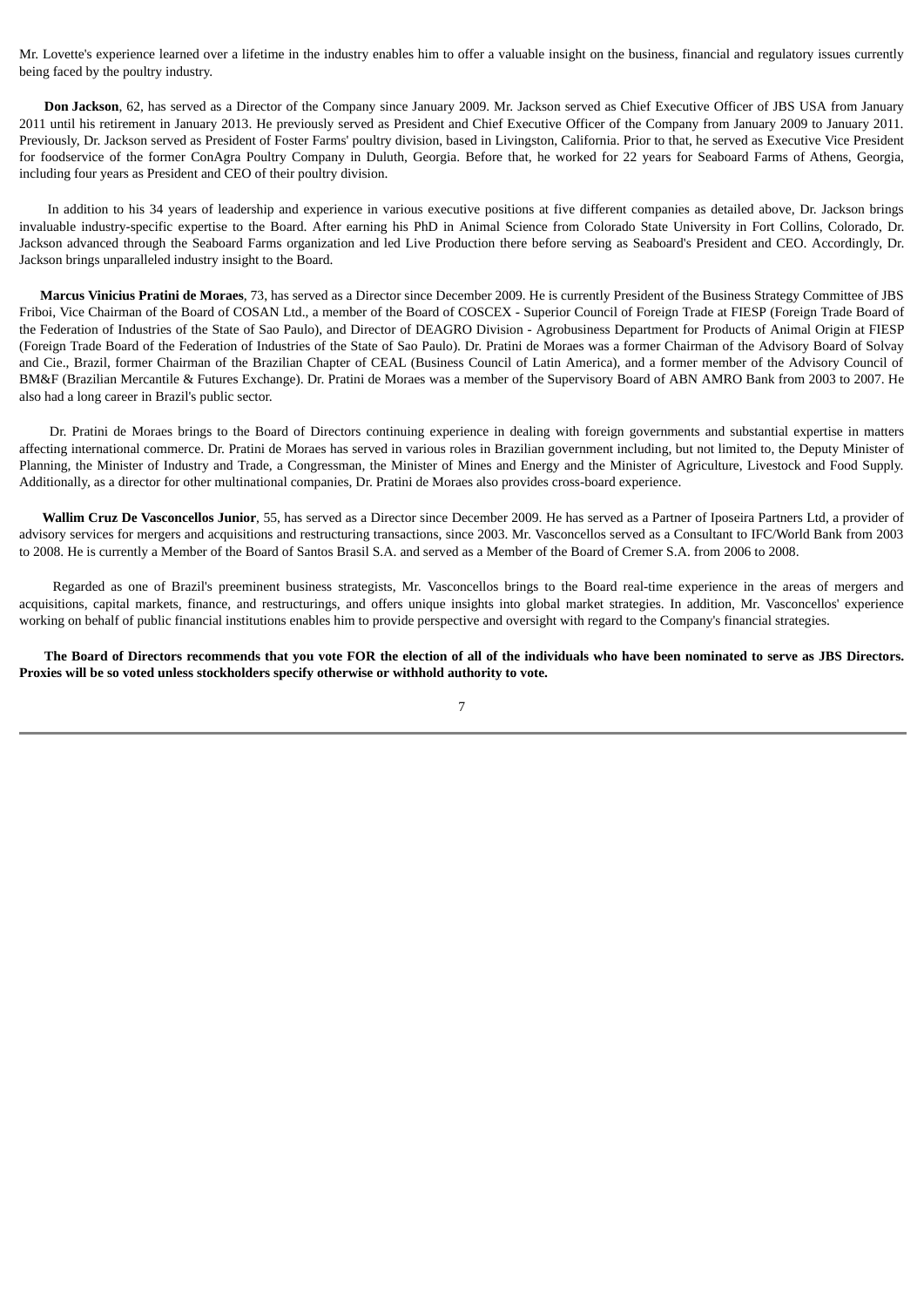Mr. Lovette's experience learned over a lifetime in the industry enables him to offer a valuable insight on the business, financial and regulatory issues currently being faced by the poultry industry.

**Don Jackson**, 62, has served as a Director of the Company since January 2009. Mr. Jackson served as Chief Executive Officer of JBS USA from January 2011 until his retirement in January 2013. He previously served as President and Chief Executive Officer of the Company from January 2009 to January 2011. Previously, Dr. Jackson served as President of Foster Farms' poultry division, based in Livingston, California. Prior to that, he served as Executive Vice President for foodservice of the former ConAgra Poultry Company in Duluth, Georgia. Before that, he worked for 22 years for Seaboard Farms of Athens, Georgia, including four years as President and CEO of their poultry division.

In addition to his 34 years of leadership and experience in various executive positions at five different companies as detailed above, Dr. Jackson brings invaluable industry-specific expertise to the Board. After earning his PhD in Animal Science from Colorado State University in Fort Collins, Colorado, Dr. Jackson advanced through the Seaboard Farms organization and led Live Production there before serving as Seaboard's President and CEO. Accordingly, Dr. Jackson brings unparalleled industry insight to the Board.

 **Marcus Vinicius Pratini de Moraes**, 73, has served as a Director since December 2009. He is currently President of the Business Strategy Committee of JBS Friboi, Vice Chairman of the Board of COSAN Ltd., a member of the Board of COSCEX - Superior Council of Foreign Trade at FIESP (Foreign Trade Board of the Federation of Industries of the State of Sao Paulo), and Director of DEAGRO Division - Agrobusiness Department for Products of Animal Origin at FIESP (Foreign Trade Board of the Federation of Industries of the State of Sao Paulo). Dr. Pratini de Moraes was a former Chairman of the Advisory Board of Solvay and Cie., Brazil, former Chairman of the Brazilian Chapter of CEAL (Business Council of Latin America), and a former member of the Advisory Council of BM&F (Brazilian Mercantile & Futures Exchange). Dr. Pratini de Moraes was a member of the Supervisory Board of ABN AMRO Bank from 2003 to 2007. He also had a long career in Brazil's public sector.

Dr. Pratini de Moraes brings to the Board of Directors continuing experience in dealing with foreign governments and substantial expertise in matters affecting international commerce. Dr. Pratini de Moraes has served in various roles in Brazilian government including, but not limited to, the Deputy Minister of Planning, the Minister of Industry and Trade, a Congressman, the Minister of Mines and Energy and the Minister of Agriculture, Livestock and Food Supply. Additionally, as a director for other multinational companies, Dr. Pratini de Moraes also provides cross-board experience.

**Wallim Cruz De Vasconcellos Junior**, 55, has served as a Director since December 2009. He has served as a Partner of Iposeira Partners Ltd, a provider of advisory services for mergers and acquisitions and restructuring transactions, since 2003. Mr. Vasconcellos served as a Consultant to IFC/World Bank from 2003 to 2008. He is currently a Member of the Board of Santos Brasil S.A. and served as a Member of the Board of Cremer S.A. from 2006 to 2008.

Regarded as one of Brazil's preeminent business strategists, Mr. Vasconcellos brings to the Board real-time experience in the areas of mergers and acquisitions, capital markets, finance, and restructurings, and offers unique insights into global market strategies. In addition, Mr. Vasconcellos' experience working on behalf of public financial institutions enables him to provide perspective and oversight with regard to the Company's financial strategies.

**The Board of Directors recommends that you vote FOR the election of all of the individuals who have been nominated to serve as JBS Directors. Proxies will be so voted unless stockholders specify otherwise or withhold authority to vote.**

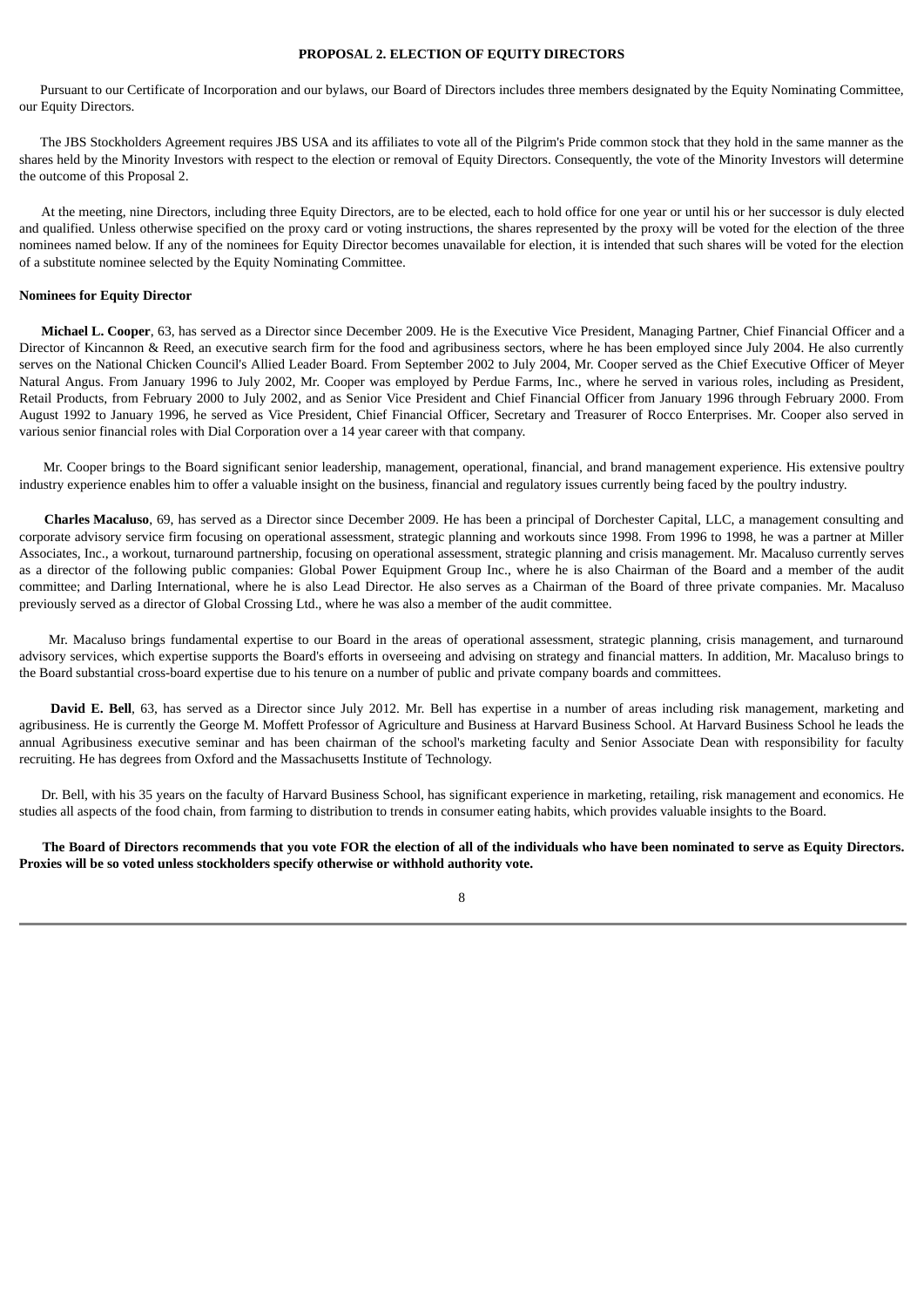#### **PROPOSAL 2. ELECTION OF EQUITY DIRECTORS**

 Pursuant to our Certificate of Incorporation and our bylaws, our Board of Directors includes three members designated by the Equity Nominating Committee, our Equity Directors.

 The JBS Stockholders Agreement requires JBS USA and its affiliates to vote all of the Pilgrim's Pride common stock that they hold in the same manner as the shares held by the Minority Investors with respect to the election or removal of Equity Directors. Consequently, the vote of the Minority Investors will determine the outcome of this Proposal 2.

At the meeting, nine Directors, including three Equity Directors, are to be elected, each to hold office for one year or until his or her successor is duly elected and qualified. Unless otherwise specified on the proxy card or voting instructions, the shares represented by the proxy will be voted for the election of the three nominees named below. If any of the nominees for Equity Director becomes unavailable for election, it is intended that such shares will be voted for the election of a substitute nominee selected by the Equity Nominating Committee.

### **Nominees for Equity Director**

**Michael L. Cooper**, 63, has served as a Director since December 2009. He is the Executive Vice President, Managing Partner, Chief Financial Officer and a Director of Kincannon & Reed, an executive search firm for the food and agribusiness sectors, where he has been employed since July 2004. He also currently serves on the National Chicken Council's Allied Leader Board. From September 2002 to July 2004, Mr. Cooper served as the Chief Executive Officer of Meyer Natural Angus. From January 1996 to July 2002, Mr. Cooper was employed by Perdue Farms, Inc., where he served in various roles, including as President, Retail Products, from February 2000 to July 2002, and as Senior Vice President and Chief Financial Officer from January 1996 through February 2000. From August 1992 to January 1996, he served as Vice President, Chief Financial Officer, Secretary and Treasurer of Rocco Enterprises. Mr. Cooper also served in various senior financial roles with Dial Corporation over a 14 year career with that company.

Mr. Cooper brings to the Board significant senior leadership, management, operational, financial, and brand management experience. His extensive poultry industry experience enables him to offer a valuable insight on the business, financial and regulatory issues currently being faced by the poultry industry.

**Charles Macaluso**, 69, has served as a Director since December 2009. He has been a principal of Dorchester Capital, LLC, a management consulting and corporate advisory service firm focusing on operational assessment, strategic planning and workouts since 1998. From 1996 to 1998, he was a partner at Miller Associates, Inc., a workout, turnaround partnership, focusing on operational assessment, strategic planning and crisis management. Mr. Macaluso currently serves as a director of the following public companies: Global Power Equipment Group Inc., where he is also Chairman of the Board and a member of the audit committee; and Darling International, where he is also Lead Director. He also serves as a Chairman of the Board of three private companies. Mr. Macaluso previously served as a director of Global Crossing Ltd., where he was also a member of the audit committee.

Mr. Macaluso brings fundamental expertise to our Board in the areas of operational assessment, strategic planning, crisis management, and turnaround advisory services, which expertise supports the Board's efforts in overseeing and advising on strategy and financial matters. In addition, Mr. Macaluso brings to the Board substantial cross-board expertise due to his tenure on a number of public and private company boards and committees.

**David E. Bell**, 63, has served as a Director since July 2012. Mr. Bell has expertise in a number of areas including risk management, marketing and agribusiness. He is currently the George M. Moffett Professor of Agriculture and Business at Harvard Business School. At Harvard Business School he leads the annual Agribusiness executive seminar and has been chairman of the school's marketing faculty and Senior Associate Dean with responsibility for faculty recruiting. He has degrees from Oxford and the Massachusetts Institute of Technology.

Dr. Bell, with his 35 years on the faculty of Harvard Business School, has significant experience in marketing, retailing, risk management and economics. He studies all aspects of the food chain, from farming to distribution to trends in consumer eating habits, which provides valuable insights to the Board.

**The Board of Directors recommends that you vote FOR the election of all of the individuals who have been nominated to serve as Equity Directors. Proxies will be so voted unless stockholders specify otherwise or withhold authority vote.**

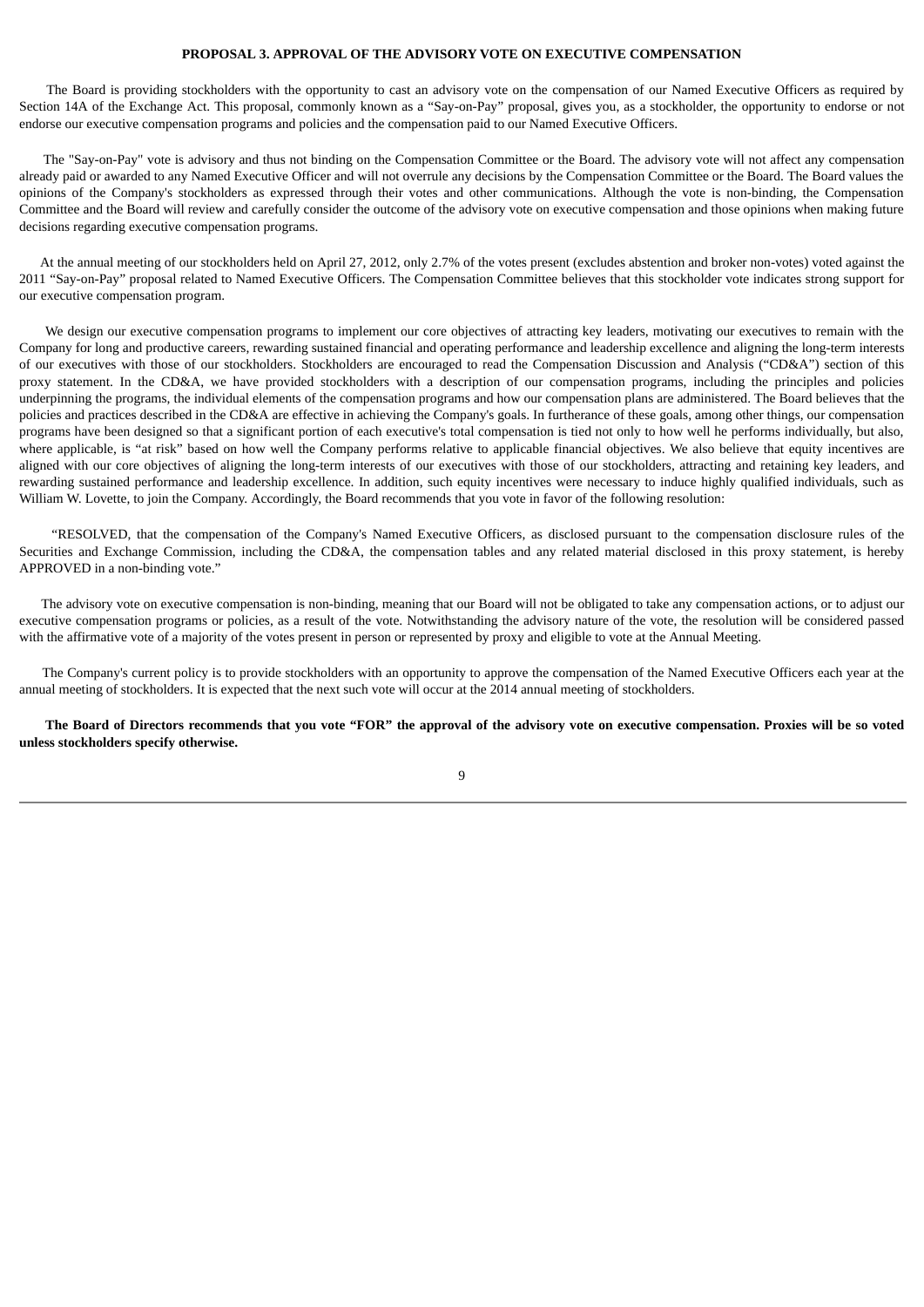### **PROPOSAL 3. APPROVAL OF THE ADVISORY VOTE ON EXECUTIVE COMPENSATION**

The Board is providing stockholders with the opportunity to cast an advisory vote on the compensation of our Named Executive Officers as required by Section 14A of the Exchange Act. This proposal, commonly known as a "Say-on-Pay" proposal, gives you, as a stockholder, the opportunity to endorse or not endorse our executive compensation programs and policies and the compensation paid to our Named Executive Officers.

The "Say-on-Pay" vote is advisory and thus not binding on the Compensation Committee or the Board. The advisory vote will not affect any compensation already paid or awarded to any Named Executive Officer and will not overrule any decisions by the Compensation Committee or the Board. The Board values the opinions of the Company's stockholders as expressed through their votes and other communications. Although the vote is non-binding, the Compensation Committee and the Board will review and carefully consider the outcome of the advisory vote on executive compensation and those opinions when making future decisions regarding executive compensation programs.

 At the annual meeting of our stockholders held on April 27, 2012, only 2.7% of the votes present (excludes abstention and broker non-votes) voted against the 2011 "Say-on-Pay" proposal related to Named Executive Officers. The Compensation Committee believes that this stockholder vote indicates strong support for our executive compensation program.

We design our executive compensation programs to implement our core objectives of attracting key leaders, motivating our executives to remain with the Company for long and productive careers, rewarding sustained financial and operating performance and leadership excellence and aligning the long-term interests of our executives with those of our stockholders. Stockholders are encouraged to read the Compensation Discussion and Analysis ("CD&A") section of this proxy statement. In the CD&A, we have provided stockholders with a description of our compensation programs, including the principles and policies underpinning the programs, the individual elements of the compensation programs and how our compensation plans are administered. The Board believes that the policies and practices described in the CD&A are effective in achieving the Company's goals. In furtherance of these goals, among other things, our compensation programs have been designed so that a significant portion of each executive's total compensation is tied not only to how well he performs individually, but also, where applicable, is "at risk" based on how well the Company performs relative to applicable financial objectives. We also believe that equity incentives are aligned with our core objectives of aligning the long-term interests of our executives with those of our stockholders, attracting and retaining key leaders, and rewarding sustained performance and leadership excellence. In addition, such equity incentives were necessary to induce highly qualified individuals, such as William W. Lovette, to join the Company. Accordingly, the Board recommends that you vote in favor of the following resolution:

"RESOLVED, that the compensation of the Company's Named Executive Officers, as disclosed pursuant to the compensation disclosure rules of the Securities and Exchange Commission, including the CD&A, the compensation tables and any related material disclosed in this proxy statement, is hereby APPROVED in a non-binding vote."

The advisory vote on executive compensation is non-binding, meaning that our Board will not be obligated to take any compensation actions, or to adjust our executive compensation programs or policies, as a result of the vote. Notwithstanding the advisory nature of the vote, the resolution will be considered passed with the affirmative vote of a majority of the votes present in person or represented by proxy and eligible to vote at the Annual Meeting.

The Company's current policy is to provide stockholders with an opportunity to approve the compensation of the Named Executive Officers each year at the annual meeting of stockholders. It is expected that the next such vote will occur at the 2014 annual meeting of stockholders.

**The Board of Directors recommends that you vote "FOR" the approval of the advisory vote on executive compensation. Proxies will be so voted unless stockholders specify otherwise.**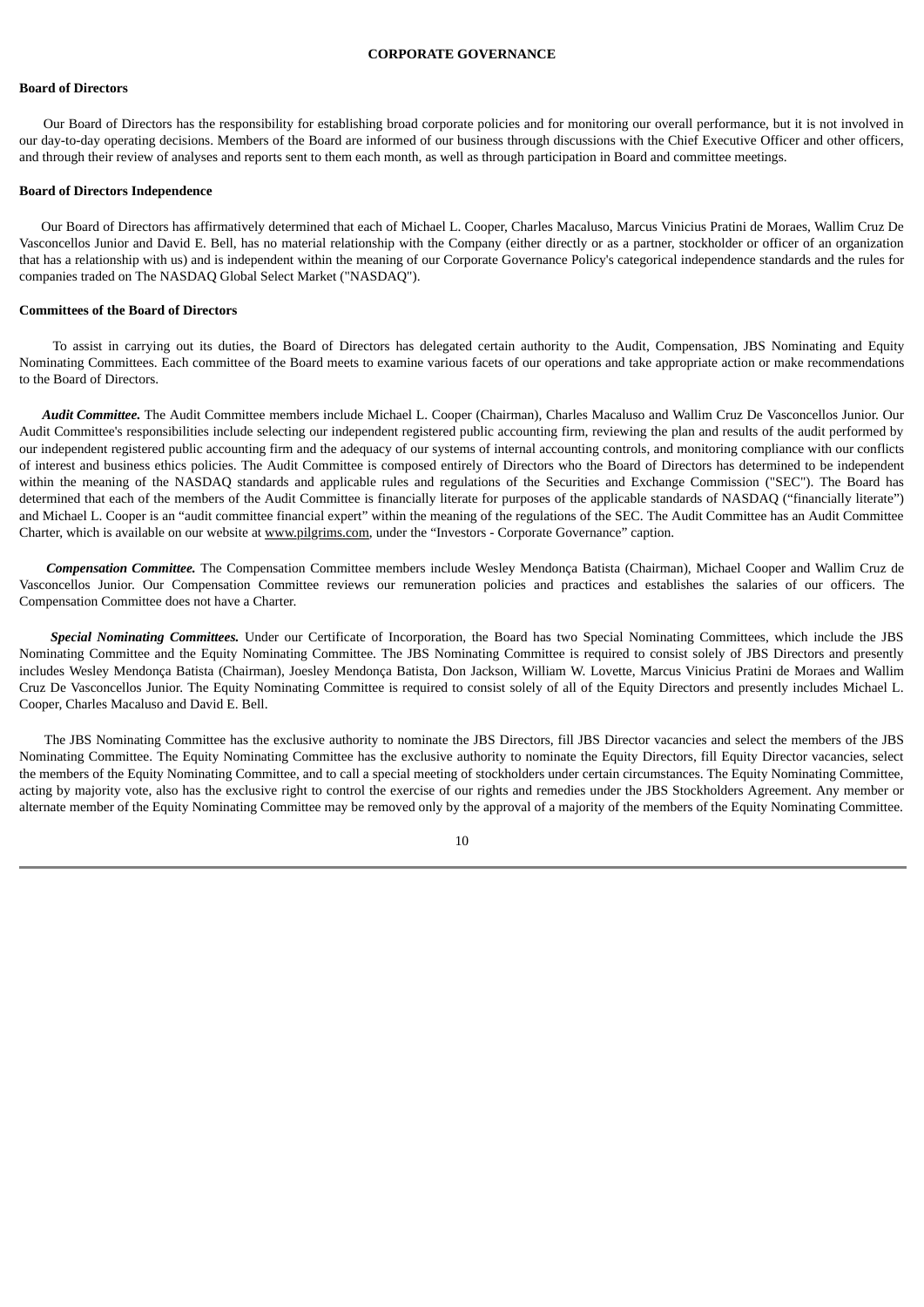#### **CORPORATE GOVERNANCE**

#### **Board of Directors**

Our Board of Directors has the responsibility for establishing broad corporate policies and for monitoring our overall performance, but it is not involved in our day-to-day operating decisions. Members of the Board are informed of our business through discussions with the Chief Executive Officer and other officers, and through their review of analyses and reports sent to them each month, as well as through participation in Board and committee meetings.

#### **Board of Directors Independence**

Our Board of Directors has affirmatively determined that each of Michael L. Cooper, Charles Macaluso, Marcus Vinicius Pratini de Moraes, Wallim Cruz De Vasconcellos Junior and David E. Bell, has no material relationship with the Company (either directly or as a partner, stockholder or officer of an organization that has a relationship with us) and is independent within the meaning of our Corporate Governance Policy's categorical independence standards and the rules for companies traded on The NASDAQ Global Select Market ("NASDAQ").

#### **Committees of the Board of Directors**

To assist in carrying out its duties, the Board of Directors has delegated certain authority to the Audit, Compensation, JBS Nominating and Equity Nominating Committees. Each committee of the Board meets to examine various facets of our operations and take appropriate action or make recommendations to the Board of Directors.

*Audit Committee.* The Audit Committee members include Michael L. Cooper (Chairman), Charles Macaluso and Wallim Cruz De Vasconcellos Junior. Our Audit Committee's responsibilities include selecting our independent registered public accounting firm, reviewing the plan and results of the audit performed by our independent registered public accounting firm and the adequacy of our systems of internal accounting controls, and monitoring compliance with our conflicts of interest and business ethics policies. The Audit Committee is composed entirely of Directors who the Board of Directors has determined to be independent within the meaning of the NASDAQ standards and applicable rules and regulations of the Securities and Exchange Commission ("SEC"). The Board has determined that each of the members of the Audit Committee is financially literate for purposes of the applicable standards of NASDAQ ("financially literate") and Michael L. Cooper is an "audit committee financial expert" within the meaning of the regulations of the SEC. The Audit Committee has an Audit Committee Charter, which is available on our website at www.pilgrims.com, under the "Investors - Corporate Governance" caption.

*Compensation Committee.* The Compensation Committee members include Wesley Mendonça Batista (Chairman), Michael Cooper and Wallim Cruz de Vasconcellos Junior. Our Compensation Committee reviews our remuneration policies and practices and establishes the salaries of our officers. The Compensation Committee does not have a Charter.

*Special Nominating Committees.* Under our Certificate of Incorporation, the Board has two Special Nominating Committees, which include the JBS Nominating Committee and the Equity Nominating Committee. The JBS Nominating Committee is required to consist solely of JBS Directors and presently includes Wesley Mendonça Batista (Chairman), Joesley Mendonça Batista, Don Jackson, William W. Lovette, Marcus Vinicius Pratini de Moraes and Wallim Cruz De Vasconcellos Junior. The Equity Nominating Committee is required to consist solely of all of the Equity Directors and presently includes Michael L. Cooper, Charles Macaluso and David E. Bell.

The JBS Nominating Committee has the exclusive authority to nominate the JBS Directors, fill JBS Director vacancies and select the members of the JBS Nominating Committee. The Equity Nominating Committee has the exclusive authority to nominate the Equity Directors, fill Equity Director vacancies, select the members of the Equity Nominating Committee, and to call a special meeting of stockholders under certain circumstances. The Equity Nominating Committee, acting by majority vote, also has the exclusive right to control the exercise of our rights and remedies under the JBS Stockholders Agreement. Any member or alternate member of the Equity Nominating Committee may be removed only by the approval of a majority of the members of the Equity Nominating Committee.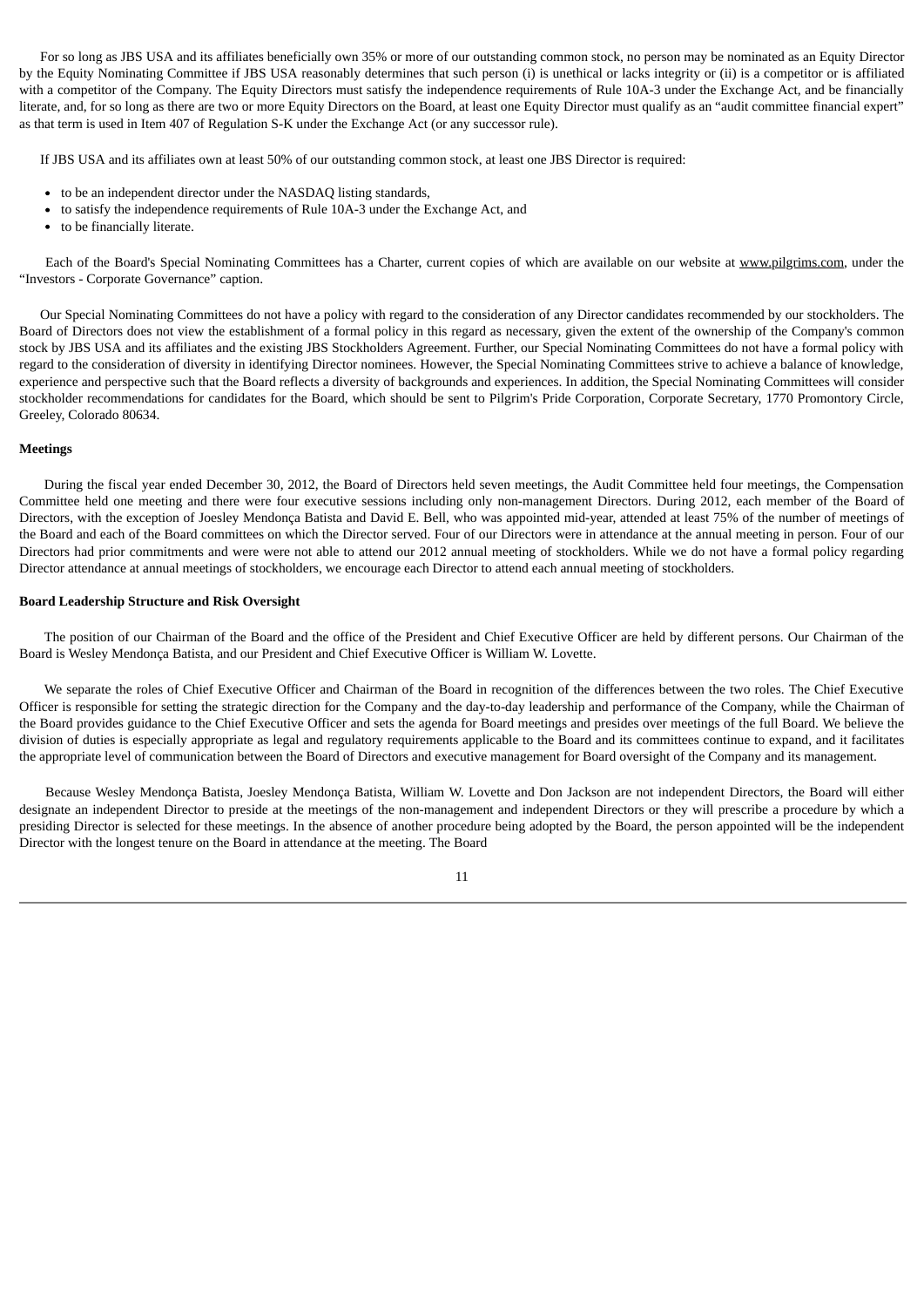For so long as JBS USA and its affiliates beneficially own 35% or more of our outstanding common stock, no person may be nominated as an Equity Director by the Equity Nominating Committee if JBS USA reasonably determines that such person (i) is unethical or lacks integrity or (ii) is a competitor or is affiliated with a competitor of the Company. The Equity Directors must satisfy the independence requirements of Rule 10A-3 under the Exchange Act, and be financially literate, and, for so long as there are two or more Equity Directors on the Board, at least one Equity Director must qualify as an "audit committee financial expert" as that term is used in Item 407 of Regulation S-K under the Exchange Act (or any successor rule).

If JBS USA and its affiliates own at least 50% of our outstanding common stock, at least one JBS Director is required:

- to be an independent director under the NASDAQ listing standards,
- to satisfy the independence requirements of Rule 10A-3 under the Exchange Act, and
- to be financially literate.

Each of the Board's Special Nominating Committees has a Charter, current copies of which are available on our website at www.pilgrims.com, under the "Investors - Corporate Governance" caption.

 Our Special Nominating Committees do not have a policy with regard to the consideration of any Director candidates recommended by our stockholders. The Board of Directors does not view the establishment of a formal policy in this regard as necessary, given the extent of the ownership of the Company's common stock by JBS USA and its affiliates and the existing JBS Stockholders Agreement. Further, our Special Nominating Committees do not have a formal policy with regard to the consideration of diversity in identifying Director nominees. However, the Special Nominating Committees strive to achieve a balance of knowledge, experience and perspective such that the Board reflects a diversity of backgrounds and experiences. In addition, the Special Nominating Committees will consider stockholder recommendations for candidates for the Board, which should be sent to Pilgrim's Pride Corporation, Corporate Secretary, 1770 Promontory Circle, Greeley, Colorado 80634.

### **Meetings**

During the fiscal year ended December 30, 2012, the Board of Directors held seven meetings, the Audit Committee held four meetings, the Compensation Committee held one meeting and there were four executive sessions including only non-management Directors. During 2012, each member of the Board of Directors, with the exception of Joesley Mendonça Batista and David E. Bell, who was appointed mid-year, attended at least 75% of the number of meetings of the Board and each of the Board committees on which the Director served. Four of our Directors were in attendance at the annual meeting in person. Four of our Directors had prior commitments and were were not able to attend our 2012 annual meeting of stockholders. While we do not have a formal policy regarding Director attendance at annual meetings of stockholders, we encourage each Director to attend each annual meeting of stockholders.

### **Board Leadership Structure and Risk Oversight**

The position of our Chairman of the Board and the office of the President and Chief Executive Officer are held by different persons. Our Chairman of the Board is Wesley Mendonça Batista, and our President and Chief Executive Officer is William W. Lovette.

We separate the roles of Chief Executive Officer and Chairman of the Board in recognition of the differences between the two roles. The Chief Executive Officer is responsible for setting the strategic direction for the Company and the day-to-day leadership and performance of the Company, while the Chairman of the Board provides guidance to the Chief Executive Officer and sets the agenda for Board meetings and presides over meetings of the full Board. We believe the division of duties is especially appropriate as legal and regulatory requirements applicable to the Board and its committees continue to expand, and it facilitates the appropriate level of communication between the Board of Directors and executive management for Board oversight of the Company and its management.

Because Wesley Mendonça Batista, Joesley Mendonça Batista, William W. Lovette and Don Jackson are not independent Directors, the Board will either designate an independent Director to preside at the meetings of the non-management and independent Directors or they will prescribe a procedure by which a presiding Director is selected for these meetings. In the absence of another procedure being adopted by the Board, the person appointed will be the independent Director with the longest tenure on the Board in attendance at the meeting. The Board

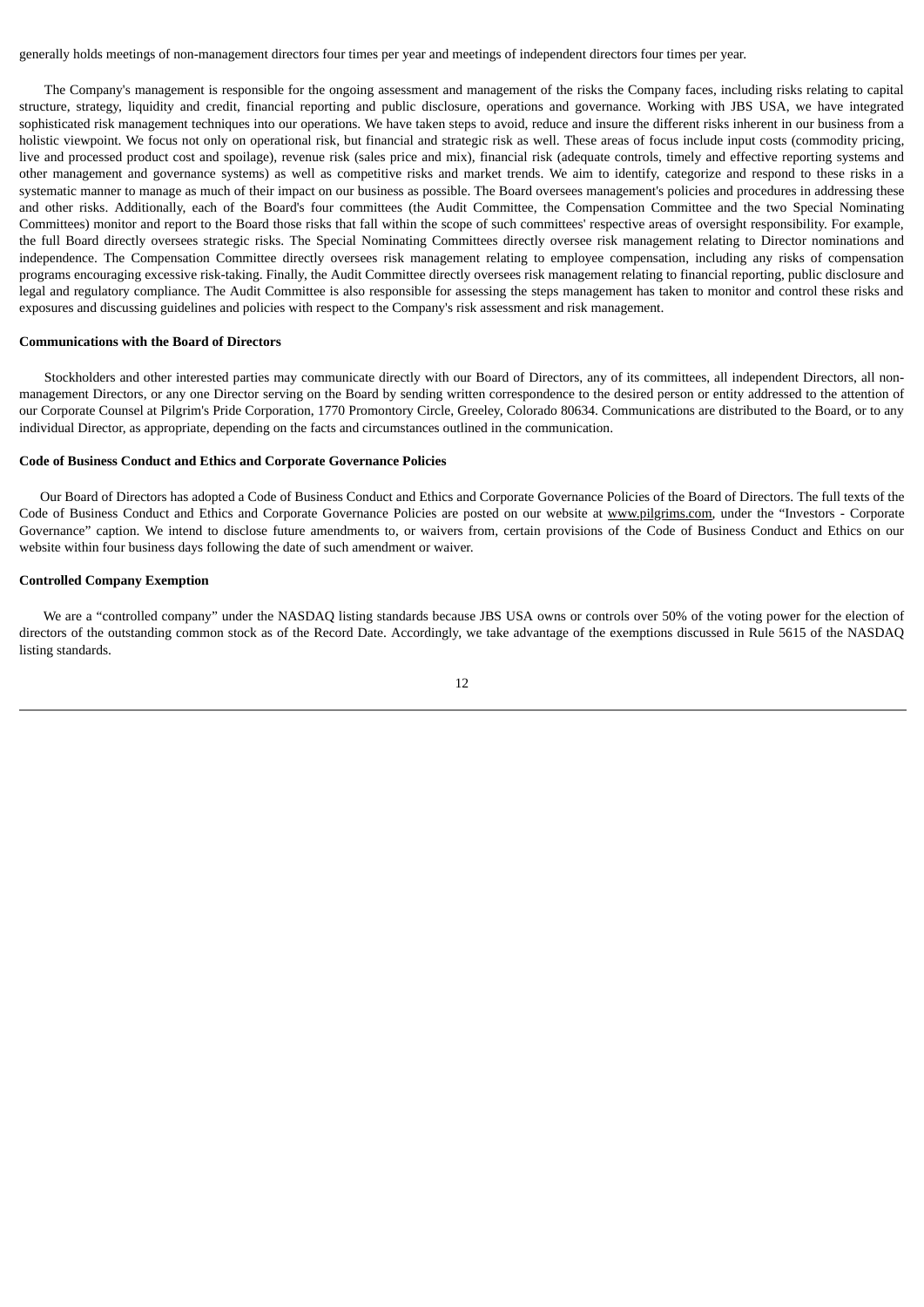generally holds meetings of non-management directors four times per year and meetings of independent directors four times per year.

The Company's management is responsible for the ongoing assessment and management of the risks the Company faces, including risks relating to capital structure, strategy, liquidity and credit, financial reporting and public disclosure, operations and governance. Working with JBS USA, we have integrated sophisticated risk management techniques into our operations. We have taken steps to avoid, reduce and insure the different risks inherent in our business from a holistic viewpoint. We focus not only on operational risk, but financial and strategic risk as well. These areas of focus include input costs (commodity pricing, live and processed product cost and spoilage), revenue risk (sales price and mix), financial risk (adequate controls, timely and effective reporting systems and other management and governance systems) as well as competitive risks and market trends. We aim to identify, categorize and respond to these risks in a systematic manner to manage as much of their impact on our business as possible. The Board oversees management's policies and procedures in addressing these and other risks. Additionally, each of the Board's four committees (the Audit Committee, the Compensation Committee and the two Special Nominating Committees) monitor and report to the Board those risks that fall within the scope of such committees' respective areas of oversight responsibility. For example, the full Board directly oversees strategic risks. The Special Nominating Committees directly oversee risk management relating to Director nominations and independence. The Compensation Committee directly oversees risk management relating to employee compensation, including any risks of compensation programs encouraging excessive risk-taking. Finally, the Audit Committee directly oversees risk management relating to financial reporting, public disclosure and legal and regulatory compliance. The Audit Committee is also responsible for assessing the steps management has taken to monitor and control these risks and exposures and discussing guidelines and policies with respect to the Company's risk assessment and risk management.

#### **Communications with the Board of Directors**

Stockholders and other interested parties may communicate directly with our Board of Directors, any of its committees, all independent Directors, all nonmanagement Directors, or any one Director serving on the Board by sending written correspondence to the desired person or entity addressed to the attention of our Corporate Counsel at Pilgrim's Pride Corporation, 1770 Promontory Circle, Greeley, Colorado 80634. Communications are distributed to the Board, or to any individual Director, as appropriate, depending on the facts and circumstances outlined in the communication.

#### **Code of Business Conduct and Ethics and Corporate Governance Policies**

 Our Board of Directors has adopted a Code of Business Conduct and Ethics and Corporate Governance Policies of the Board of Directors. The full texts of the Code of Business Conduct and Ethics and Corporate Governance Policies are posted on our website at www.pilgrims.com, under the "Investors - Corporate Governance" caption. We intend to disclose future amendments to, or waivers from, certain provisions of the Code of Business Conduct and Ethics on our website within four business days following the date of such amendment or waiver.

#### **Controlled Company Exemption**

We are a "controlled company" under the NASDAQ listing standards because JBS USA owns or controls over 50% of the voting power for the election of directors of the outstanding common stock as of the Record Date. Accordingly, we take advantage of the exemptions discussed in Rule 5615 of the NASDAQ listing standards.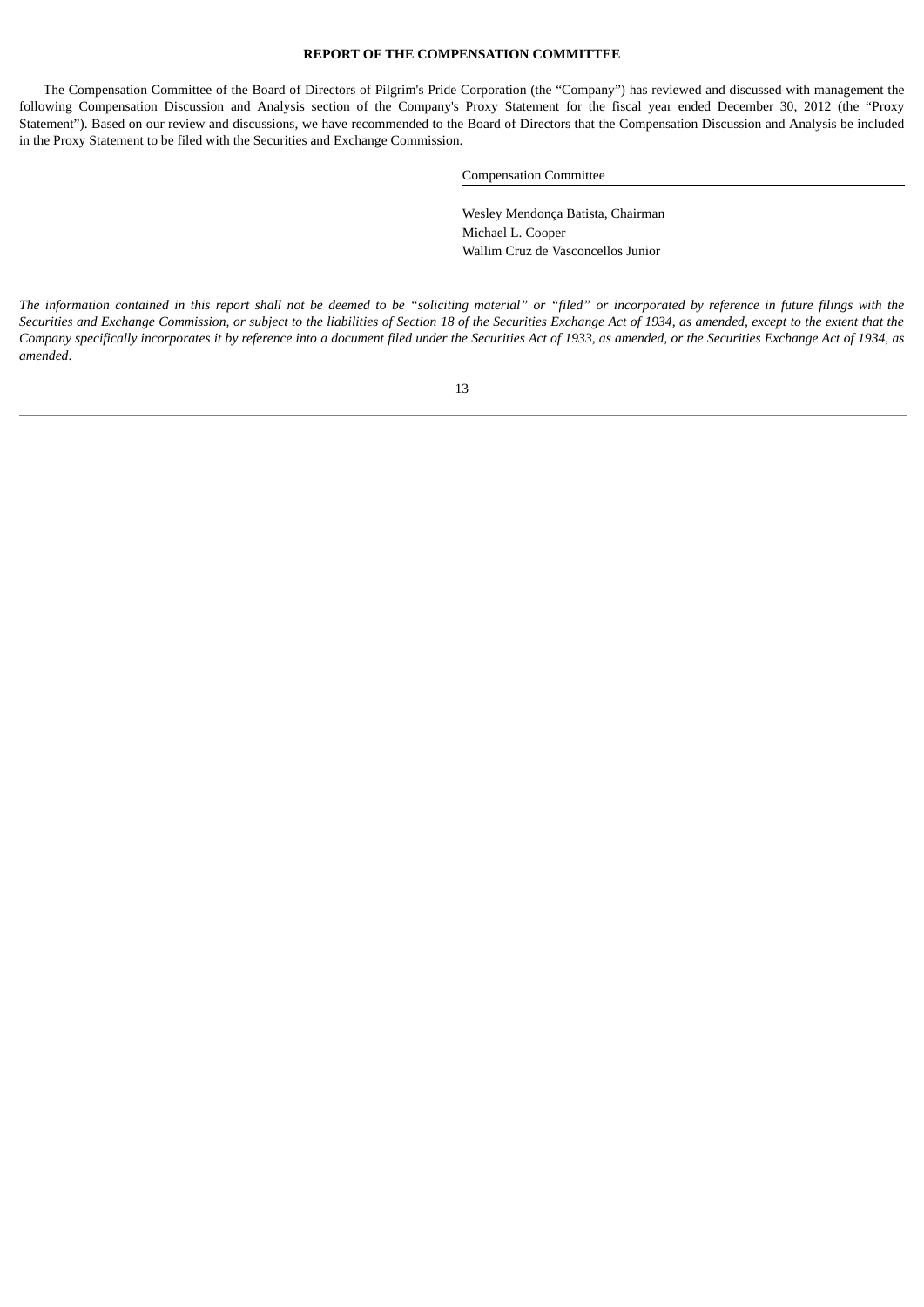### **REPORT OF THE COMPENSATION COMMITTEE**

The Compensation Committee of the Board of Directors of Pilgrim's Pride Corporation (the "Company") has reviewed and discussed with management the following Compensation Discussion and Analysis section of the Company's Proxy Statement for the fiscal year ended December 30, 2012 (the "Proxy Statement"). Based on our review and discussions, we have recommended to the Board of Directors that the Compensation Discussion and Analysis be included in the Proxy Statement to be filed with the Securities and Exchange Commission.

Compensation Committee

Wesley Mendonça Batista, Chairman Michael L. Cooper Wallim Cruz de Vasconcellos Junior

*The information contained in this report shall not be deemed to be "soliciting material" or "filed" or incorporated by reference in future filings with the Securities and Exchange Commission, or subject to the liabilities of Section 18 of the Securities Exchange Act of 1934, as amended, except to the extent that the Company specifically incorporates it by reference into a document filed under the Securities Act of 1933, as amended, or the Securities Exchange Act of 1934, as amended*.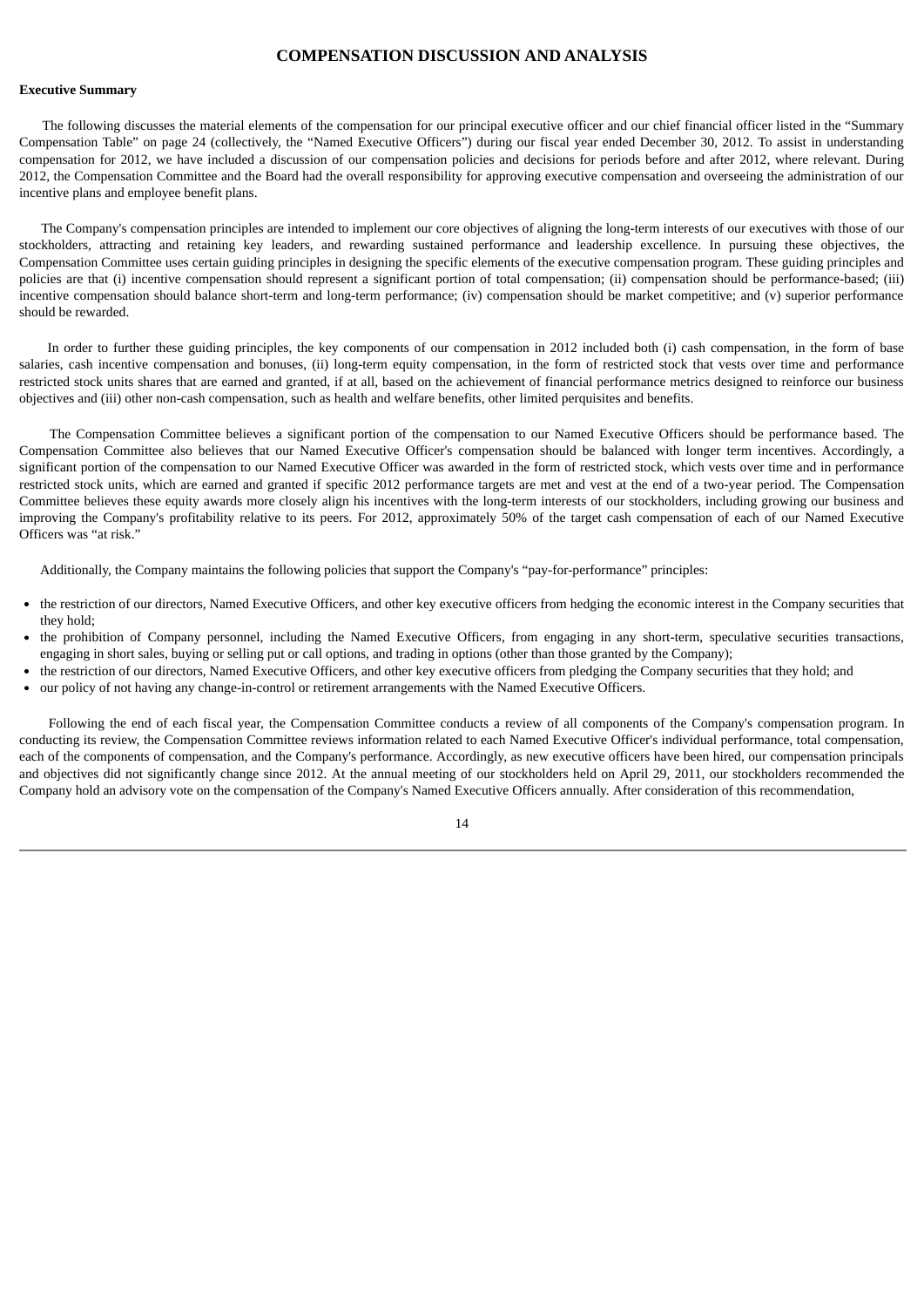### **COMPENSATION DISCUSSION AND ANALYSIS**

#### **Executive Summary**

The following discusses the material elements of the compensation for our principal executive officer and our chief financial officer listed in the "Summary Compensation Table" on page 24 (collectively, the "Named Executive Officers") during our fiscal year ended December 30, 2012. To assist in understanding compensation for 2012, we have included a discussion of our compensation policies and decisions for periods before and after 2012, where relevant. During 2012, the Compensation Committee and the Board had the overall responsibility for approving executive compensation and overseeing the administration of our incentive plans and employee benefit plans.

The Company's compensation principles are intended to implement our core objectives of aligning the long-term interests of our executives with those of our stockholders, attracting and retaining key leaders, and rewarding sustained performance and leadership excellence. In pursuing these objectives, the Compensation Committee uses certain guiding principles in designing the specific elements of the executive compensation program. These guiding principles and policies are that (i) incentive compensation should represent a significant portion of total compensation; (ii) compensation should be performance-based; (iii) incentive compensation should balance short-term and long-term performance; (iv) compensation should be market competitive; and (v) superior performance should be rewarded.

In order to further these guiding principles, the key components of our compensation in 2012 included both (i) cash compensation, in the form of base salaries, cash incentive compensation and bonuses, (ii) long-term equity compensation, in the form of restricted stock that vests over time and performance restricted stock units shares that are earned and granted, if at all, based on the achievement of financial performance metrics designed to reinforce our business objectives and (iii) other non-cash compensation, such as health and welfare benefits, other limited perquisites and benefits.

The Compensation Committee believes a significant portion of the compensation to our Named Executive Officers should be performance based. The Compensation Committee also believes that our Named Executive Officer's compensation should be balanced with longer term incentives. Accordingly, a significant portion of the compensation to our Named Executive Officer was awarded in the form of restricted stock, which vests over time and in performance restricted stock units, which are earned and granted if specific 2012 performance targets are met and vest at the end of a two-year period. The Compensation Committee believes these equity awards more closely align his incentives with the long-term interests of our stockholders, including growing our business and improving the Company's profitability relative to its peers. For 2012, approximately 50% of the target cash compensation of each of our Named Executive Officers was "at risk."

Additionally, the Company maintains the following policies that support the Company's "pay-for-performance" principles:

- the restriction of our directors, Named Executive Officers, and other key executive officers from hedging the economic interest in the Company securities that they hold;
- the prohibition of Company personnel, including the Named Executive Officers, from engaging in any short-term, speculative securities transactions, engaging in short sales, buying or selling put or call options, and trading in options (other than those granted by the Company);
- the restriction of our directors, Named Executive Officers, and other key executive officers from pledging the Company securities that they hold; and
- our policy of not having any change-in-control or retirement arrangements with the Named Executive Officers.

Following the end of each fiscal year, the Compensation Committee conducts a review of all components of the Company's compensation program. In conducting its review, the Compensation Committee reviews information related to each Named Executive Officer's individual performance, total compensation, each of the components of compensation, and the Company's performance. Accordingly, as new executive officers have been hired, our compensation principals and objectives did not significantly change since 2012. At the annual meeting of our stockholders held on April 29, 2011, our stockholders recommended the Company hold an advisory vote on the compensation of the Company's Named Executive Officers annually. After consideration of this recommendation,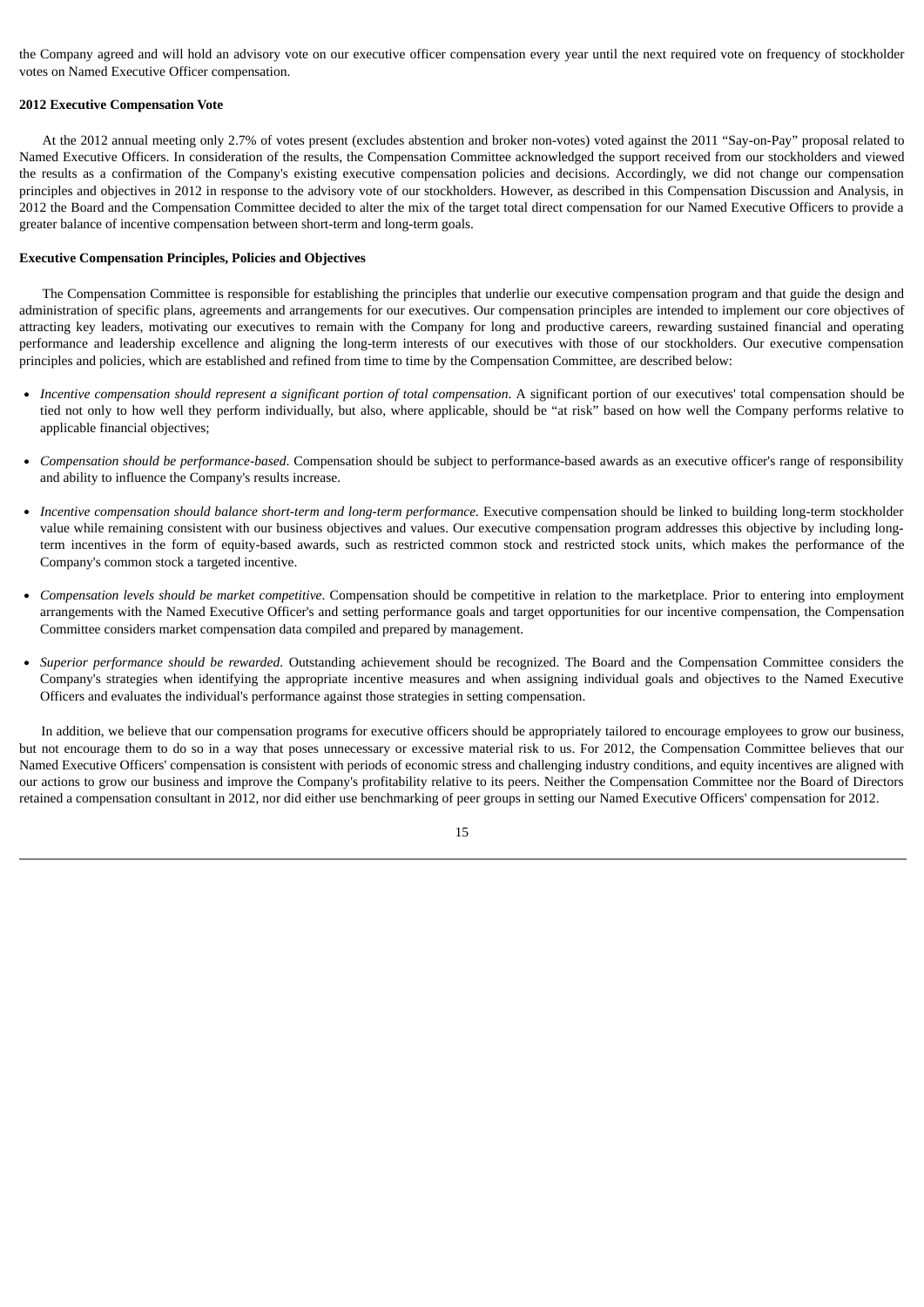the Company agreed and will hold an advisory vote on our executive officer compensation every year until the next required vote on frequency of stockholder votes on Named Executive Officer compensation.

#### **2012 Executive Compensation Vote**

At the 2012 annual meeting only 2.7% of votes present (excludes abstention and broker non-votes) voted against the 2011 "Say-on-Pay" proposal related to Named Executive Officers. In consideration of the results, the Compensation Committee acknowledged the support received from our stockholders and viewed the results as a confirmation of the Company's existing executive compensation policies and decisions. Accordingly, we did not change our compensation principles and objectives in 2012 in response to the advisory vote of our stockholders. However, as described in this Compensation Discussion and Analysis, in 2012 the Board and the Compensation Committee decided to alter the mix of the target total direct compensation for our Named Executive Officers to provide a greater balance of incentive compensation between short-term and long-term goals.

#### **Executive Compensation Principles, Policies and Objectives**

The Compensation Committee is responsible for establishing the principles that underlie our executive compensation program and that guide the design and administration of specific plans, agreements and arrangements for our executives. Our compensation principles are intended to implement our core objectives of attracting key leaders, motivating our executives to remain with the Company for long and productive careers, rewarding sustained financial and operating performance and leadership excellence and aligning the long-term interests of our executives with those of our stockholders. Our executive compensation principles and policies, which are established and refined from time to time by the Compensation Committee, are described below:

- *Incentive compensation should represent a significant portion of total compensation*. A significant portion of our executives' total compensation should be tied not only to how well they perform individually, but also, where applicable, should be "at risk" based on how well the Company performs relative to applicable financial objectives;
- *Compensation should be performance-based*. Compensation should be subject to performance-based awards as an executive officer's range of responsibility and ability to influence the Company's results increase.
- Incentive compensation should balance short-term and long-term performance. Executive compensation should be linked to building long-term stockholder value while remaining consistent with our business objectives and values. Our executive compensation program addresses this objective by including longterm incentives in the form of equity-based awards, such as restricted common stock and restricted stock units, which makes the performance of the Company's common stock a targeted incentive.
- *Compensation levels should be market competitive*. Compensation should be competitive in relation to the marketplace. Prior to entering into employment arrangements with the Named Executive Officer's and setting performance goals and target opportunities for our incentive compensation, the Compensation Committee considers market compensation data compiled and prepared by management.
- *Superior performance should be rewarded*. Outstanding achievement should be recognized. The Board and the Compensation Committee considers the Company's strategies when identifying the appropriate incentive measures and when assigning individual goals and objectives to the Named Executive Officers and evaluates the individual's performance against those strategies in setting compensation.

In addition, we believe that our compensation programs for executive officers should be appropriately tailored to encourage employees to grow our business, but not encourage them to do so in a way that poses unnecessary or excessive material risk to us. For 2012, the Compensation Committee believes that our Named Executive Officers' compensation is consistent with periods of economic stress and challenging industry conditions, and equity incentives are aligned with our actions to grow our business and improve the Company's profitability relative to its peers. Neither the Compensation Committee nor the Board of Directors retained a compensation consultant in 2012, nor did either use benchmarking of peer groups in setting our Named Executive Officers' compensation for 2012.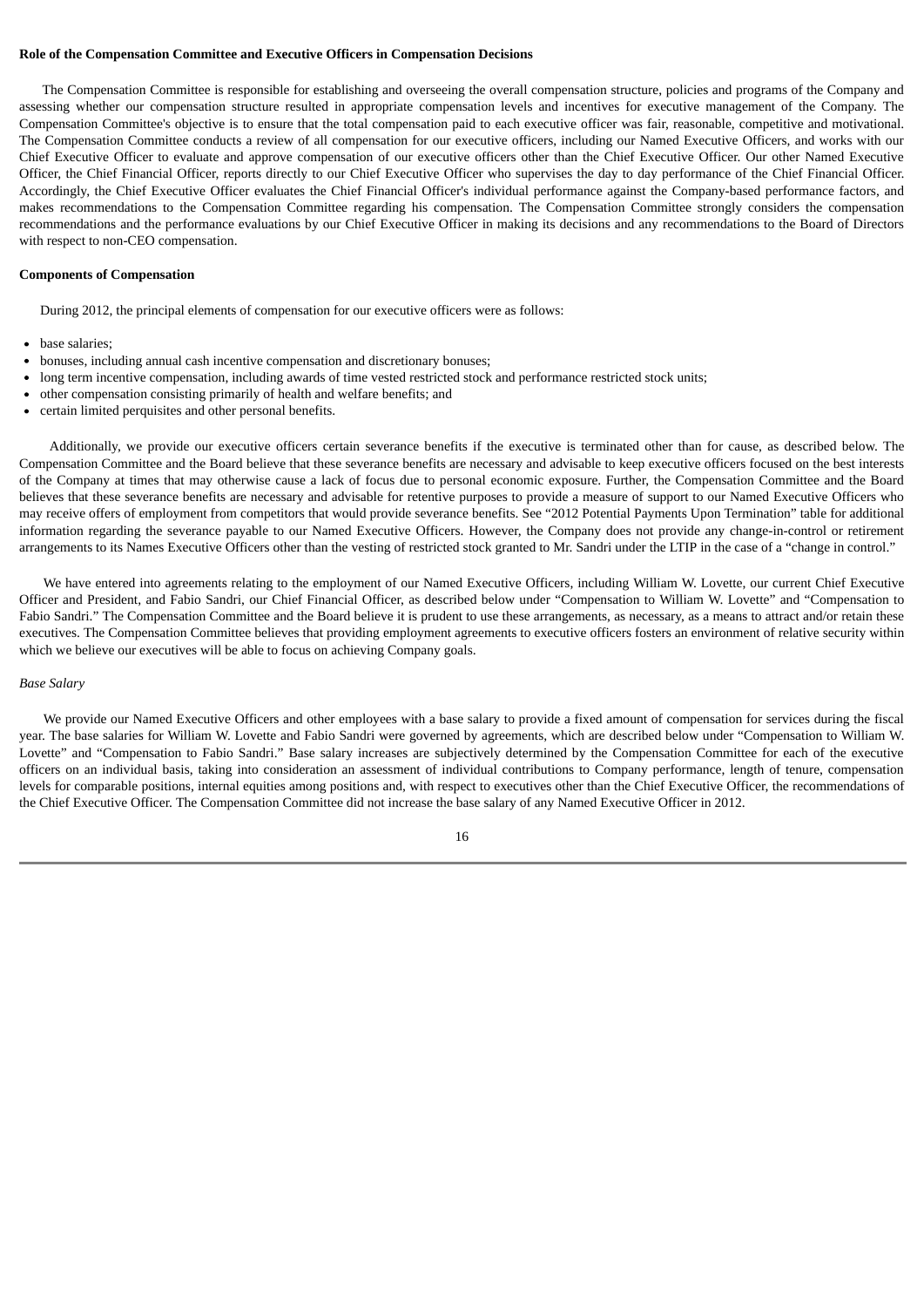#### **Role of the Compensation Committee and Executive Officers in Compensation Decisions**

The Compensation Committee is responsible for establishing and overseeing the overall compensation structure, policies and programs of the Company and assessing whether our compensation structure resulted in appropriate compensation levels and incentives for executive management of the Company. The Compensation Committee's objective is to ensure that the total compensation paid to each executive officer was fair, reasonable, competitive and motivational. The Compensation Committee conducts a review of all compensation for our executive officers, including our Named Executive Officers, and works with our Chief Executive Officer to evaluate and approve compensation of our executive officers other than the Chief Executive Officer. Our other Named Executive Officer, the Chief Financial Officer, reports directly to our Chief Executive Officer who supervises the day to day performance of the Chief Financial Officer. Accordingly, the Chief Executive Officer evaluates the Chief Financial Officer's individual performance against the Company-based performance factors, and makes recommendations to the Compensation Committee regarding his compensation. The Compensation Committee strongly considers the compensation recommendations and the performance evaluations by our Chief Executive Officer in making its decisions and any recommendations to the Board of Directors with respect to non-CEO compensation.

#### **Components of Compensation**

During 2012, the principal elements of compensation for our executive officers were as follows:

- base salaries;
- bonuses, including annual cash incentive compensation and discretionary bonuses;  $\bullet$
- $\bullet$ long term incentive compensation, including awards of time vested restricted stock and performance restricted stock units;
- other compensation consisting primarily of health and welfare benefits; and
- certain limited perquisites and other personal benefits.

Additionally, we provide our executive officers certain severance benefits if the executive is terminated other than for cause, as described below. The Compensation Committee and the Board believe that these severance benefits are necessary and advisable to keep executive officers focused on the best interests of the Company at times that may otherwise cause a lack of focus due to personal economic exposure. Further, the Compensation Committee and the Board believes that these severance benefits are necessary and advisable for retentive purposes to provide a measure of support to our Named Executive Officers who may receive offers of employment from competitors that would provide severance benefits. See "2012 Potential Payments Upon Termination" table for additional information regarding the severance payable to our Named Executive Officers. However, the Company does not provide any change-in-control or retirement arrangements to its Names Executive Officers other than the vesting of restricted stock granted to Mr. Sandri under the LTIP in the case of a "change in control."

We have entered into agreements relating to the employment of our Named Executive Officers, including William W. Lovette, our current Chief Executive Officer and President, and Fabio Sandri, our Chief Financial Officer, as described below under "Compensation to William W. Lovette" and "Compensation to Fabio Sandri." The Compensation Committee and the Board believe it is prudent to use these arrangements, as necessary, as a means to attract and/or retain these executives. The Compensation Committee believes that providing employment agreements to executive officers fosters an environment of relative security within which we believe our executives will be able to focus on achieving Company goals.

#### *Base Salary*

We provide our Named Executive Officers and other employees with a base salary to provide a fixed amount of compensation for services during the fiscal year. The base salaries for William W. Lovette and Fabio Sandri were governed by agreements, which are described below under "Compensation to William W. Lovette" and "Compensation to Fabio Sandri." Base salary increases are subjectively determined by the Compensation Committee for each of the executive officers on an individual basis, taking into consideration an assessment of individual contributions to Company performance, length of tenure, compensation levels for comparable positions, internal equities among positions and, with respect to executives other than the Chief Executive Officer, the recommendations of the Chief Executive Officer. The Compensation Committee did not increase the base salary of any Named Executive Officer in 2012.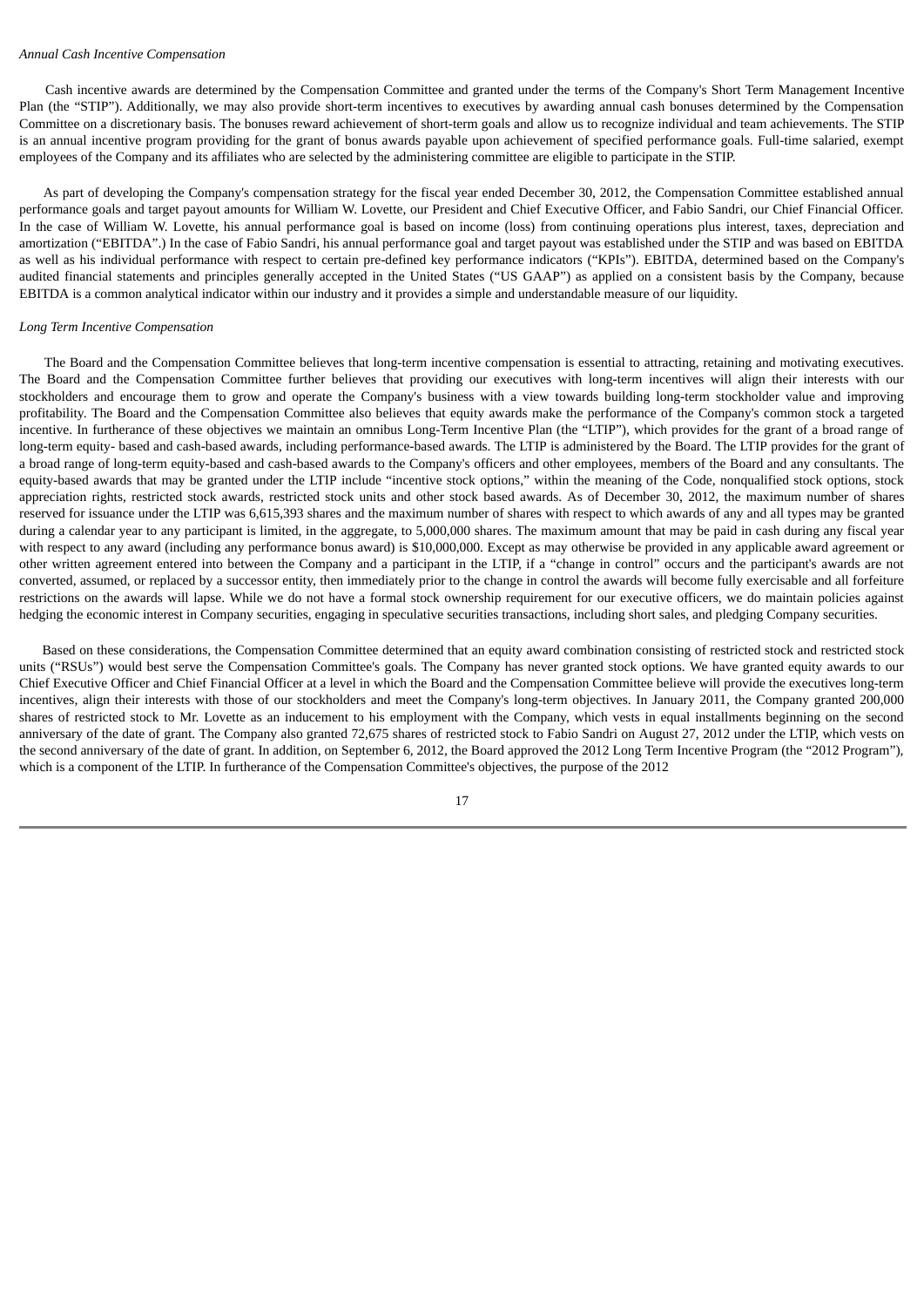#### *Annual Cash Incentive Compensation*

Cash incentive awards are determined by the Compensation Committee and granted under the terms of the Company's Short Term Management Incentive Plan (the "STIP"). Additionally, we may also provide short-term incentives to executives by awarding annual cash bonuses determined by the Compensation Committee on a discretionary basis. The bonuses reward achievement of short-term goals and allow us to recognize individual and team achievements. The STIP is an annual incentive program providing for the grant of bonus awards payable upon achievement of specified performance goals. Full-time salaried, exempt employees of the Company and its affiliates who are selected by the administering committee are eligible to participate in the STIP.

As part of developing the Company's compensation strategy for the fiscal year ended December 30, 2012, the Compensation Committee established annual performance goals and target payout amounts for William W. Lovette, our President and Chief Executive Officer, and Fabio Sandri, our Chief Financial Officer. In the case of William W. Lovette, his annual performance goal is based on income (loss) from continuing operations plus interest, taxes, depreciation and amortization ("EBITDA".) In the case of Fabio Sandri, his annual performance goal and target payout was established under the STIP and was based on EBITDA as well as his individual performance with respect to certain pre-defined key performance indicators ("KPIs"). EBITDA, determined based on the Company's audited financial statements and principles generally accepted in the United States ("US GAAP") as applied on a consistent basis by the Company, because EBITDA is a common analytical indicator within our industry and it provides a simple and understandable measure of our liquidity.

#### *Long Term Incentive Compensation*

The Board and the Compensation Committee believes that long-term incentive compensation is essential to attracting, retaining and motivating executives. The Board and the Compensation Committee further believes that providing our executives with long-term incentives will align their interests with our stockholders and encourage them to grow and operate the Company's business with a view towards building long-term stockholder value and improving profitability. The Board and the Compensation Committee also believes that equity awards make the performance of the Company's common stock a targeted incentive. In furtherance of these objectives we maintain an omnibus Long-Term Incentive Plan (the "LTIP"), which provides for the grant of a broad range of long-term equity- based and cash-based awards, including performance-based awards. The LTIP is administered by the Board. The LTIP provides for the grant of a broad range of long-term equity-based and cash-based awards to the Company's officers and other employees, members of the Board and any consultants. The equity-based awards that may be granted under the LTIP include "incentive stock options," within the meaning of the Code, nonqualified stock options, stock appreciation rights, restricted stock awards, restricted stock units and other stock based awards. As of December 30, 2012, the maximum number of shares reserved for issuance under the LTIP was 6,615,393 shares and the maximum number of shares with respect to which awards of any and all types may be granted during a calendar year to any participant is limited, in the aggregate, to 5,000,000 shares. The maximum amount that may be paid in cash during any fiscal year with respect to any award (including any performance bonus award) is \$10,000,000. Except as may otherwise be provided in any applicable award agreement or other written agreement entered into between the Company and a participant in the LTIP, if a "change in control" occurs and the participant's awards are not converted, assumed, or replaced by a successor entity, then immediately prior to the change in control the awards will become fully exercisable and all forfeiture restrictions on the awards will lapse. While we do not have a formal stock ownership requirement for our executive officers, we do maintain policies against hedging the economic interest in Company securities, engaging in speculative securities transactions, including short sales, and pledging Company securities.

Based on these considerations, the Compensation Committee determined that an equity award combination consisting of restricted stock and restricted stock units ("RSUs") would best serve the Compensation Committee's goals. The Company has never granted stock options. We have granted equity awards to our Chief Executive Officer and Chief Financial Officer at a level in which the Board and the Compensation Committee believe will provide the executives long-term incentives, align their interests with those of our stockholders and meet the Company's long-term objectives. In January 2011, the Company granted 200,000 shares of restricted stock to Mr. Lovette as an inducement to his employment with the Company, which vests in equal installments beginning on the second anniversary of the date of grant. The Company also granted 72,675 shares of restricted stock to Fabio Sandri on August 27, 2012 under the LTIP, which vests on the second anniversary of the date of grant. In addition, on September 6, 2012, the Board approved the 2012 Long Term Incentive Program (the "2012 Program"), which is a component of the LTIP. In furtherance of the Compensation Committee's objectives, the purpose of the 2012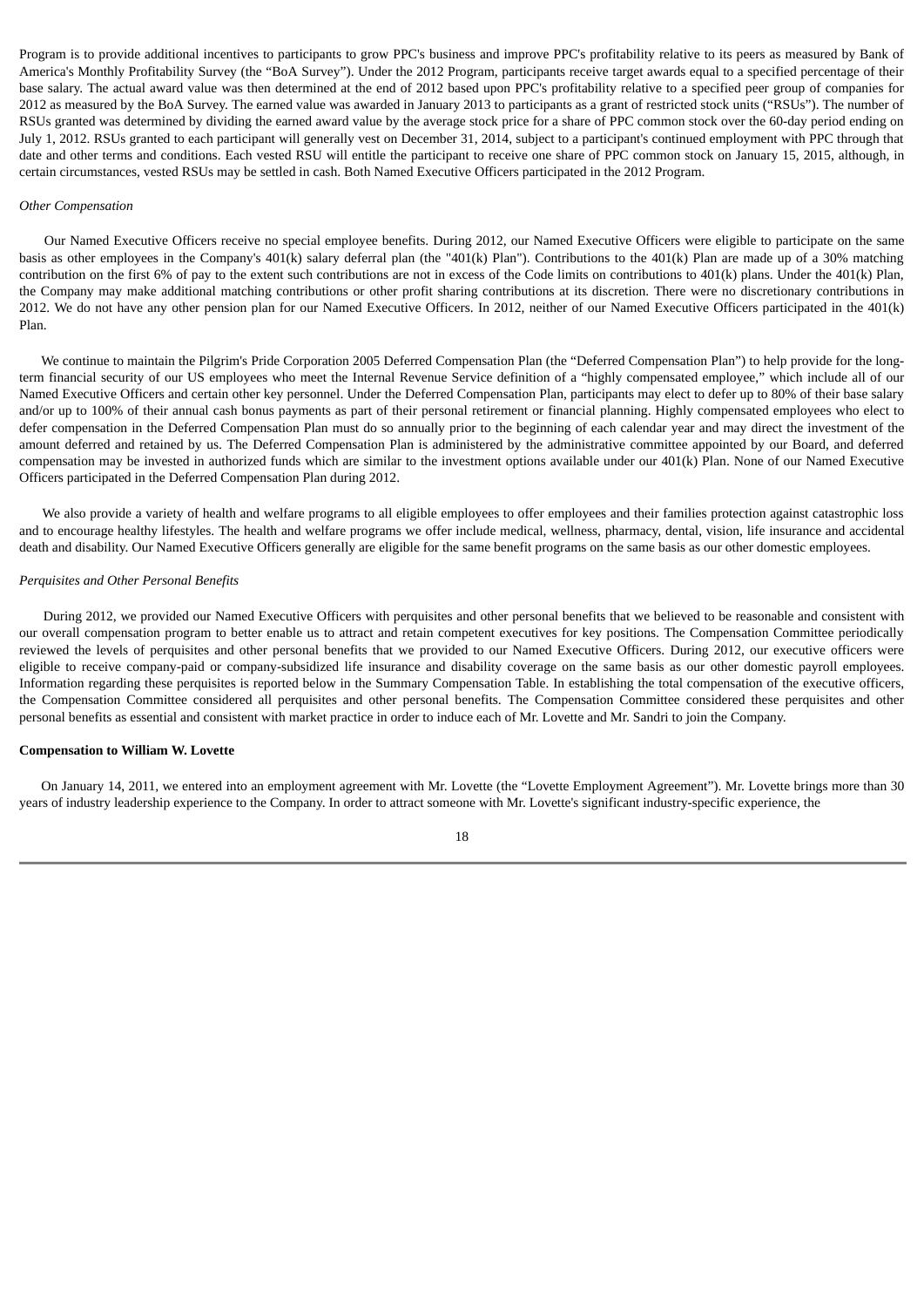Program is to provide additional incentives to participants to grow PPC's business and improve PPC's profitability relative to its peers as measured by Bank of America's Monthly Profitability Survey (the "BoA Survey"). Under the 2012 Program, participants receive target awards equal to a specified percentage of their base salary. The actual award value was then determined at the end of 2012 based upon PPC's profitability relative to a specified peer group of companies for 2012 as measured by the BoA Survey. The earned value was awarded in January 2013 to participants as a grant of restricted stock units ("RSUs"). The number of RSUs granted was determined by dividing the earned award value by the average stock price for a share of PPC common stock over the 60-day period ending on July 1, 2012. RSUs granted to each participant will generally vest on December 31, 2014, subject to a participant's continued employment with PPC through that date and other terms and conditions. Each vested RSU will entitle the participant to receive one share of PPC common stock on January 15, 2015, although, in certain circumstances, vested RSUs may be settled in cash. Both Named Executive Officers participated in the 2012 Program.

#### *Other Compensation*

Our Named Executive Officers receive no special employee benefits. During 2012, our Named Executive Officers were eligible to participate on the same basis as other employees in the Company's 401(k) salary deferral plan (the "401(k) Plan"). Contributions to the 401(k) Plan are made up of a 30% matching contribution on the first 6% of pay to the extent such contributions are not in excess of the Code limits on contributions to  $401(k)$  plans. Under the  $401(k)$  Plan, the Company may make additional matching contributions or other profit sharing contributions at its discretion. There were no discretionary contributions in 2012. We do not have any other pension plan for our Named Executive Officers. In 2012, neither of our Named Executive Officers participated in the 401(k) Plan.

We continue to maintain the Pilgrim's Pride Corporation 2005 Deferred Compensation Plan (the "Deferred Compensation Plan") to help provide for the longterm financial security of our US employees who meet the Internal Revenue Service definition of a "highly compensated employee," which include all of our Named Executive Officers and certain other key personnel. Under the Deferred Compensation Plan, participants may elect to defer up to 80% of their base salary and/or up to 100% of their annual cash bonus payments as part of their personal retirement or financial planning. Highly compensated employees who elect to defer compensation in the Deferred Compensation Plan must do so annually prior to the beginning of each calendar year and may direct the investment of the amount deferred and retained by us. The Deferred Compensation Plan is administered by the administrative committee appointed by our Board, and deferred compensation may be invested in authorized funds which are similar to the investment options available under our 401(k) Plan. None of our Named Executive Officers participated in the Deferred Compensation Plan during 2012.

We also provide a variety of health and welfare programs to all eligible employees to offer employees and their families protection against catastrophic loss and to encourage healthy lifestyles. The health and welfare programs we offer include medical, wellness, pharmacy, dental, vision, life insurance and accidental death and disability. Our Named Executive Officers generally are eligible for the same benefit programs on the same basis as our other domestic employees.

#### *Perquisites and Other Personal Benefits*

During 2012, we provided our Named Executive Officers with perquisites and other personal benefits that we believed to be reasonable and consistent with our overall compensation program to better enable us to attract and retain competent executives for key positions. The Compensation Committee periodically reviewed the levels of perquisites and other personal benefits that we provided to our Named Executive Officers. During 2012, our executive officers were eligible to receive company-paid or company-subsidized life insurance and disability coverage on the same basis as our other domestic payroll employees. Information regarding these perquisites is reported below in the Summary Compensation Table. In establishing the total compensation of the executive officers, the Compensation Committee considered all perquisites and other personal benefits. The Compensation Committee considered these perquisites and other personal benefits as essential and consistent with market practice in order to induce each of Mr. Lovette and Mr. Sandri to join the Company.

#### **Compensation to William W. Lovette**

On January 14, 2011, we entered into an employment agreement with Mr. Lovette (the "Lovette Employment Agreement"). Mr. Lovette brings more than 30 years of industry leadership experience to the Company. In order to attract someone with Mr. Lovette's significant industry-specific experience, the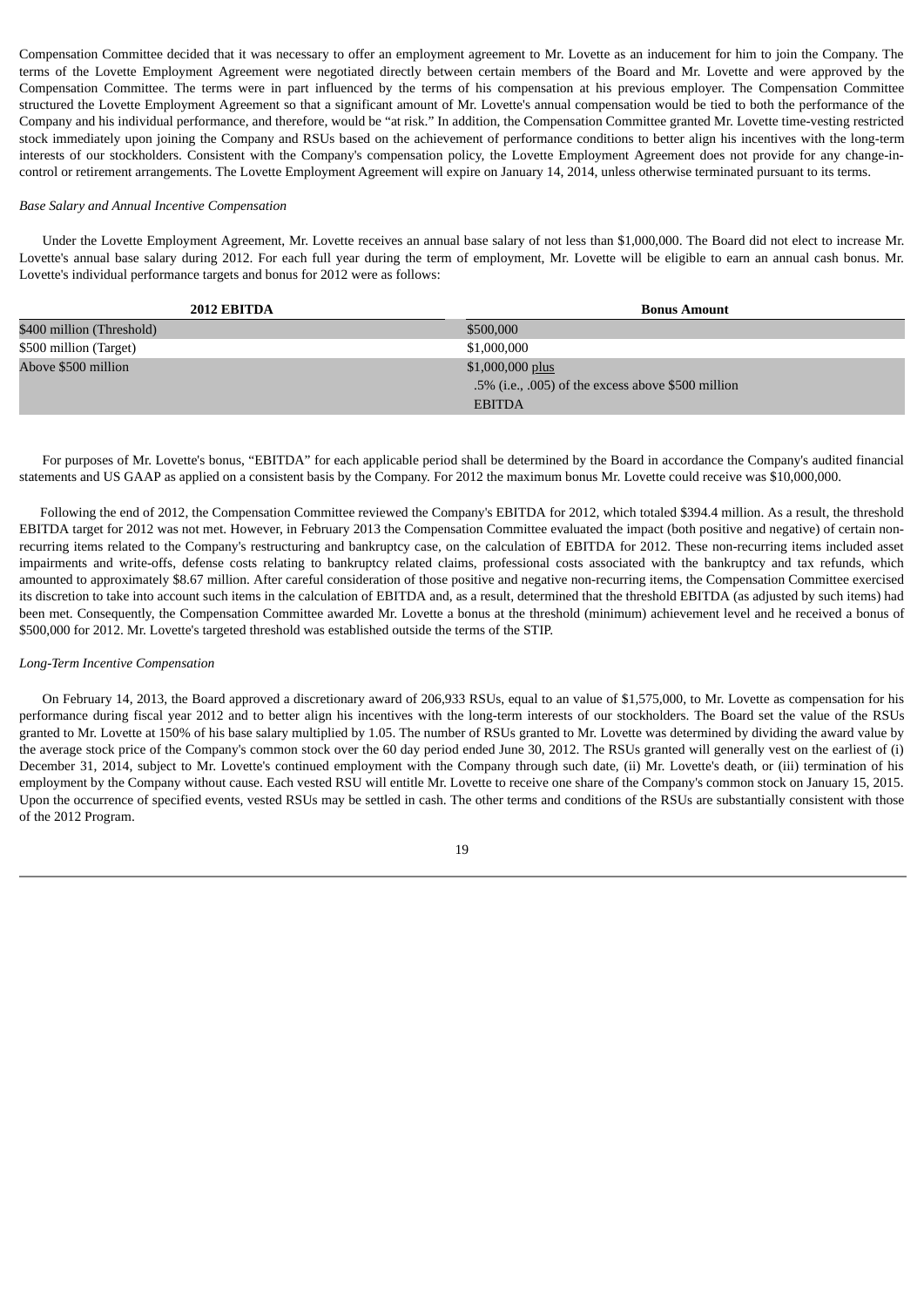Compensation Committee decided that it was necessary to offer an employment agreement to Mr. Lovette as an inducement for him to join the Company. The terms of the Lovette Employment Agreement were negotiated directly between certain members of the Board and Mr. Lovette and were approved by the Compensation Committee. The terms were in part influenced by the terms of his compensation at his previous employer. The Compensation Committee structured the Lovette Employment Agreement so that a significant amount of Mr. Lovette's annual compensation would be tied to both the performance of the Company and his individual performance, and therefore, would be "at risk." In addition, the Compensation Committee granted Mr. Lovette time-vesting restricted stock immediately upon joining the Company and RSUs based on the achievement of performance conditions to better align his incentives with the long-term interests of our stockholders. Consistent with the Company's compensation policy, the Lovette Employment Agreement does not provide for any change-incontrol or retirement arrangements. The Lovette Employment Agreement will expire on January 14, 2014, unless otherwise terminated pursuant to its terms.

#### *Base Salary and Annual Incentive Compensation*

Under the Lovette Employment Agreement, Mr. Lovette receives an annual base salary of not less than \$1,000,000. The Board did not elect to increase Mr. Lovette's annual base salary during 2012. For each full year during the term of employment, Mr. Lovette will be eligible to earn an annual cash bonus. Mr. Lovette's individual performance targets and bonus for 2012 were as follows:

| 2012 EBITDA               | <b>Bonus Amount</b>                                |
|---------------------------|----------------------------------------------------|
| \$400 million (Threshold) | \$500,000                                          |
| \$500 million (Target)    | \$1,000,000                                        |
| Above \$500 million       | $$1,000,000$ plus                                  |
|                           | .5% (i.e., .005) of the excess above \$500 million |
|                           | <b>EBITDA</b>                                      |

For purposes of Mr. Lovette's bonus, "EBITDA" for each applicable period shall be determined by the Board in accordance the Company's audited financial statements and US GAAP as applied on a consistent basis by the Company. For 2012 the maximum bonus Mr. Lovette could receive was \$10,000,000.

 Following the end of 2012, the Compensation Committee reviewed the Company's EBITDA for 2012, which totaled \$394.4 million. As a result, the threshold EBITDA target for 2012 was not met. However, in February 2013 the Compensation Committee evaluated the impact (both positive and negative) of certain nonrecurring items related to the Company's restructuring and bankruptcy case, on the calculation of EBITDA for 2012. These non-recurring items included asset impairments and write-offs, defense costs relating to bankruptcy related claims, professional costs associated with the bankruptcy and tax refunds, which amounted to approximately \$8.67 million. After careful consideration of those positive and negative non-recurring items, the Compensation Committee exercised its discretion to take into account such items in the calculation of EBITDA and, as a result, determined that the threshold EBITDA (as adjusted by such items) had been met. Consequently, the Compensation Committee awarded Mr. Lovette a bonus at the threshold (minimum) achievement level and he received a bonus of \$500,000 for 2012. Mr. Lovette's targeted threshold was established outside the terms of the STIP.

#### *Long-Term Incentive Compensation*

On February 14, 2013, the Board approved a discretionary award of 206,933 RSUs, equal to an value of \$1,575,000, to Mr. Lovette as compensation for his performance during fiscal year 2012 and to better align his incentives with the long-term interests of our stockholders. The Board set the value of the RSUs granted to Mr. Lovette at 150% of his base salary multiplied by 1.05. The number of RSUs granted to Mr. Lovette was determined by dividing the award value by the average stock price of the Company's common stock over the 60 day period ended June 30, 2012. The RSUs granted will generally vest on the earliest of (i) December 31, 2014, subject to Mr. Lovette's continued employment with the Company through such date, (ii) Mr. Lovette's death, or (iii) termination of his employment by the Company without cause. Each vested RSU will entitle Mr. Lovette to receive one share of the Company's common stock on January 15, 2015. Upon the occurrence of specified events, vested RSUs may be settled in cash. The other terms and conditions of the RSUs are substantially consistent with those of the 2012 Program.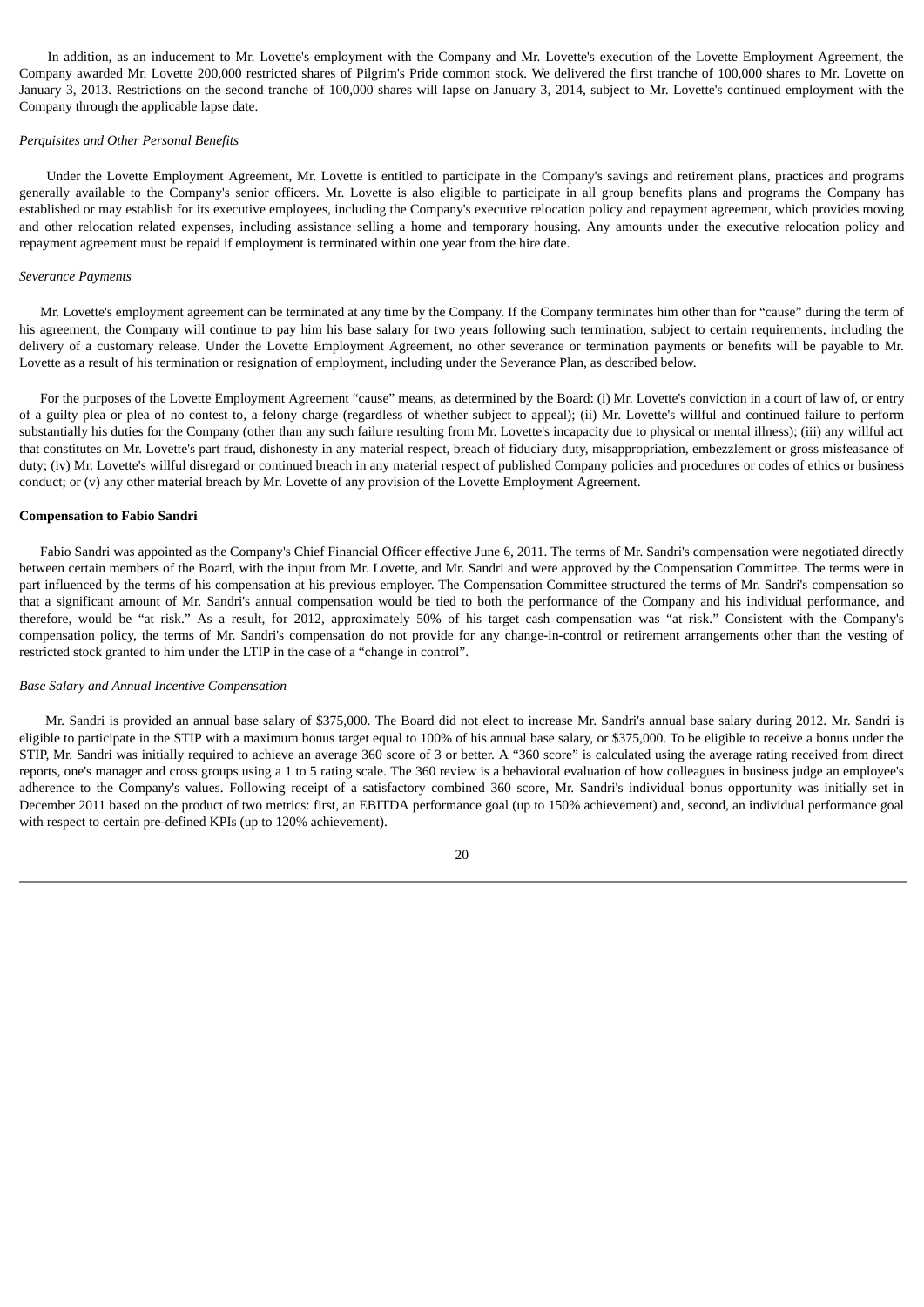In addition, as an inducement to Mr. Lovette's employment with the Company and Mr. Lovette's execution of the Lovette Employment Agreement, the Company awarded Mr. Lovette 200,000 restricted shares of Pilgrim's Pride common stock. We delivered the first tranche of 100,000 shares to Mr. Lovette on January 3, 2013. Restrictions on the second tranche of 100,000 shares will lapse on January 3, 2014, subject to Mr. Lovette's continued employment with the Company through the applicable lapse date.

#### *Perquisites and Other Personal Benefits*

Under the Lovette Employment Agreement, Mr. Lovette is entitled to participate in the Company's savings and retirement plans, practices and programs generally available to the Company's senior officers. Mr. Lovette is also eligible to participate in all group benefits plans and programs the Company has established or may establish for its executive employees, including the Company's executive relocation policy and repayment agreement, which provides moving and other relocation related expenses, including assistance selling a home and temporary housing. Any amounts under the executive relocation policy and repayment agreement must be repaid if employment is terminated within one year from the hire date.

#### *Severance Payments*

 Mr. Lovette's employment agreement can be terminated at any time by the Company. If the Company terminates him other than for "cause" during the term of his agreement, the Company will continue to pay him his base salary for two years following such termination, subject to certain requirements, including the delivery of a customary release. Under the Lovette Employment Agreement, no other severance or termination payments or benefits will be payable to Mr. Lovette as a result of his termination or resignation of employment, including under the Severance Plan, as described below.

 For the purposes of the Lovette Employment Agreement "cause" means, as determined by the Board: (i) Mr. Lovette's conviction in a court of law of, or entry of a guilty plea or plea of no contest to, a felony charge (regardless of whether subject to appeal); (ii) Mr. Lovette's willful and continued failure to perform substantially his duties for the Company (other than any such failure resulting from Mr. Lovette's incapacity due to physical or mental illness); (iii) any willful act that constitutes on Mr. Lovette's part fraud, dishonesty in any material respect, breach of fiduciary duty, misappropriation, embezzlement or gross misfeasance of duty; (iv) Mr. Lovette's willful disregard or continued breach in any material respect of published Company policies and procedures or codes of ethics or business conduct; or (v) any other material breach by Mr. Lovette of any provision of the Lovette Employment Agreement.

#### **Compensation to Fabio Sandri**

 Fabio Sandri was appointed as the Company's Chief Financial Officer effective June 6, 2011. The terms of Mr. Sandri's compensation were negotiated directly between certain members of the Board, with the input from Mr. Lovette, and Mr. Sandri and were approved by the Compensation Committee. The terms were in part influenced by the terms of his compensation at his previous employer. The Compensation Committee structured the terms of Mr. Sandri's compensation so that a significant amount of Mr. Sandri's annual compensation would be tied to both the performance of the Company and his individual performance, and therefore, would be "at risk." As a result, for 2012, approximately 50% of his target cash compensation was "at risk." Consistent with the Company's compensation policy, the terms of Mr. Sandri's compensation do not provide for any change-in-control or retirement arrangements other than the vesting of restricted stock granted to him under the LTIP in the case of a "change in control".

#### *Base Salary and Annual Incentive Compensation*

Mr. Sandri is provided an annual base salary of \$375,000. The Board did not elect to increase Mr. Sandri's annual base salary during 2012. Mr. Sandri is eligible to participate in the STIP with a maximum bonus target equal to 100% of his annual base salary, or \$375,000. To be eligible to receive a bonus under the STIP, Mr. Sandri was initially required to achieve an average 360 score of 3 or better. A "360 score" is calculated using the average rating received from direct reports, one's manager and cross groups using a 1 to 5 rating scale. The 360 review is a behavioral evaluation of how colleagues in business judge an employee's adherence to the Company's values. Following receipt of a satisfactory combined 360 score, Mr. Sandri's individual bonus opportunity was initially set in December 2011 based on the product of two metrics: first, an EBITDA performance goal (up to 150% achievement) and, second, an individual performance goal with respect to certain pre-defined KPIs (up to 120% achievement).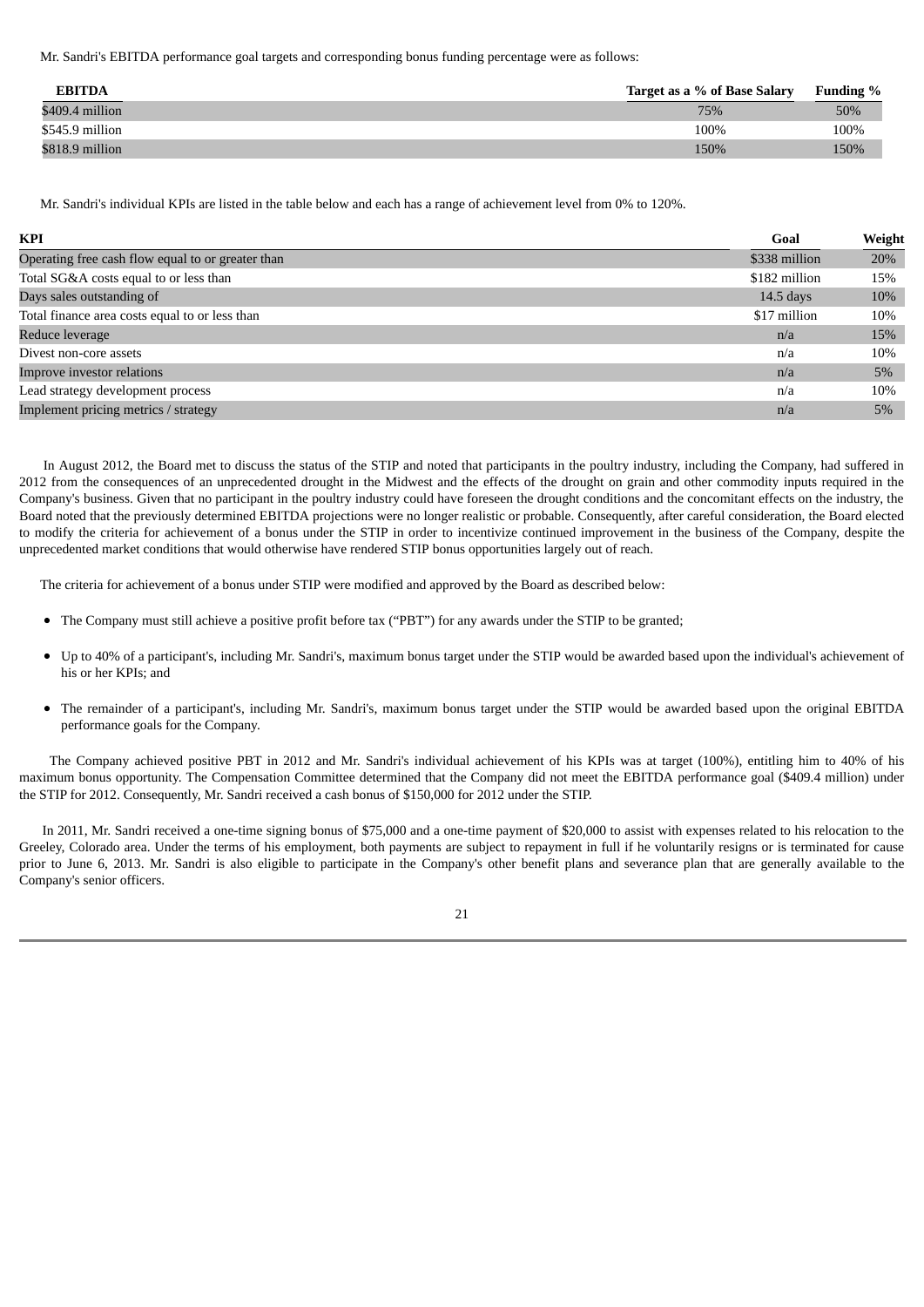Mr. Sandri's EBITDA performance goal targets and corresponding bonus funding percentage were as follows:

| <b>EBITDA</b>    | Target as a % of Base Salary | Funding % |
|------------------|------------------------------|-----------|
| \$409.4 million  | 75%                          | 50%       |
| \$545.9 million  | 100%                         | 100%      |
| $$818.9$ million | 150%                         | 150%      |

Mr. Sandri's individual KPIs are listed in the table below and each has a range of achievement level from 0% to 120%.

| <b>KPI</b>                                        | Goal          | Weight |
|---------------------------------------------------|---------------|--------|
| Operating free cash flow equal to or greater than | \$338 million | 20%    |
| Total SG&A costs equal to or less than            | \$182 million | 15%    |
| Days sales outstanding of                         | $14.5$ days   | 10%    |
| Total finance area costs equal to or less than    | \$17 million  | 10%    |
| Reduce leverage                                   | n/a           | 15%    |
| Divest non-core assets                            | n/a           | 10%    |
| Improve investor relations                        | n/a           | 5%     |
| Lead strategy development process                 | n/a           | 10%    |
| Implement pricing metrics / strategy              | n/a           | 5%     |

In August 2012, the Board met to discuss the status of the STIP and noted that participants in the poultry industry, including the Company, had suffered in 2012 from the consequences of an unprecedented drought in the Midwest and the effects of the drought on grain and other commodity inputs required in the Company's business. Given that no participant in the poultry industry could have foreseen the drought conditions and the concomitant effects on the industry, the Board noted that the previously determined EBITDA projections were no longer realistic or probable. Consequently, after careful consideration, the Board elected to modify the criteria for achievement of a bonus under the STIP in order to incentivize continued improvement in the business of the Company, despite the unprecedented market conditions that would otherwise have rendered STIP bonus opportunities largely out of reach.

The criteria for achievement of a bonus under STIP were modified and approved by the Board as described below:

- The Company must still achieve a positive profit before tax ("PBT") for any awards under the STIP to be granted;
- Up to 40% of a participant's, including Mr. Sandri's, maximum bonus target under the STIP would be awarded based upon the individual's achievement of his or her KPIs; and
- The remainder of a participant's, including Mr. Sandri's, maximum bonus target under the STIP would be awarded based upon the original EBITDA performance goals for the Company.

The Company achieved positive PBT in 2012 and Mr. Sandri's individual achievement of his KPIs was at target (100%), entitling him to 40% of his maximum bonus opportunity. The Compensation Committee determined that the Company did not meet the EBITDA performance goal (\$409.4 million) under the STIP for 2012. Consequently, Mr. Sandri received a cash bonus of \$150,000 for 2012 under the STIP.

In 2011, Mr. Sandri received a one-time signing bonus of \$75,000 and a one-time payment of \$20,000 to assist with expenses related to his relocation to the Greeley, Colorado area. Under the terms of his employment, both payments are subject to repayment in full if he voluntarily resigns or is terminated for cause prior to June 6, 2013. Mr. Sandri is also eligible to participate in the Company's other benefit plans and severance plan that are generally available to the Company's senior officers.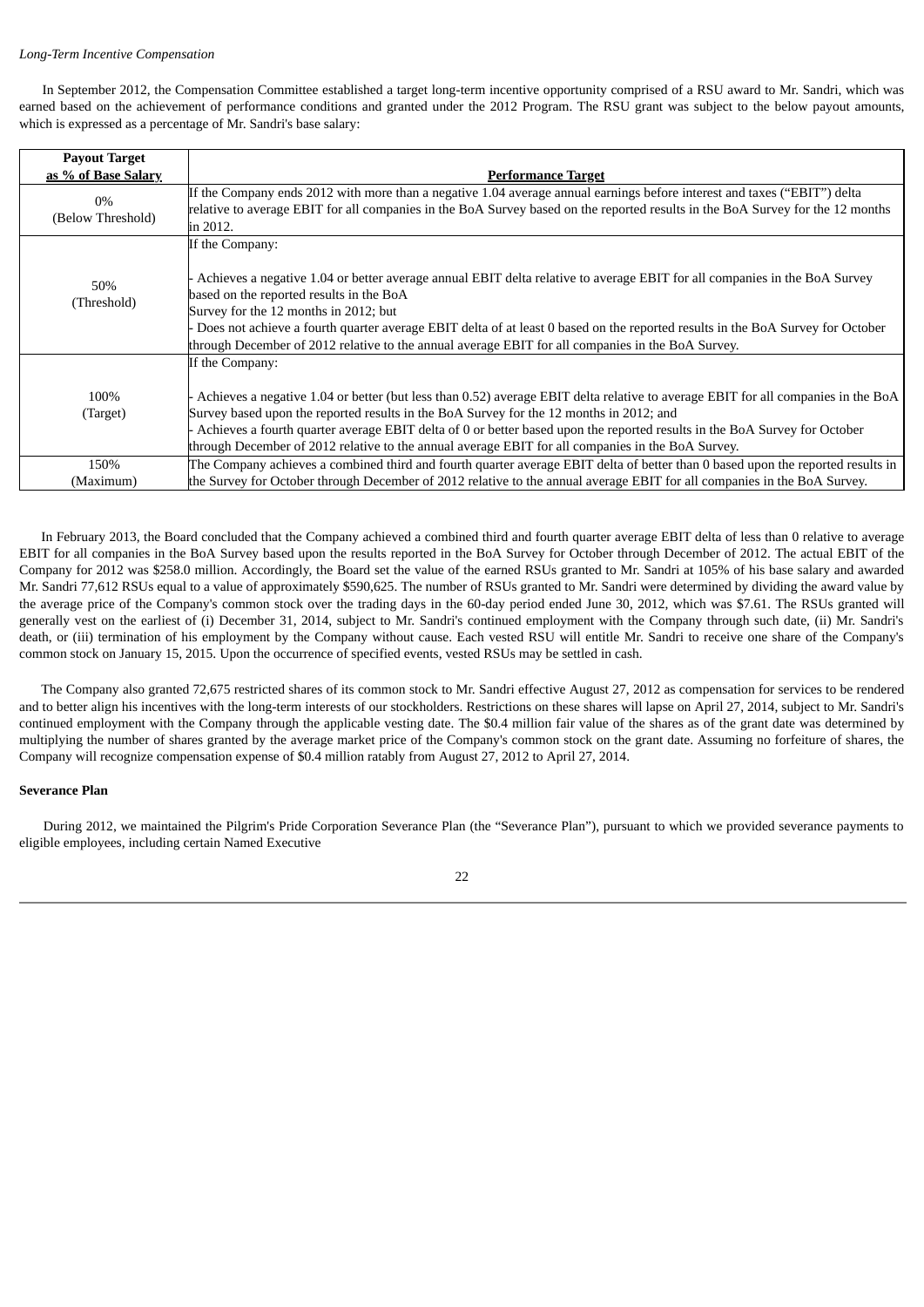#### *Long-Term Incentive Compensation*

In September 2012, the Compensation Committee established a target long-term incentive opportunity comprised of a RSU award to Mr. Sandri, which was earned based on the achievement of performance conditions and granted under the 2012 Program. The RSU grant was subject to the below payout amounts, which is expressed as a percentage of Mr. Sandri's base salary:

| <b>Payout Target</b>    |                                                                                                                                                                                                                                                                                                                                                                                                                                                                                    |
|-------------------------|------------------------------------------------------------------------------------------------------------------------------------------------------------------------------------------------------------------------------------------------------------------------------------------------------------------------------------------------------------------------------------------------------------------------------------------------------------------------------------|
| as % of Base Salary     | <b>Performance Target</b>                                                                                                                                                                                                                                                                                                                                                                                                                                                          |
| 0%<br>(Below Threshold) | If the Company ends 2012 with more than a negative 1.04 average annual earnings before interest and taxes ("EBIT") delta<br>relative to average EBIT for all companies in the BoA Survey based on the reported results in the BoA Survey for the 12 months<br>in 2012.                                                                                                                                                                                                             |
| 50%<br>(Threshold)      | If the Company:<br>Achieves a negative 1.04 or better average annual EBIT delta relative to average EBIT for all companies in the BoA Survey<br>based on the reported results in the BoA<br>Survey for the 12 months in 2012; but<br>- Does not achieve a fourth quarter average EBIT delta of at least 0 based on the reported results in the BoA Survey for October<br>through December of 2012 relative to the annual average EBIT for all companies in the BoA Survey.         |
| 100%<br>(Target)        | If the Company:<br>Achieves a negative 1.04 or better (but less than 0.52) average EBIT delta relative to average EBIT for all companies in the BoA<br>Survey based upon the reported results in the BoA Survey for the 12 months in 2012; and<br>- Achieves a fourth quarter average EBIT delta of 0 or better based upon the reported results in the BoA Survey for October<br>through December of 2012 relative to the annual average EBIT for all companies in the BoA Survey. |
| 150%                    | The Company achieves a combined third and fourth quarter average EBIT delta of better than 0 based upon the reported results in                                                                                                                                                                                                                                                                                                                                                    |
| (Maximum)               | the Survey for October through December of 2012 relative to the annual average EBIT for all companies in the BoA Survey.                                                                                                                                                                                                                                                                                                                                                           |

In February 2013, the Board concluded that the Company achieved a combined third and fourth quarter average EBIT delta of less than 0 relative to average EBIT for all companies in the BoA Survey based upon the results reported in the BoA Survey for October through December of 2012. The actual EBIT of the Company for 2012 was \$258.0 million. Accordingly, the Board set the value of the earned RSUs granted to Mr. Sandri at 105% of his base salary and awarded Mr. Sandri 77,612 RSUs equal to a value of approximately \$590,625. The number of RSUs granted to Mr. Sandri were determined by dividing the award value by the average price of the Company's common stock over the trading days in the 60-day period ended June 30, 2012, which was \$7.61. The RSUs granted will generally vest on the earliest of (i) December 31, 2014, subject to Mr. Sandri's continued employment with the Company through such date, (ii) Mr. Sandri's death, or (iii) termination of his employment by the Company without cause. Each vested RSU will entitle Mr. Sandri to receive one share of the Company's common stock on January 15, 2015. Upon the occurrence of specified events, vested RSUs may be settled in cash.

The Company also granted 72,675 restricted shares of its common stock to Mr. Sandri effective August 27, 2012 as compensation for services to be rendered and to better align his incentives with the long-term interests of our stockholders. Restrictions on these shares will lapse on April 27, 2014, subject to Mr. Sandri's continued employment with the Company through the applicable vesting date. The \$0.4 million fair value of the shares as of the grant date was determined by multiplying the number of shares granted by the average market price of the Company's common stock on the grant date. Assuming no forfeiture of shares, the Company will recognize compensation expense of \$0.4 million ratably from August 27, 2012 to April 27, 2014.

#### **Severance Plan**

During 2012, we maintained the Pilgrim's Pride Corporation Severance Plan (the "Severance Plan"), pursuant to which we provided severance payments to eligible employees, including certain Named Executive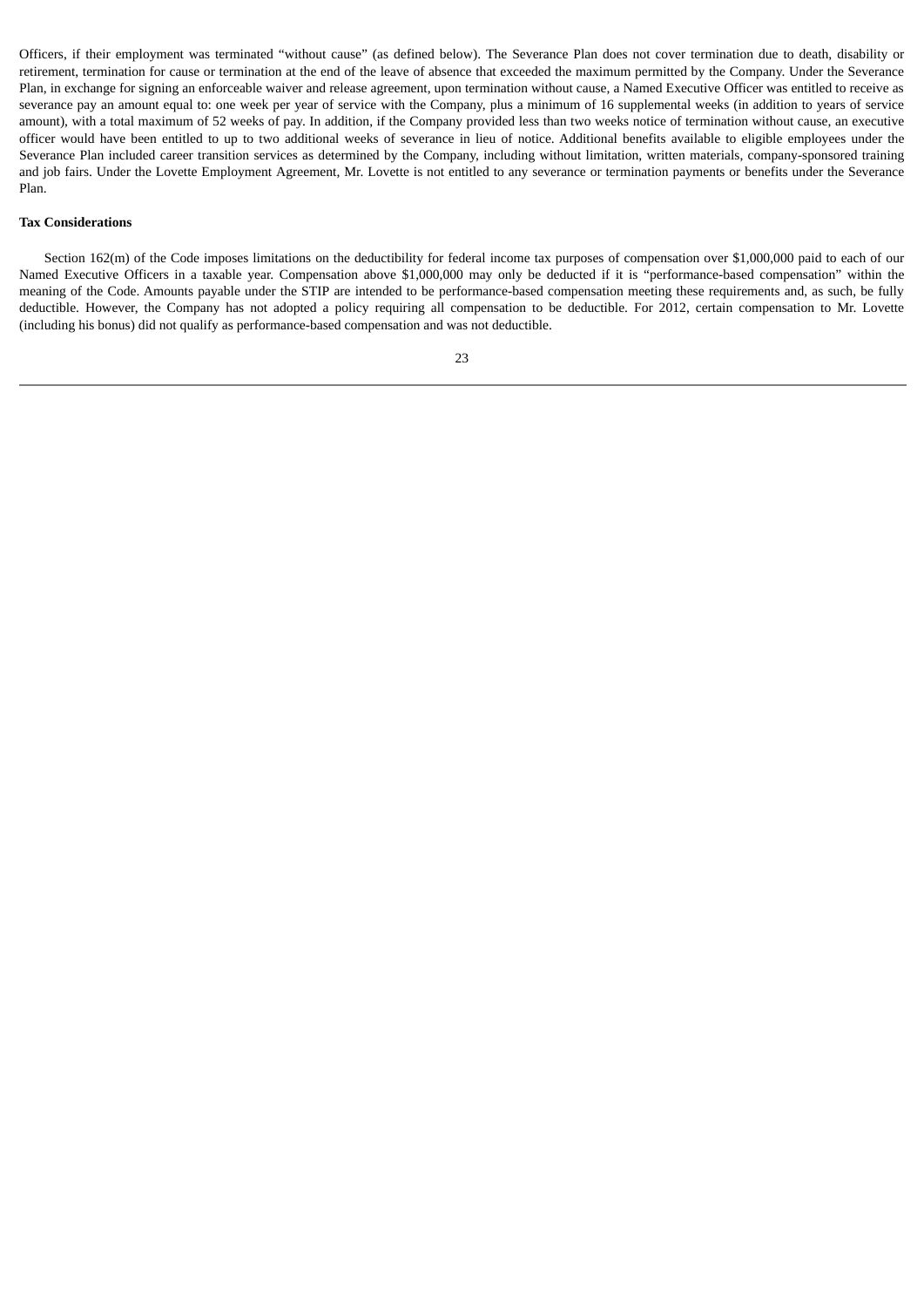Officers, if their employment was terminated "without cause" (as defined below). The Severance Plan does not cover termination due to death, disability or retirement, termination for cause or termination at the end of the leave of absence that exceeded the maximum permitted by the Company. Under the Severance Plan, in exchange for signing an enforceable waiver and release agreement, upon termination without cause, a Named Executive Officer was entitled to receive as severance pay an amount equal to: one week per year of service with the Company, plus a minimum of 16 supplemental weeks (in addition to years of service amount), with a total maximum of 52 weeks of pay. In addition, if the Company provided less than two weeks notice of termination without cause, an executive officer would have been entitled to up to two additional weeks of severance in lieu of notice. Additional benefits available to eligible employees under the Severance Plan included career transition services as determined by the Company, including without limitation, written materials, company-sponsored training and job fairs. Under the Lovette Employment Agreement, Mr. Lovette is not entitled to any severance or termination payments or benefits under the Severance Plan.

#### **Tax Considerations**

Section 162(m) of the Code imposes limitations on the deductibility for federal income tax purposes of compensation over \$1,000,000 paid to each of our Named Executive Officers in a taxable year. Compensation above \$1,000,000 may only be deducted if it is "performance-based compensation" within the meaning of the Code. Amounts payable under the STIP are intended to be performance-based compensation meeting these requirements and, as such, be fully deductible. However, the Company has not adopted a policy requiring all compensation to be deductible. For 2012, certain compensation to Mr. Lovette (including his bonus) did not qualify as performance-based compensation and was not deductible.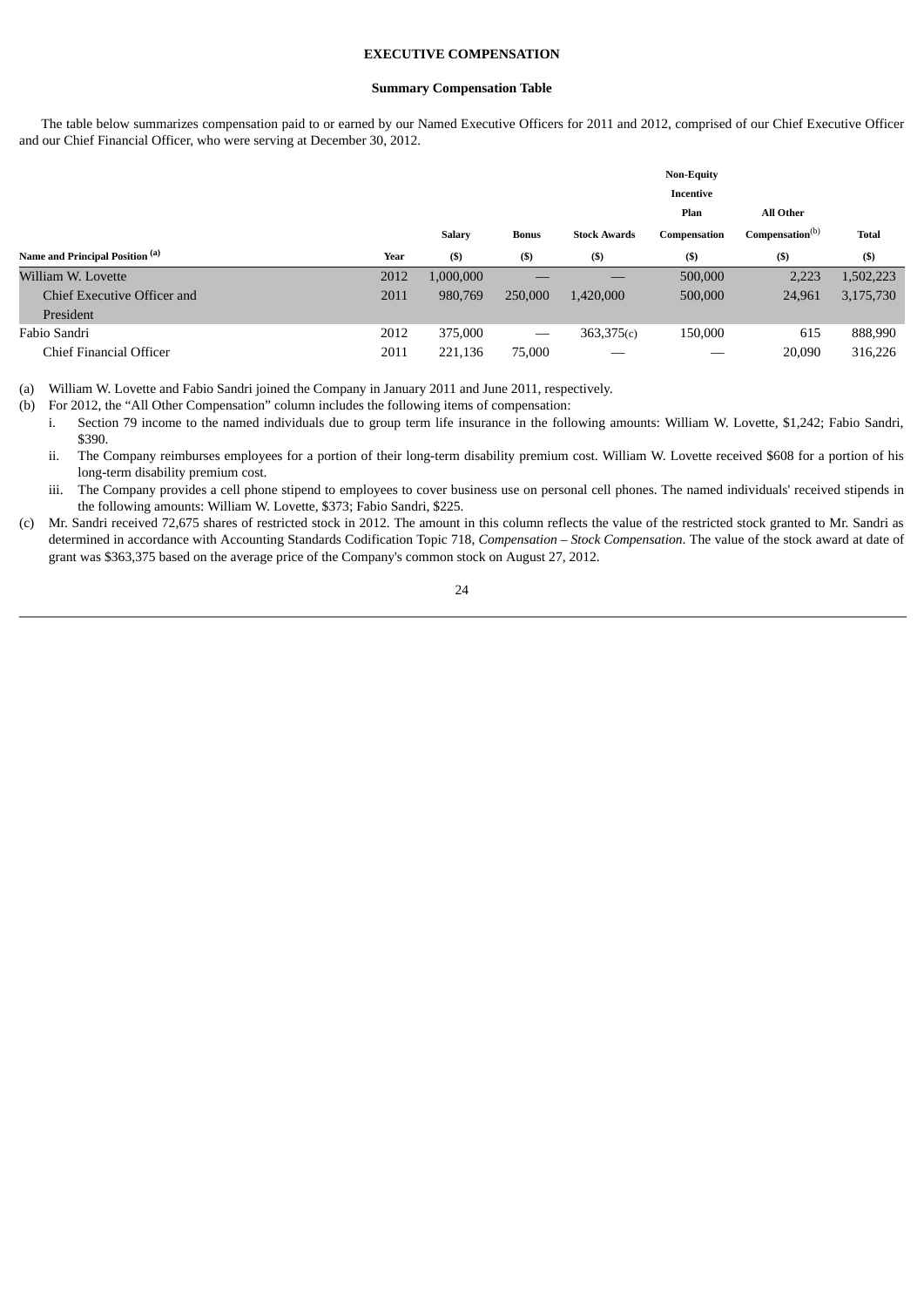#### **EXECUTIVE COMPENSATION**

#### **Summary Compensation Table**

The table below summarizes compensation paid to or earned by our Named Executive Officers for 2011 and 2012, comprised of our Chief Executive Officer and our Chief Financial Officer, who were serving at December 30, 2012.

|                                 |      |               |                 |                     | <b>Non-Equity</b> |                             |              |
|---------------------------------|------|---------------|-----------------|---------------------|-------------------|-----------------------------|--------------|
|                                 |      |               |                 |                     | Incentive         |                             |              |
|                                 |      |               |                 |                     | Plan              | <b>All Other</b>            |              |
|                                 |      | <b>Salary</b> | <b>Bonus</b>    | <b>Stock Awards</b> | Compensation      | Compensation <sup>(b)</sup> | <b>Total</b> |
| Name and Principal Position (a) | Year | (S)           | $($ \$          | $(s)$               | $(s)$             | $($)$                       | $(5)$        |
| William W. Lovette              | 2012 | 1,000,000     |                 |                     | 500,000           | 2,223                       | 1,502,223    |
| Chief Executive Officer and     | 2011 | 980,769       | 250,000         | 1,420,000           | 500,000           | 24,961                      | 3,175,730    |
| President                       |      |               |                 |                     |                   |                             |              |
| Fabio Sandri                    | 2012 | 375,000       | $\qquad \qquad$ | 363,375(c)          | 150,000           | 615                         | 888,990      |
| Chief Financial Officer         | 2011 | 221,136       | 75,000          |                     |                   | 20,090                      | 316,226      |

(a) William W. Lovette and Fabio Sandri joined the Company in January 2011 and June 2011, respectively.

(b) For 2012, the "All Other Compensation" column includes the following items of compensation:

i. Section 79 income to the named individuals due to group term life insurance in the following amounts: William W. Lovette, \$1,242; Fabio Sandri, \$390.

ii. The Company reimburses employees for a portion of their long-term disability premium cost. William W. Lovette received \$608 for a portion of his long-term disability premium cost.

iii. The Company provides a cell phone stipend to employees to cover business use on personal cell phones. The named individuals' received stipends in the following amounts: William W. Lovette, \$373; Fabio Sandri, \$225.

(c) Mr. Sandri received 72,675 shares of restricted stock in 2012. The amount in this column reflects the value of the restricted stock granted to Mr. Sandri as determined in accordance with Accounting Standards Codification Topic 718, *Compensation – Stock Compensation*. The value of the stock award at date of grant was \$363,375 based on the average price of the Company's common stock on August 27, 2012.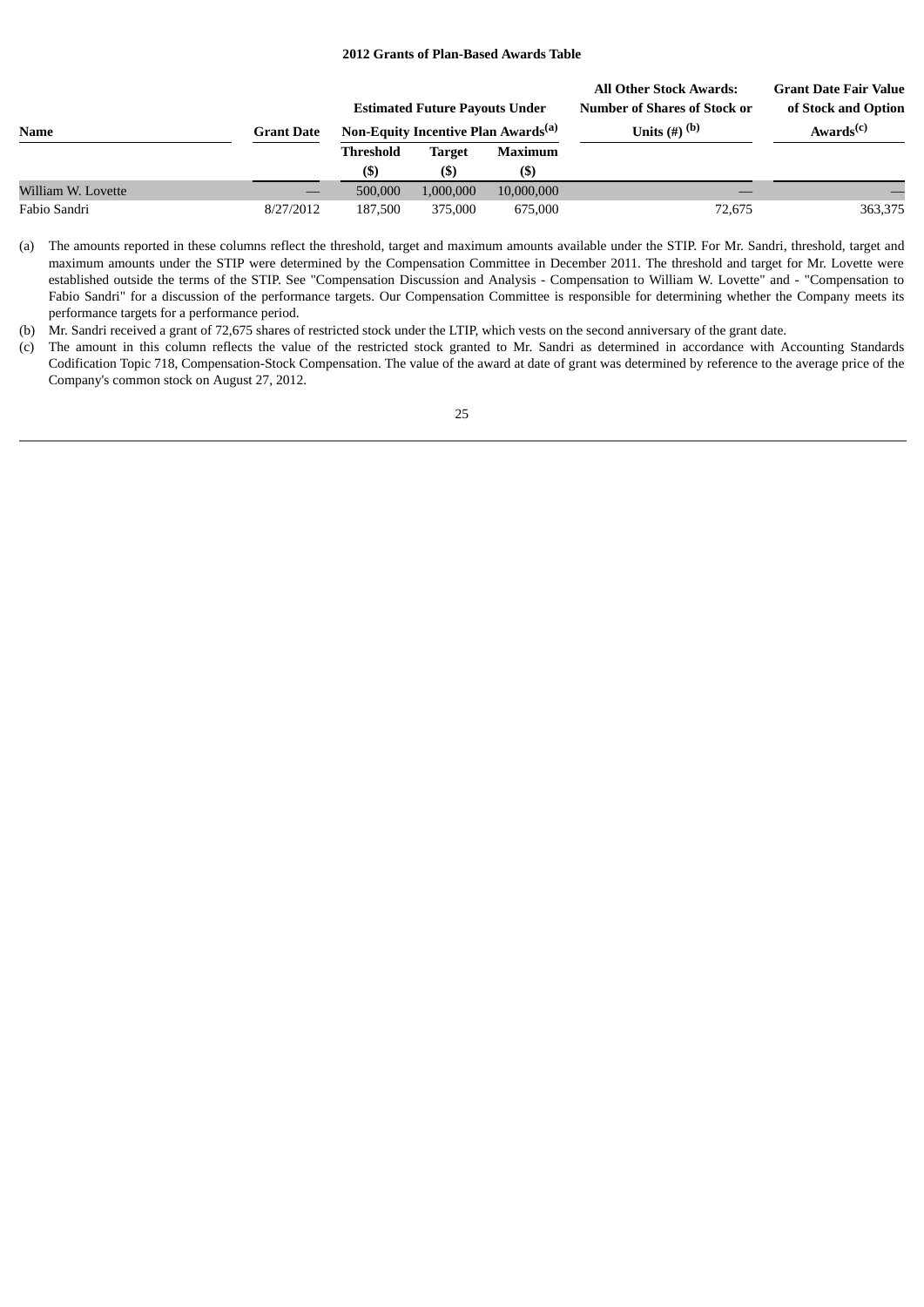#### **2012 Grants of Plan-Based Awards Table**

| <b>Name</b>        | <b>Grant Date</b> | <b>Estimated Future Payouts Under</b><br>Non-Equity Incentive Plan Awards <sup>(a)</sup> |               |                | <b>All Other Stock Awards:</b><br><b>Number of Shares of Stock or</b><br>Units $(\#)$ $(b)$ | <b>Grant Date Fair Value</b><br>of Stock and Option<br>Awards <sup>(c)</sup> |  |
|--------------------|-------------------|------------------------------------------------------------------------------------------|---------------|----------------|---------------------------------------------------------------------------------------------|------------------------------------------------------------------------------|--|
|                    |                   | <b>Threshold</b>                                                                         | <b>Target</b> | <b>Maximum</b> |                                                                                             |                                                                              |  |
|                    |                   | (\$)                                                                                     | (S)           | $($ \$)        |                                                                                             |                                                                              |  |
| William W. Lovette |                   | 500,000                                                                                  | 1,000,000     | 10,000,000     |                                                                                             |                                                                              |  |
| Fabio Sandri       | 8/27/2012         | 187,500                                                                                  | 375,000       | 675,000        | 72,675                                                                                      | 363,375                                                                      |  |

(a) The amounts reported in these columns reflect the threshold, target and maximum amounts available under the STIP. For Mr. Sandri, threshold, target and maximum amounts under the STIP were determined by the Compensation Committee in December 2011. The threshold and target for Mr. Lovette were established outside the terms of the STIP. See "Compensation Discussion and Analysis - Compensation to William W. Lovette" and - "Compensation to Fabio Sandri" for a discussion of the performance targets. Our Compensation Committee is responsible for determining whether the Company meets its performance targets for a performance period.

(b) Mr. Sandri received a grant of 72,675 shares of restricted stock under the LTIP, which vests on the second anniversary of the grant date.

(c) The amount in this column reflects the value of the restricted stock granted to Mr. Sandri as determined in accordance with Accounting Standards Codification Topic 718, Compensation-Stock Compensation. The value of the award at date of grant was determined by reference to the average price of the Company's common stock on August 27, 2012.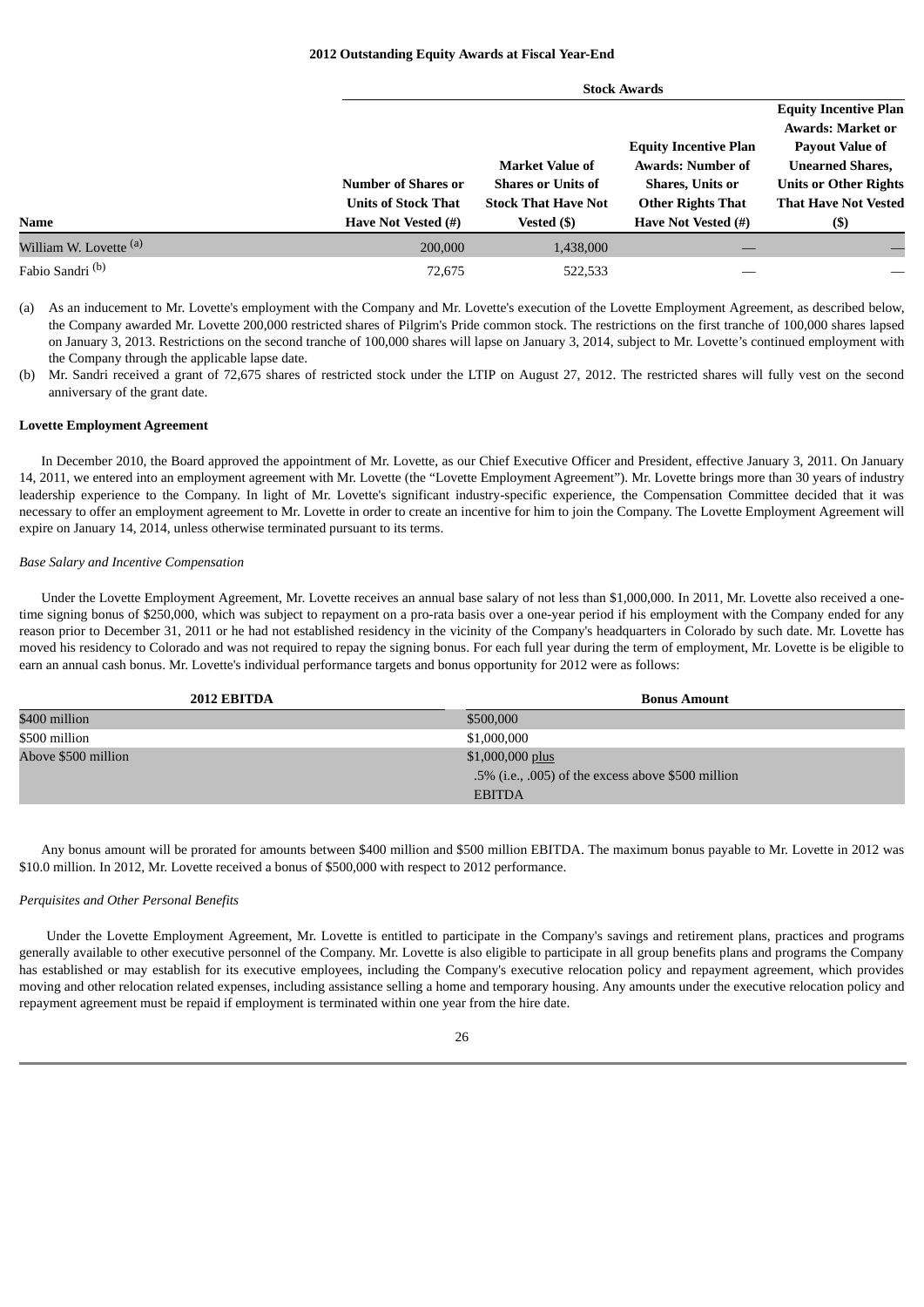#### **2012 Outstanding Equity Awards at Fiscal Year-End**

|                                   |                            | <b>Stock Awards</b>        |                              |                              |  |  |  |  |  |
|-----------------------------------|----------------------------|----------------------------|------------------------------|------------------------------|--|--|--|--|--|
|                                   |                            |                            |                              | <b>Equity Incentive Plan</b> |  |  |  |  |  |
|                                   |                            |                            |                              | <b>Awards: Market or</b>     |  |  |  |  |  |
|                                   |                            |                            | <b>Equity Incentive Plan</b> | <b>Payout Value of</b>       |  |  |  |  |  |
|                                   |                            | Market Value of            | Awards: Number of            | <b>Unearned Shares,</b>      |  |  |  |  |  |
|                                   | Number of Shares or        | <b>Shares or Units of</b>  | <b>Shares, Units or</b>      | <b>Units or Other Rights</b> |  |  |  |  |  |
|                                   | <b>Units of Stock That</b> | <b>Stock That Have Not</b> | <b>Other Rights That</b>     | <b>That Have Not Vested</b>  |  |  |  |  |  |
| Name                              | Have Not Vested (#)        | Vested (\$)                | Have Not Vested (#)          | (\$)                         |  |  |  |  |  |
| William W. Lovette <sup>(a)</sup> | 200,000                    | 1,438,000                  |                              |                              |  |  |  |  |  |
| Fabio Sandri <sup>(b)</sup>       | 72,675                     | 522,533                    |                              |                              |  |  |  |  |  |

(a) As an inducement to Mr. Lovette's employment with the Company and Mr. Lovette's execution of the Lovette Employment Agreement, as described below, the Company awarded Mr. Lovette 200,000 restricted shares of Pilgrim's Pride common stock. The restrictions on the first tranche of 100,000 shares lapsed on January 3, 2013. Restrictions on the second tranche of 100,000 shares will lapse on January 3, 2014, subject to Mr. Lovette's continued employment with the Company through the applicable lapse date.

(b) Mr. Sandri received a grant of 72,675 shares of restricted stock under the LTIP on August 27, 2012. The restricted shares will fully vest on the second anniversary of the grant date.

#### **Lovette Employment Agreement**

In December 2010, the Board approved the appointment of Mr. Lovette, as our Chief Executive Officer and President, effective January 3, 2011. On January 14, 2011, we entered into an employment agreement with Mr. Lovette (the "Lovette Employment Agreement"). Mr. Lovette brings more than 30 years of industry leadership experience to the Company. In light of Mr. Lovette's significant industry-specific experience, the Compensation Committee decided that it was necessary to offer an employment agreement to Mr. Lovette in order to create an incentive for him to join the Company. The Lovette Employment Agreement will expire on January 14, 2014, unless otherwise terminated pursuant to its terms.

#### *Base Salary and Incentive Compensation*

Under the Lovette Employment Agreement, Mr. Lovette receives an annual base salary of not less than \$1,000,000. In 2011, Mr. Lovette also received a onetime signing bonus of \$250,000, which was subject to repayment on a pro-rata basis over a one-year period if his employment with the Company ended for any reason prior to December 31, 2011 or he had not established residency in the vicinity of the Company's headquarters in Colorado by such date. Mr. Lovette has moved his residency to Colorado and was not required to repay the signing bonus. For each full year during the term of employment, Mr. Lovette is be eligible to earn an annual cash bonus. Mr. Lovette's individual performance targets and bonus opportunity for 2012 were as follows:

| 2012 EBITDA         | <b>Bonus Amount</b>                                |
|---------------------|----------------------------------------------------|
| \$400 million       | \$500,000                                          |
| \$500 million       | \$1,000,000                                        |
| Above \$500 million | $$1,000,000$ plus                                  |
|                     | .5% (i.e., .005) of the excess above \$500 million |
|                     | <b>EBITDA</b>                                      |

Any bonus amount will be prorated for amounts between \$400 million and \$500 million EBITDA. The maximum bonus payable to Mr. Lovette in 2012 was \$10.0 million. In 2012, Mr. Lovette received a bonus of \$500,000 with respect to 2012 performance.

#### *Perquisites and Other Personal Benefits*

Under the Lovette Employment Agreement, Mr. Lovette is entitled to participate in the Company's savings and retirement plans, practices and programs generally available to other executive personnel of the Company. Mr. Lovette is also eligible to participate in all group benefits plans and programs the Company has established or may establish for its executive employees, including the Company's executive relocation policy and repayment agreement, which provides moving and other relocation related expenses, including assistance selling a home and temporary housing. Any amounts under the executive relocation policy and repayment agreement must be repaid if employment is terminated within one year from the hire date.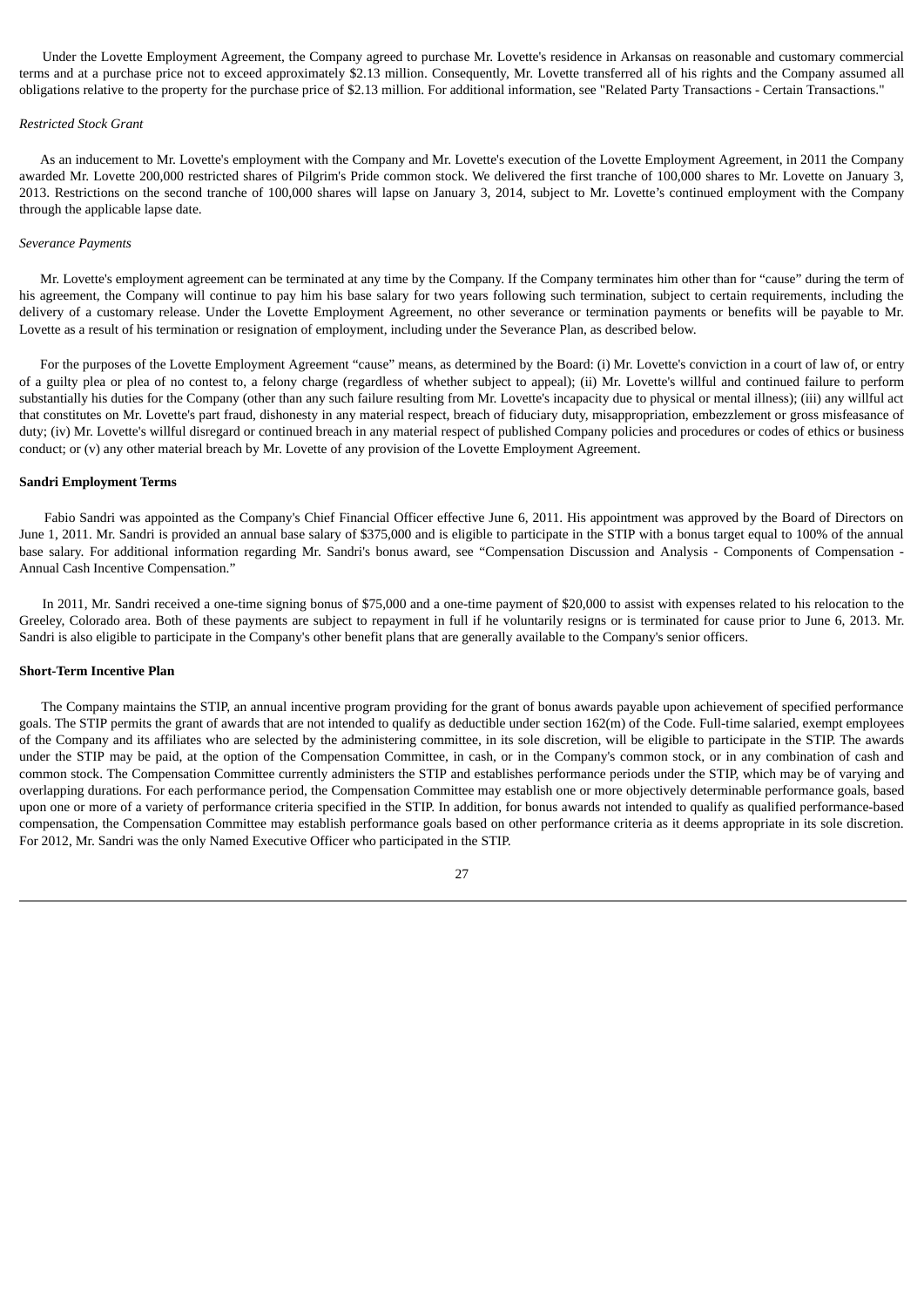Under the Lovette Employment Agreement, the Company agreed to purchase Mr. Lovette's residence in Arkansas on reasonable and customary commercial terms and at a purchase price not to exceed approximately \$2.13 million. Consequently, Mr. Lovette transferred all of his rights and the Company assumed all obligations relative to the property for the purchase price of \$2.13 million. For additional information, see "Related Party Transactions - Certain Transactions."

#### *Restricted Stock Grant*

 As an inducement to Mr. Lovette's employment with the Company and Mr. Lovette's execution of the Lovette Employment Agreement, in 2011 the Company awarded Mr. Lovette 200,000 restricted shares of Pilgrim's Pride common stock. We delivered the first tranche of 100,000 shares to Mr. Lovette on January 3, 2013. Restrictions on the second tranche of 100,000 shares will lapse on January 3, 2014, subject to Mr. Lovette's continued employment with the Company through the applicable lapse date.

#### *Severance Payments*

 Mr. Lovette's employment agreement can be terminated at any time by the Company. If the Company terminates him other than for "cause" during the term of his agreement, the Company will continue to pay him his base salary for two years following such termination, subject to certain requirements, including the delivery of a customary release. Under the Lovette Employment Agreement, no other severance or termination payments or benefits will be payable to Mr. Lovette as a result of his termination or resignation of employment, including under the Severance Plan, as described below.

 For the purposes of the Lovette Employment Agreement "cause" means, as determined by the Board: (i) Mr. Lovette's conviction in a court of law of, or entry of a guilty plea or plea of no contest to, a felony charge (regardless of whether subject to appeal); (ii) Mr. Lovette's willful and continued failure to perform substantially his duties for the Company (other than any such failure resulting from Mr. Lovette's incapacity due to physical or mental illness); (iii) any willful act that constitutes on Mr. Lovette's part fraud, dishonesty in any material respect, breach of fiduciary duty, misappropriation, embezzlement or gross misfeasance of duty; (iv) Mr. Lovette's willful disregard or continued breach in any material respect of published Company policies and procedures or codes of ethics or business conduct; or (v) any other material breach by Mr. Lovette of any provision of the Lovette Employment Agreement.

#### **Sandri Employment Terms**

Fabio Sandri was appointed as the Company's Chief Financial Officer effective June 6, 2011. His appointment was approved by the Board of Directors on June 1, 2011. Mr. Sandri is provided an annual base salary of \$375,000 and is eligible to participate in the STIP with a bonus target equal to 100% of the annual base salary. For additional information regarding Mr. Sandri's bonus award, see "Compensation Discussion and Analysis - Components of Compensation - Annual Cash Incentive Compensation."

In 2011, Mr. Sandri received a one-time signing bonus of \$75,000 and a one-time payment of \$20,000 to assist with expenses related to his relocation to the Greeley, Colorado area. Both of these payments are subject to repayment in full if he voluntarily resigns or is terminated for cause prior to June 6, 2013. Mr. Sandri is also eligible to participate in the Company's other benefit plans that are generally available to the Company's senior officers.

#### **Short-Term Incentive Plan**

The Company maintains the STIP, an annual incentive program providing for the grant of bonus awards payable upon achievement of specified performance goals. The STIP permits the grant of awards that are not intended to qualify as deductible under section 162(m) of the Code. Full-time salaried, exempt employees of the Company and its affiliates who are selected by the administering committee, in its sole discretion, will be eligible to participate in the STIP. The awards under the STIP may be paid, at the option of the Compensation Committee, in cash, or in the Company's common stock, or in any combination of cash and common stock. The Compensation Committee currently administers the STIP and establishes performance periods under the STIP, which may be of varying and overlapping durations. For each performance period, the Compensation Committee may establish one or more objectively determinable performance goals, based upon one or more of a variety of performance criteria specified in the STIP. In addition, for bonus awards not intended to qualify as qualified performance-based compensation, the Compensation Committee may establish performance goals based on other performance criteria as it deems appropriate in its sole discretion. For 2012, Mr. Sandri was the only Named Executive Officer who participated in the STIP.

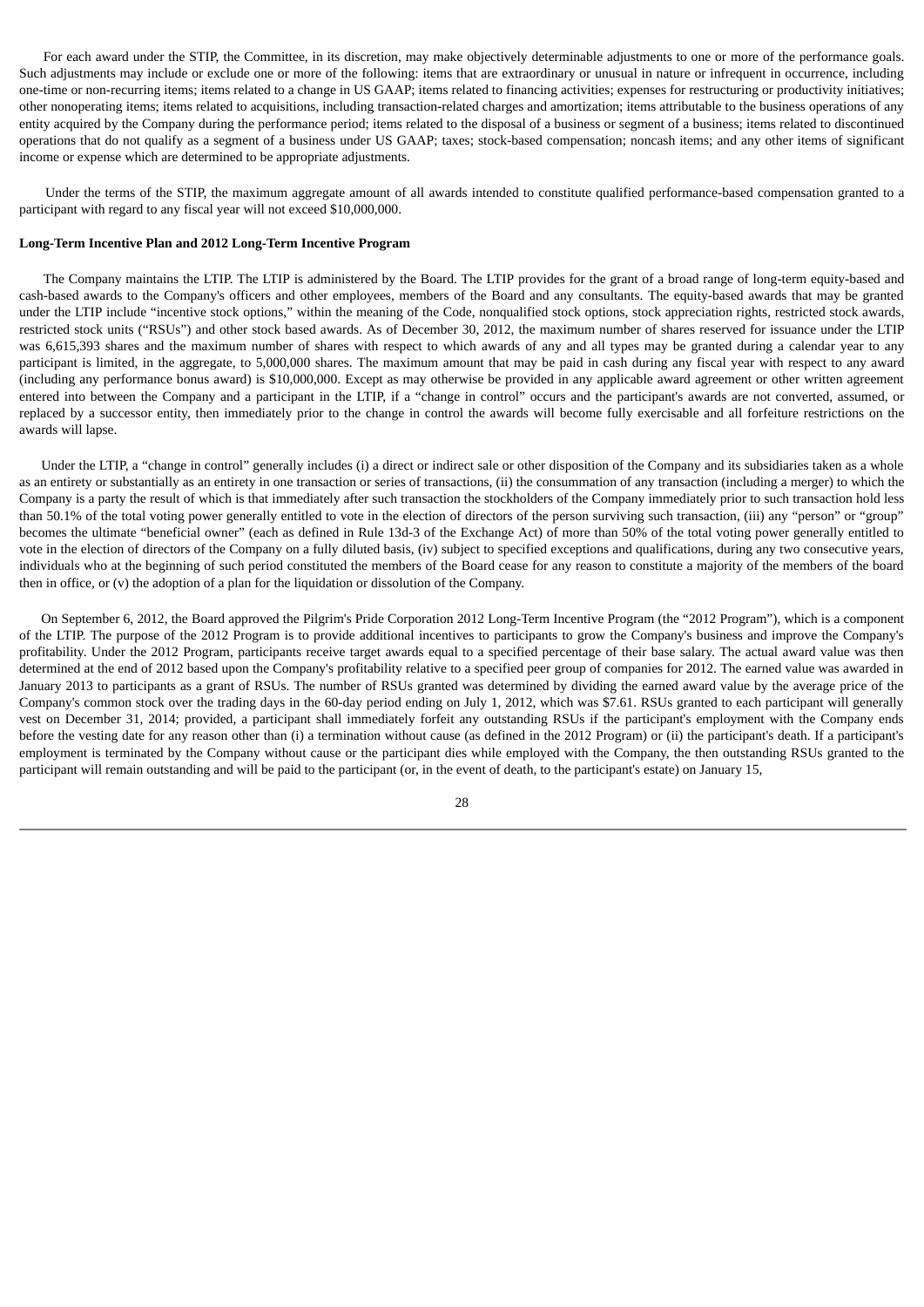For each award under the STIP, the Committee, in its discretion, may make objectively determinable adjustments to one or more of the performance goals. Such adjustments may include or exclude one or more of the following: items that are extraordinary or unusual in nature or infrequent in occurrence, including one-time or non-recurring items; items related to a change in US GAAP; items related to financing activities; expenses for restructuring or productivity initiatives; other nonoperating items; items related to acquisitions, including transaction-related charges and amortization; items attributable to the business operations of any entity acquired by the Company during the performance period; items related to the disposal of a business or segment of a business; items related to discontinued operations that do not qualify as a segment of a business under US GAAP; taxes; stock-based compensation; noncash items; and any other items of significant income or expense which are determined to be appropriate adjustments.

Under the terms of the STIP, the maximum aggregate amount of all awards intended to constitute qualified performance-based compensation granted to a participant with regard to any fiscal year will not exceed \$10,000,000.

#### **Long-Term Incentive Plan and 2012 Long-Term Incentive Program**

The Company maintains the LTIP. The LTIP is administered by the Board. The LTIP provides for the grant of a broad range of long-term equity-based and cash-based awards to the Company's officers and other employees, members of the Board and any consultants. The equity-based awards that may be granted under the LTIP include "incentive stock options," within the meaning of the Code, nonqualified stock options, stock appreciation rights, restricted stock awards, restricted stock units ("RSUs") and other stock based awards. As of December 30, 2012, the maximum number of shares reserved for issuance under the LTIP was 6,615,393 shares and the maximum number of shares with respect to which awards of any and all types may be granted during a calendar year to any participant is limited, in the aggregate, to 5,000,000 shares. The maximum amount that may be paid in cash during any fiscal year with respect to any award (including any performance bonus award) is \$10,000,000. Except as may otherwise be provided in any applicable award agreement or other written agreement entered into between the Company and a participant in the LTIP, if a "change in control" occurs and the participant's awards are not converted, assumed, or replaced by a successor entity, then immediately prior to the change in control the awards will become fully exercisable and all forfeiture restrictions on the awards will lapse.

Under the LTIP, a "change in control" generally includes (i) a direct or indirect sale or other disposition of the Company and its subsidiaries taken as a whole as an entirety or substantially as an entirety in one transaction or series of transactions, (ii) the consummation of any transaction (including a merger) to which the Company is a party the result of which is that immediately after such transaction the stockholders of the Company immediately prior to such transaction hold less than 50.1% of the total voting power generally entitled to vote in the election of directors of the person surviving such transaction, (iii) any "person" or "group" becomes the ultimate "beneficial owner" (each as defined in Rule 13d-3 of the Exchange Act) of more than 50% of the total voting power generally entitled to vote in the election of directors of the Company on a fully diluted basis, (iv) subject to specified exceptions and qualifications, during any two consecutive years, individuals who at the beginning of such period constituted the members of the Board cease for any reason to constitute a majority of the members of the board then in office, or (v) the adoption of a plan for the liquidation or dissolution of the Company.

On September 6, 2012, the Board approved the Pilgrim's Pride Corporation 2012 Long-Term Incentive Program (the "2012 Program"), which is a component of the LTIP. The purpose of the 2012 Program is to provide additional incentives to participants to grow the Company's business and improve the Company's profitability. Under the 2012 Program, participants receive target awards equal to a specified percentage of their base salary. The actual award value was then determined at the end of 2012 based upon the Company's profitability relative to a specified peer group of companies for 2012. The earned value was awarded in January 2013 to participants as a grant of RSUs. The number of RSUs granted was determined by dividing the earned award value by the average price of the Company's common stock over the trading days in the 60-day period ending on July 1, 2012, which was \$7.61. RSUs granted to each participant will generally vest on December 31, 2014; provided, a participant shall immediately forfeit any outstanding RSUs if the participant's employment with the Company ends before the vesting date for any reason other than (i) a termination without cause (as defined in the 2012 Program) or (ii) the participant's death. If a participant's employment is terminated by the Company without cause or the participant dies while employed with the Company, the then outstanding RSUs granted to the participant will remain outstanding and will be paid to the participant (or, in the event of death, to the participant's estate) on January 15,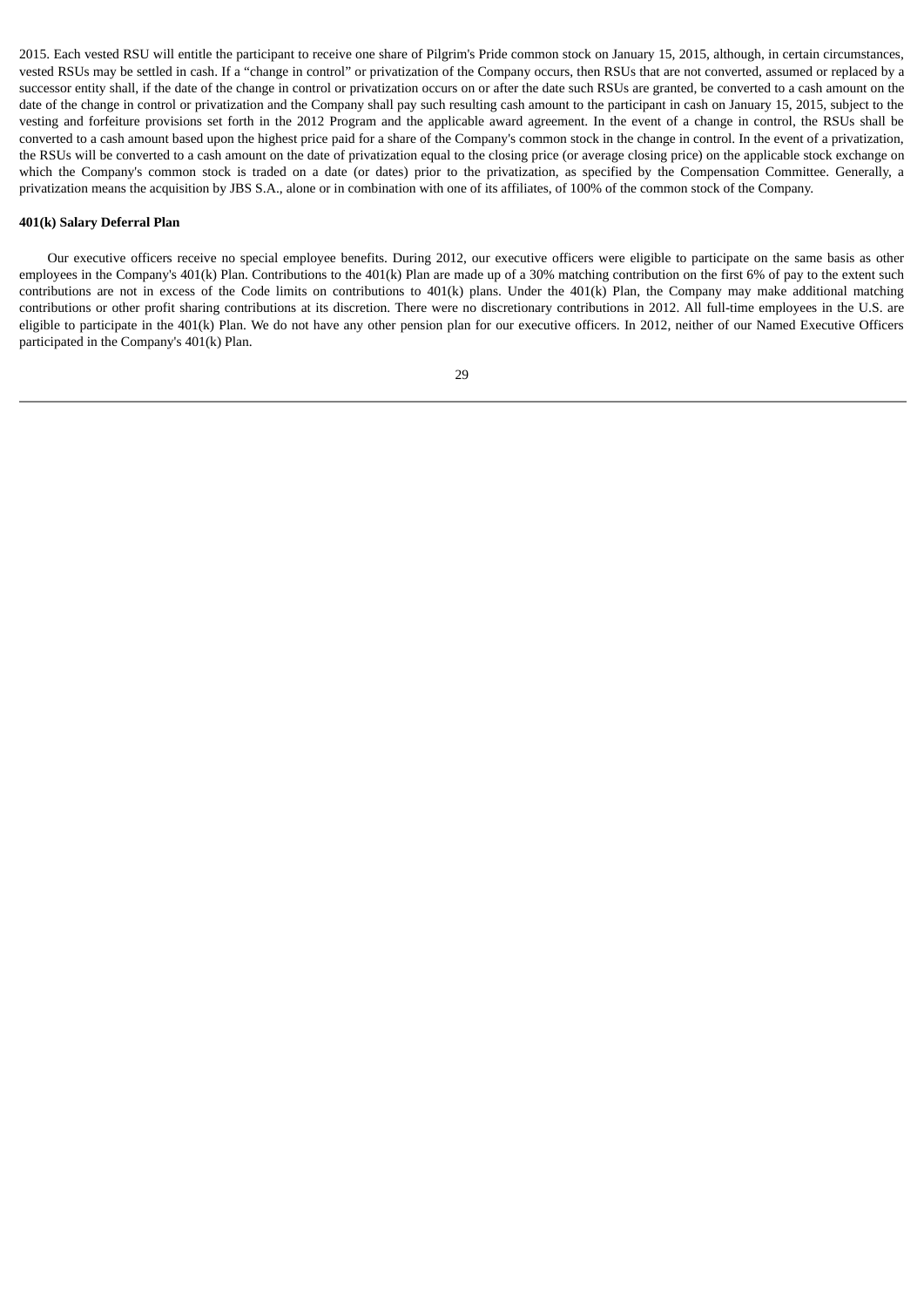2015. Each vested RSU will entitle the participant to receive one share of Pilgrim's Pride common stock on January 15, 2015, although, in certain circumstances, vested RSUs may be settled in cash. If a "change in control" or privatization of the Company occurs, then RSUs that are not converted, assumed or replaced by a successor entity shall, if the date of the change in control or privatization occurs on or after the date such RSUs are granted, be converted to a cash amount on the date of the change in control or privatization and the Company shall pay such resulting cash amount to the participant in cash on January 15, 2015, subject to the vesting and forfeiture provisions set forth in the 2012 Program and the applicable award agreement. In the event of a change in control, the RSUs shall be converted to a cash amount based upon the highest price paid for a share of the Company's common stock in the change in control. In the event of a privatization, the RSUs will be converted to a cash amount on the date of privatization equal to the closing price (or average closing price) on the applicable stock exchange on which the Company's common stock is traded on a date (or dates) prior to the privatization, as specified by the Compensation Committee. Generally, a privatization means the acquisition by JBS S.A., alone or in combination with one of its affiliates, of 100% of the common stock of the Company.

#### **401(k) Salary Deferral Plan**

Our executive officers receive no special employee benefits. During 2012, our executive officers were eligible to participate on the same basis as other employees in the Company's 401(k) Plan. Contributions to the 401(k) Plan are made up of a 30% matching contribution on the first 6% of pay to the extent such contributions are not in excess of the Code limits on contributions to  $401(k)$  plans. Under the  $401(k)$  Plan, the Company may make additional matching contributions or other profit sharing contributions at its discretion. There were no discretionary contributions in 2012. All full-time employees in the U.S. are eligible to participate in the 401(k) Plan. We do not have any other pension plan for our executive officers. In 2012, neither of our Named Executive Officers participated in the Company's 401(k) Plan.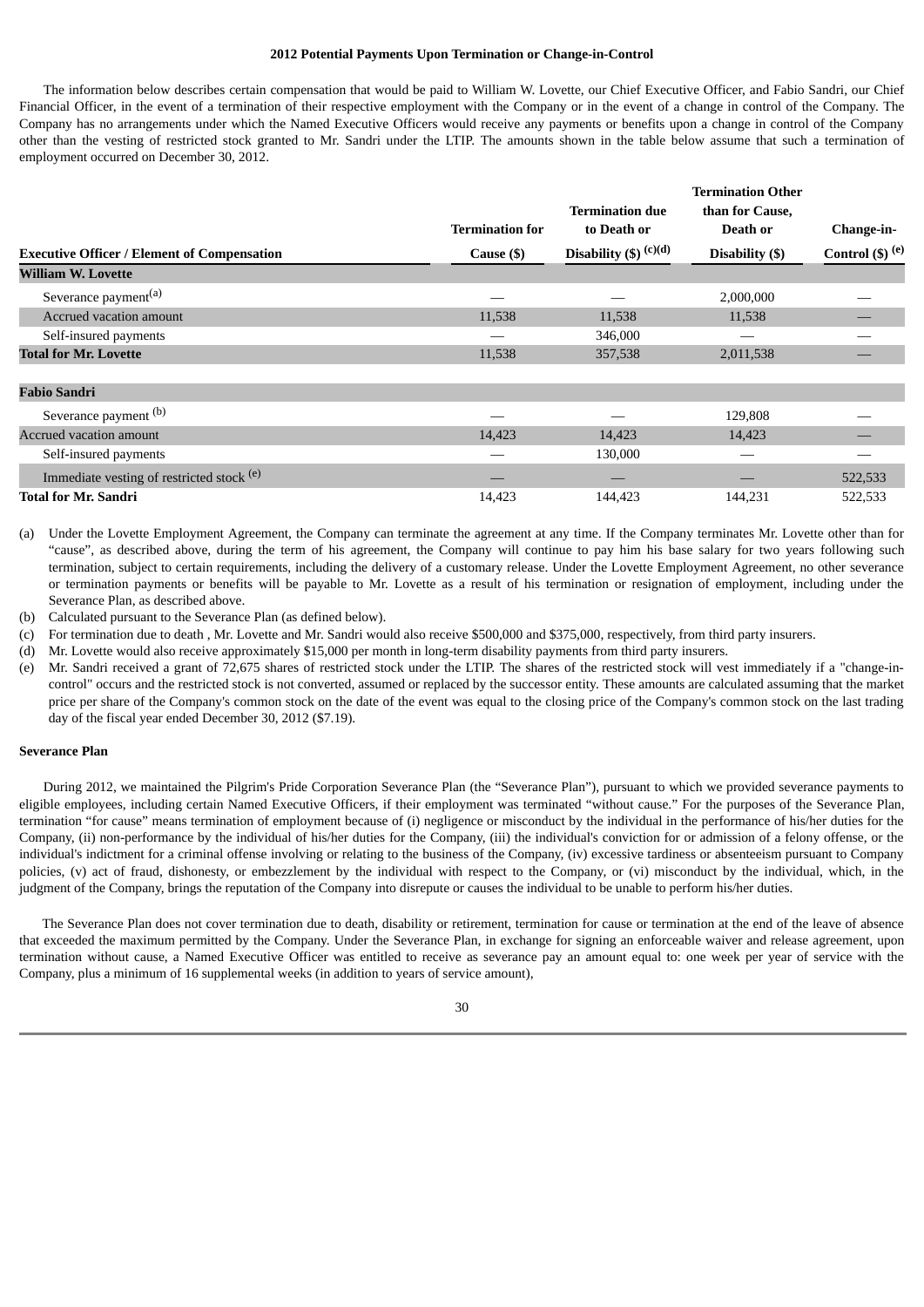#### **2012 Potential Payments Upon Termination or Change-in-Control**

The information below describes certain compensation that would be paid to William W. Lovette, our Chief Executive Officer, and Fabio Sandri, our Chief Financial Officer, in the event of a termination of their respective employment with the Company or in the event of a change in control of the Company. The Company has no arrangements under which the Named Executive Officers would receive any payments or benefits upon a change in control of the Company other than the vesting of restricted stock granted to Mr. Sandri under the LTIP. The amounts shown in the table below assume that such a termination of employment occurred on December 30, 2012.

|                                                    |                        |                                    | <b>Termination Other</b> |                      |  |
|----------------------------------------------------|------------------------|------------------------------------|--------------------------|----------------------|--|
|                                                    |                        | <b>Termination due</b>             | than for Cause,          |                      |  |
|                                                    | <b>Termination for</b> | to Death or                        | Death or                 | Change-in-           |  |
| <b>Executive Officer / Element of Compensation</b> | Cause $($ )            | Disability $(\mathsf{S})^{(c)(d)}$ | Disability (\$)          | Control $(\$)$ $(e)$ |  |
| <b>William W. Lovette</b>                          |                        |                                    |                          |                      |  |
| Severance payment <sup>(a)</sup>                   |                        |                                    | 2,000,000                |                      |  |
| Accrued vacation amount                            | 11,538                 | 11,538                             | 11,538                   |                      |  |
| Self-insured payments                              |                        | 346,000                            |                          |                      |  |
| <b>Total for Mr. Lovette</b>                       | 11,538                 | 357,538                            | 2,011,538                |                      |  |
| <b>Fabio Sandri</b>                                |                        |                                    |                          |                      |  |
| Severance payment (b)                              |                        |                                    | 129,808                  |                      |  |
| Accrued vacation amount                            | 14,423                 | 14,423                             | 14,423                   |                      |  |
| Self-insured payments                              |                        | 130,000                            |                          |                      |  |
| Immediate vesting of restricted stock (e)          |                        |                                    |                          | 522,533              |  |
| <b>Total for Mr. Sandri</b>                        | 14,423                 | 144,423                            | 144,231                  | 522,533              |  |

(a) Under the Lovette Employment Agreement, the Company can terminate the agreement at any time. If the Company terminates Mr. Lovette other than for "cause", as described above, during the term of his agreement, the Company will continue to pay him his base salary for two years following such termination, subject to certain requirements, including the delivery of a customary release. Under the Lovette Employment Agreement, no other severance or termination payments or benefits will be payable to Mr. Lovette as a result of his termination or resignation of employment, including under the Severance Plan, as described above.

(b) Calculated pursuant to the Severance Plan (as defined below).

(c) For termination due to death , Mr. Lovette and Mr. Sandri would also receive \$500,000 and \$375,000, respectively, from third party insurers.

(d) Mr. Lovette would also receive approximately \$15,000 per month in long-term disability payments from third party insurers.

(e) Mr. Sandri received a grant of 72,675 shares of restricted stock under the LTIP. The shares of the restricted stock will vest immediately if a "change-incontrol" occurs and the restricted stock is not converted, assumed or replaced by the successor entity. These amounts are calculated assuming that the market price per share of the Company's common stock on the date of the event was equal to the closing price of the Company's common stock on the last trading day of the fiscal year ended December 30, 2012 (\$7.19).

#### **Severance Plan**

During 2012, we maintained the Pilgrim's Pride Corporation Severance Plan (the "Severance Plan"), pursuant to which we provided severance payments to eligible employees, including certain Named Executive Officers, if their employment was terminated "without cause." For the purposes of the Severance Plan, termination "for cause" means termination of employment because of (i) negligence or misconduct by the individual in the performance of his/her duties for the Company, (ii) non-performance by the individual of his/her duties for the Company, (iii) the individual's conviction for or admission of a felony offense, or the individual's indictment for a criminal offense involving or relating to the business of the Company, (iv) excessive tardiness or absenteeism pursuant to Company policies, (v) act of fraud, dishonesty, or embezzlement by the individual with respect to the Company, or (vi) misconduct by the individual, which, in the judgment of the Company, brings the reputation of the Company into disrepute or causes the individual to be unable to perform his/her duties.

The Severance Plan does not cover termination due to death, disability or retirement, termination for cause or termination at the end of the leave of absence that exceeded the maximum permitted by the Company. Under the Severance Plan, in exchange for signing an enforceable waiver and release agreement, upon termination without cause, a Named Executive Officer was entitled to receive as severance pay an amount equal to: one week per year of service with the Company, plus a minimum of 16 supplemental weeks (in addition to years of service amount),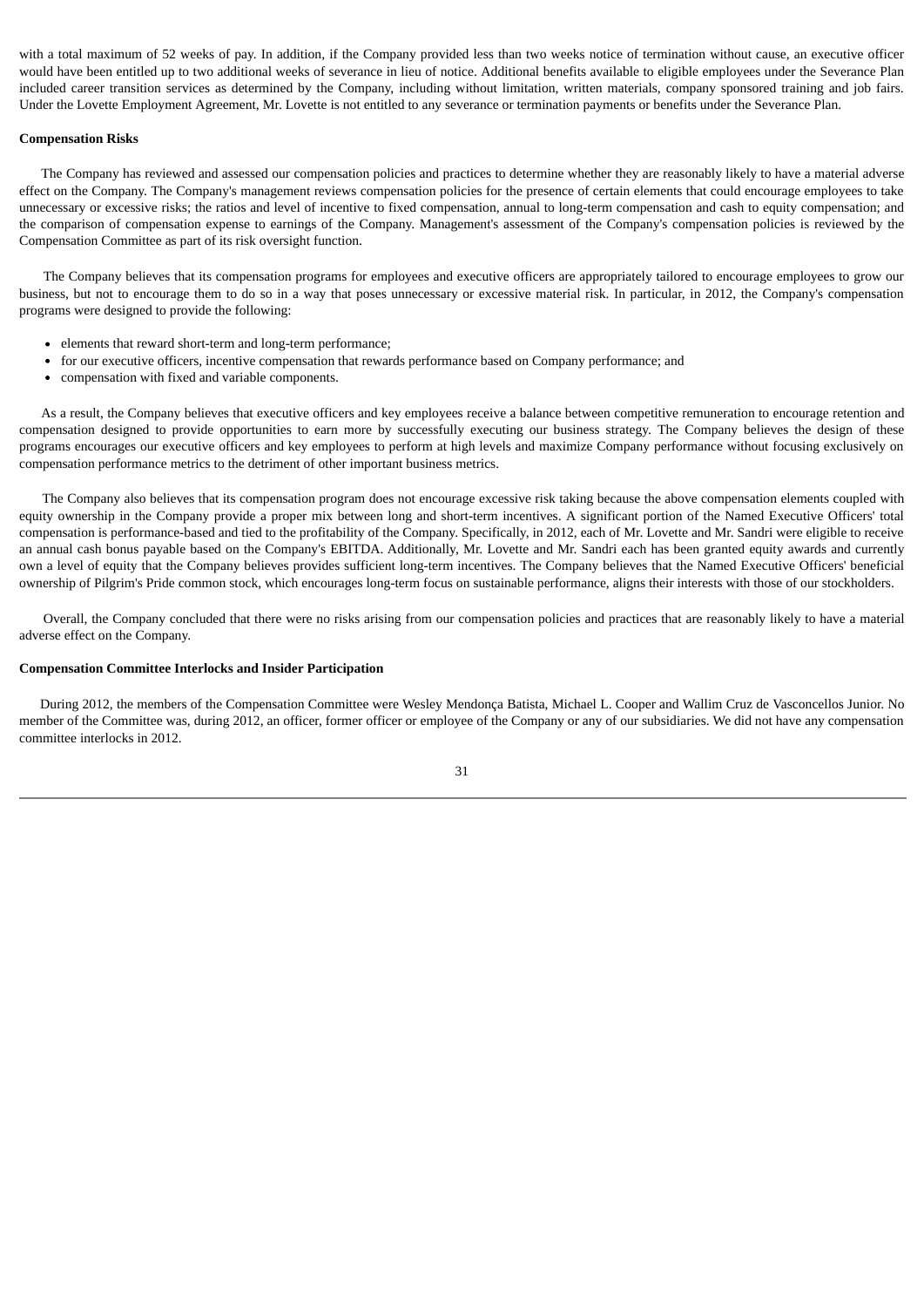with a total maximum of 52 weeks of pay. In addition, if the Company provided less than two weeks notice of termination without cause, an executive officer would have been entitled up to two additional weeks of severance in lieu of notice. Additional benefits available to eligible employees under the Severance Plan included career transition services as determined by the Company, including without limitation, written materials, company sponsored training and job fairs. Under the Lovette Employment Agreement, Mr. Lovette is not entitled to any severance or termination payments or benefits under the Severance Plan.

#### **Compensation Risks**

The Company has reviewed and assessed our compensation policies and practices to determine whether they are reasonably likely to have a material adverse effect on the Company. The Company's management reviews compensation policies for the presence of certain elements that could encourage employees to take unnecessary or excessive risks; the ratios and level of incentive to fixed compensation, annual to long-term compensation and cash to equity compensation; and the comparison of compensation expense to earnings of the Company. Management's assessment of the Company's compensation policies is reviewed by the Compensation Committee as part of its risk oversight function.

The Company believes that its compensation programs for employees and executive officers are appropriately tailored to encourage employees to grow our business, but not to encourage them to do so in a way that poses unnecessary or excessive material risk. In particular, in 2012, the Company's compensation programs were designed to provide the following:

- elements that reward short-term and long-term performance;
- for our executive officers, incentive compensation that rewards performance based on Company performance; and
- compensation with fixed and variable components.

As a result, the Company believes that executive officers and key employees receive a balance between competitive remuneration to encourage retention and compensation designed to provide opportunities to earn more by successfully executing our business strategy. The Company believes the design of these programs encourages our executive officers and key employees to perform at high levels and maximize Company performance without focusing exclusively on compensation performance metrics to the detriment of other important business metrics.

The Company also believes that its compensation program does not encourage excessive risk taking because the above compensation elements coupled with equity ownership in the Company provide a proper mix between long and short-term incentives. A significant portion of the Named Executive Officers' total compensation is performance-based and tied to the profitability of the Company. Specifically, in 2012, each of Mr. Lovette and Mr. Sandri were eligible to receive an annual cash bonus payable based on the Company's EBITDA. Additionally, Mr. Lovette and Mr. Sandri each has been granted equity awards and currently own a level of equity that the Company believes provides sufficient long-term incentives. The Company believes that the Named Executive Officers' beneficial ownership of Pilgrim's Pride common stock, which encourages long-term focus on sustainable performance, aligns their interests with those of our stockholders.

Overall, the Company concluded that there were no risks arising from our compensation policies and practices that are reasonably likely to have a material adverse effect on the Company.

#### **Compensation Committee Interlocks and Insider Participation**

 During 2012, the members of the Compensation Committee were Wesley Mendonça Batista, Michael L. Cooper and Wallim Cruz de Vasconcellos Junior. No member of the Committee was, during 2012, an officer, former officer or employee of the Company or any of our subsidiaries. We did not have any compensation committee interlocks in 2012.

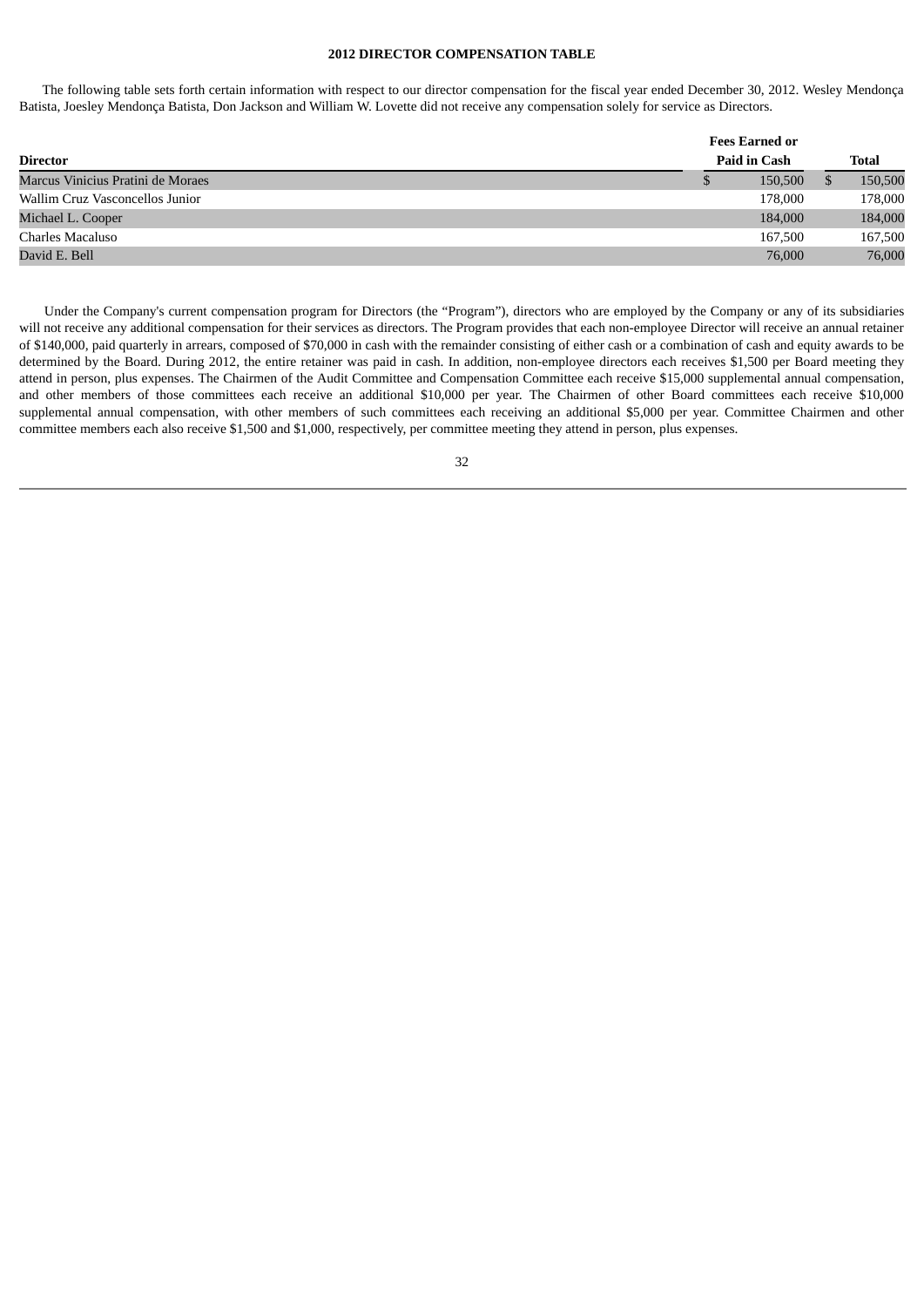### **2012 DIRECTOR COMPENSATION TABLE**

The following table sets forth certain information with respect to our director compensation for the fiscal year ended December 30, 2012. Wesley Mendonça Batista, Joesley Mendonça Batista, Don Jackson and William W. Lovette did not receive any compensation solely for service as Directors.

|                                   |              | <b>Fees Earned or</b> |              |         |  |
|-----------------------------------|--------------|-----------------------|--------------|---------|--|
| <b>Director</b>                   | Paid in Cash |                       | <b>Total</b> |         |  |
| Marcus Vinicius Pratini de Moraes |              | 150,500               | S            | 150,500 |  |
| Wallim Cruz Vasconcellos Junior   |              | 178,000               |              | 178,000 |  |
| Michael L. Cooper                 |              | 184,000               |              | 184,000 |  |
| Charles Macaluso                  |              | 167,500               |              | 167,500 |  |
| David E. Bell                     |              | 76,000                |              | 76,000  |  |

Under the Company's current compensation program for Directors (the "Program"), directors who are employed by the Company or any of its subsidiaries will not receive any additional compensation for their services as directors. The Program provides that each non-employee Director will receive an annual retainer of \$140,000, paid quarterly in arrears, composed of \$70,000 in cash with the remainder consisting of either cash or a combination of cash and equity awards to be determined by the Board. During 2012, the entire retainer was paid in cash. In addition, non-employee directors each receives \$1,500 per Board meeting they attend in person, plus expenses. The Chairmen of the Audit Committee and Compensation Committee each receive \$15,000 supplemental annual compensation, and other members of those committees each receive an additional \$10,000 per year. The Chairmen of other Board committees each receive \$10,000 supplemental annual compensation, with other members of such committees each receiving an additional \$5,000 per year. Committee Chairmen and other committee members each also receive \$1,500 and \$1,000, respectively, per committee meeting they attend in person, plus expenses.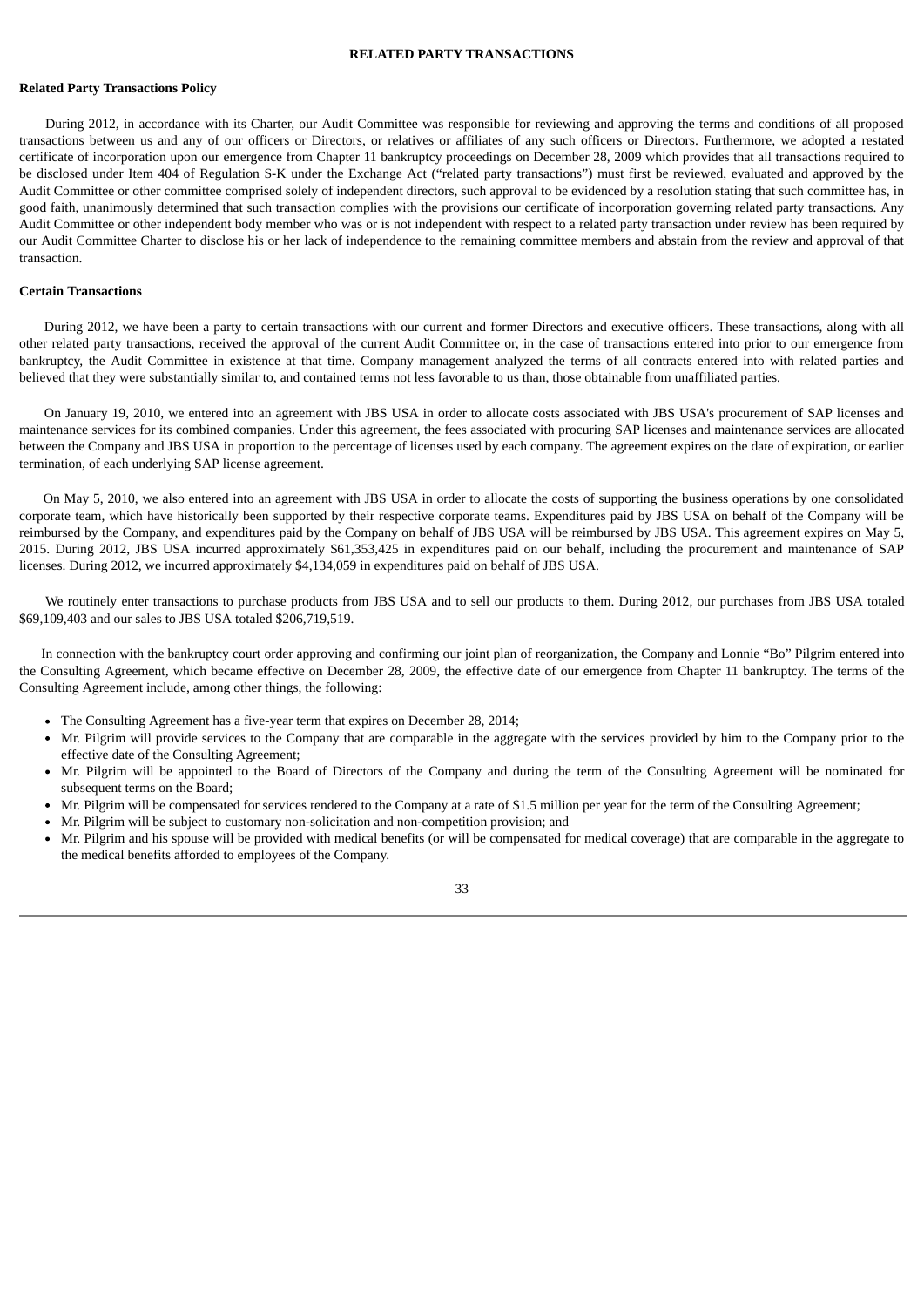#### **RELATED PARTY TRANSACTIONS**

#### **Related Party Transactions Policy**

During 2012, in accordance with its Charter, our Audit Committee was responsible for reviewing and approving the terms and conditions of all proposed transactions between us and any of our officers or Directors, or relatives or affiliates of any such officers or Directors. Furthermore, we adopted a restated certificate of incorporation upon our emergence from Chapter 11 bankruptcy proceedings on December 28, 2009 which provides that all transactions required to be disclosed under Item 404 of Regulation S-K under the Exchange Act ("related party transactions") must first be reviewed, evaluated and approved by the Audit Committee or other committee comprised solely of independent directors, such approval to be evidenced by a resolution stating that such committee has, in good faith, unanimously determined that such transaction complies with the provisions our certificate of incorporation governing related party transactions. Any Audit Committee or other independent body member who was or is not independent with respect to a related party transaction under review has been required by our Audit Committee Charter to disclose his or her lack of independence to the remaining committee members and abstain from the review and approval of that transaction.

#### **Certain Transactions**

During 2012, we have been a party to certain transactions with our current and former Directors and executive officers. These transactions, along with all other related party transactions, received the approval of the current Audit Committee or, in the case of transactions entered into prior to our emergence from bankruptcy, the Audit Committee in existence at that time. Company management analyzed the terms of all contracts entered into with related parties and believed that they were substantially similar to, and contained terms not less favorable to us than, those obtainable from unaffiliated parties.

On January 19, 2010, we entered into an agreement with JBS USA in order to allocate costs associated with JBS USA's procurement of SAP licenses and maintenance services for its combined companies. Under this agreement, the fees associated with procuring SAP licenses and maintenance services are allocated between the Company and JBS USA in proportion to the percentage of licenses used by each company. The agreement expires on the date of expiration, or earlier termination, of each underlying SAP license agreement.

On May 5, 2010, we also entered into an agreement with JBS USA in order to allocate the costs of supporting the business operations by one consolidated corporate team, which have historically been supported by their respective corporate teams. Expenditures paid by JBS USA on behalf of the Company will be reimbursed by the Company, and expenditures paid by the Company on behalf of JBS USA will be reimbursed by JBS USA. This agreement expires on May 5, 2015. During 2012, JBS USA incurred approximately \$61,353,425 in expenditures paid on our behalf, including the procurement and maintenance of SAP licenses. During 2012, we incurred approximately \$4,134,059 in expenditures paid on behalf of JBS USA.

We routinely enter transactions to purchase products from JBS USA and to sell our products to them. During 2012, our purchases from JBS USA totaled \$69,109,403 and our sales to JBS USA totaled \$206,719,519.

In connection with the bankruptcy court order approving and confirming our joint plan of reorganization, the Company and Lonnie "Bo" Pilgrim entered into the Consulting Agreement, which became effective on December 28, 2009, the effective date of our emergence from Chapter 11 bankruptcy. The terms of the Consulting Agreement include, among other things, the following:

- The Consulting Agreement has a five-year term that expires on December 28, 2014;
- Mr. Pilgrim will provide services to the Company that are comparable in the aggregate with the services provided by him to the Company prior to the effective date of the Consulting Agreement;
- Mr. Pilgrim will be appointed to the Board of Directors of the Company and during the term of the Consulting Agreement will be nominated for subsequent terms on the Board;
- Mr. Pilgrim will be compensated for services rendered to the Company at a rate of \$1.5 million per year for the term of the Consulting Agreement;
- Mr. Pilgrim will be subject to customary non-solicitation and non-competition provision; and
- Mr. Pilgrim and his spouse will be provided with medical benefits (or will be compensated for medical coverage) that are comparable in the aggregate to the medical benefits afforded to employees of the Company.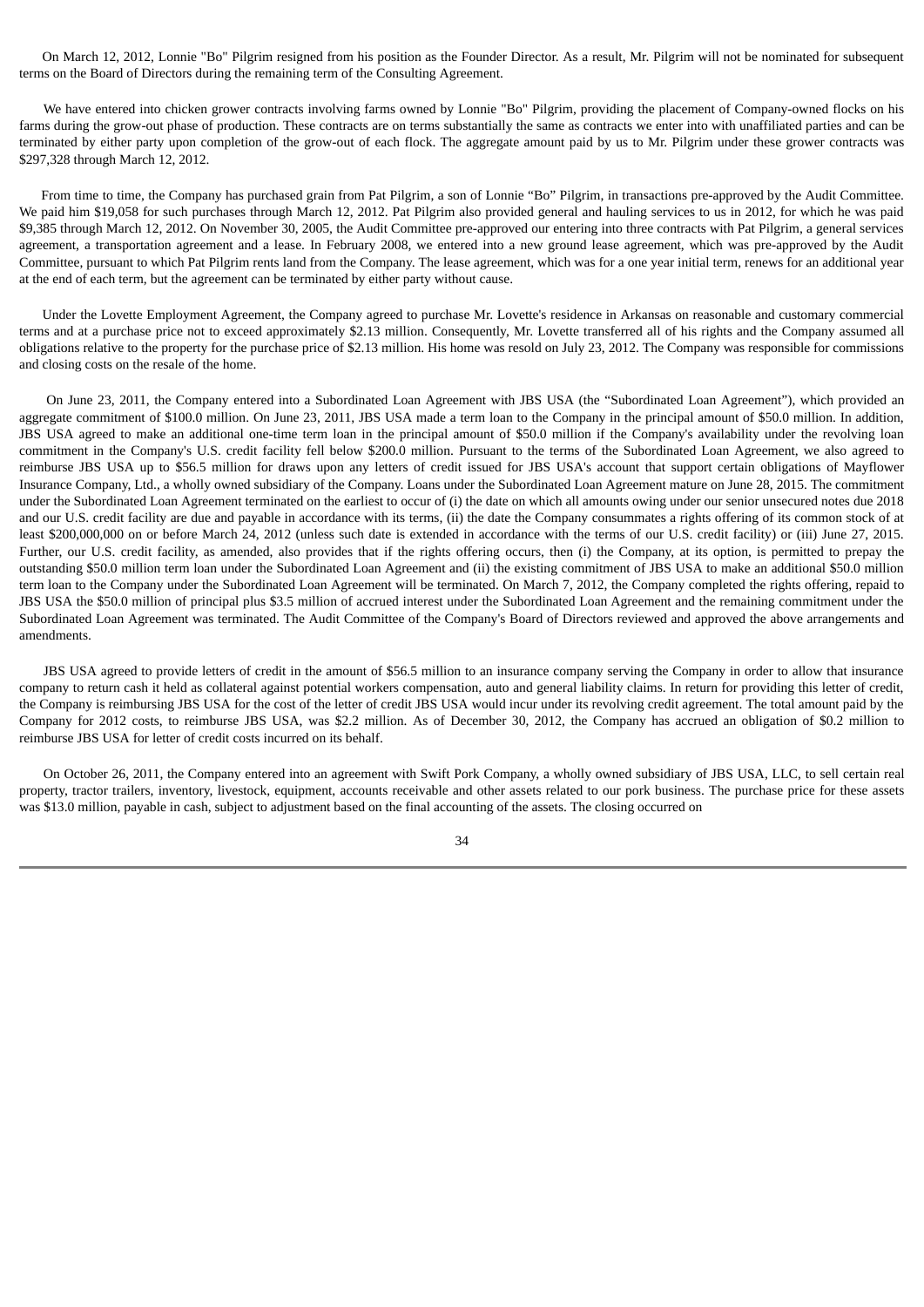On March 12, 2012, Lonnie "Bo" Pilgrim resigned from his position as the Founder Director. As a result, Mr. Pilgrim will not be nominated for subsequent terms on the Board of Directors during the remaining term of the Consulting Agreement.

We have entered into chicken grower contracts involving farms owned by Lonnie "Bo" Pilgrim, providing the placement of Company-owned flocks on his farms during the grow-out phase of production. These contracts are on terms substantially the same as contracts we enter into with unaffiliated parties and can be terminated by either party upon completion of the grow-out of each flock. The aggregate amount paid by us to Mr. Pilgrim under these grower contracts was \$297,328 through March 12, 2012.

From time to time, the Company has purchased grain from Pat Pilgrim, a son of Lonnie "Bo" Pilgrim, in transactions pre-approved by the Audit Committee. We paid him \$19,058 for such purchases through March 12, 2012. Pat Pilgrim also provided general and hauling services to us in 2012, for which he was paid \$9,385 through March 12, 2012. On November 30, 2005, the Audit Committee pre-approved our entering into three contracts with Pat Pilgrim, a general services agreement, a transportation agreement and a lease. In February 2008, we entered into a new ground lease agreement, which was pre-approved by the Audit Committee, pursuant to which Pat Pilgrim rents land from the Company. The lease agreement, which was for a one year initial term, renews for an additional year at the end of each term, but the agreement can be terminated by either party without cause.

Under the Lovette Employment Agreement, the Company agreed to purchase Mr. Lovette's residence in Arkansas on reasonable and customary commercial terms and at a purchase price not to exceed approximately \$2.13 million. Consequently, Mr. Lovette transferred all of his rights and the Company assumed all obligations relative to the property for the purchase price of \$2.13 million. His home was resold on July 23, 2012. The Company was responsible for commissions and closing costs on the resale of the home.

On June 23, 2011, the Company entered into a Subordinated Loan Agreement with JBS USA (the "Subordinated Loan Agreement"), which provided an aggregate commitment of \$100.0 million. On June 23, 2011, JBS USA made a term loan to the Company in the principal amount of \$50.0 million. In addition, JBS USA agreed to make an additional one-time term loan in the principal amount of \$50.0 million if the Company's availability under the revolving loan commitment in the Company's U.S. credit facility fell below \$200.0 million. Pursuant to the terms of the Subordinated Loan Agreement, we also agreed to reimburse JBS USA up to \$56.5 million for draws upon any letters of credit issued for JBS USA's account that support certain obligations of Mayflower Insurance Company, Ltd., a wholly owned subsidiary of the Company. Loans under the Subordinated Loan Agreement mature on June 28, 2015. The commitment under the Subordinated Loan Agreement terminated on the earliest to occur of (i) the date on which all amounts owing under our senior unsecured notes due 2018 and our U.S. credit facility are due and payable in accordance with its terms, (ii) the date the Company consummates a rights offering of its common stock of at least \$200,000,000 on or before March 24, 2012 (unless such date is extended in accordance with the terms of our U.S. credit facility) or (iii) June 27, 2015. Further, our U.S. credit facility, as amended, also provides that if the rights offering occurs, then (i) the Company, at its option, is permitted to prepay the outstanding \$50.0 million term loan under the Subordinated Loan Agreement and (ii) the existing commitment of JBS USA to make an additional \$50.0 million term loan to the Company under the Subordinated Loan Agreement will be terminated. On March 7, 2012, the Company completed the rights offering, repaid to JBS USA the \$50.0 million of principal plus \$3.5 million of accrued interest under the Subordinated Loan Agreement and the remaining commitment under the Subordinated Loan Agreement was terminated. The Audit Committee of the Company's Board of Directors reviewed and approved the above arrangements and amendments.

JBS USA agreed to provide letters of credit in the amount of \$56.5 million to an insurance company serving the Company in order to allow that insurance company to return cash it held as collateral against potential workers compensation, auto and general liability claims. In return for providing this letter of credit, the Company is reimbursing JBS USA for the cost of the letter of credit JBS USA would incur under its revolving credit agreement. The total amount paid by the Company for 2012 costs, to reimburse JBS USA, was \$2.2 million. As of December 30, 2012, the Company has accrued an obligation of \$0.2 million to reimburse JBS USA for letter of credit costs incurred on its behalf.

On October 26, 2011, the Company entered into an agreement with Swift Pork Company, a wholly owned subsidiary of JBS USA, LLC, to sell certain real property, tractor trailers, inventory, livestock, equipment, accounts receivable and other assets related to our pork business. The purchase price for these assets was \$13.0 million, payable in cash, subject to adjustment based on the final accounting of the assets. The closing occurred on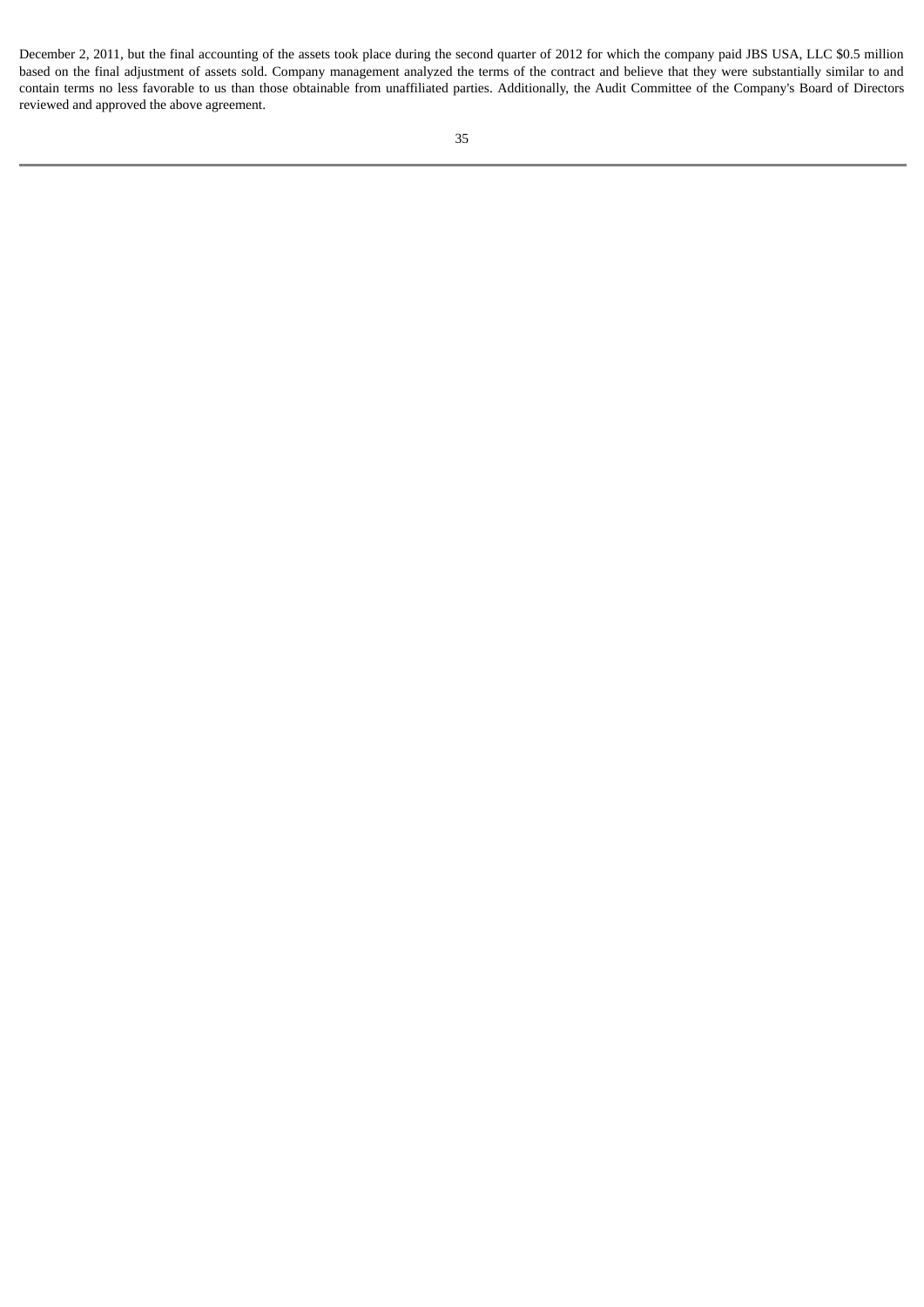December 2, 2011, but the final accounting of the assets took place during the second quarter of 2012 for which the company paid JBS USA, LLC \$0.5 million based on the final adjustment of assets sold. Company management analyzed the terms of the contract and believe that they were substantially similar to and contain terms no less favorable to us than those obtainable from unaffiliated parties. Additionally, the Audit Committee of the Company's Board of Directors reviewed and approved the above agreement.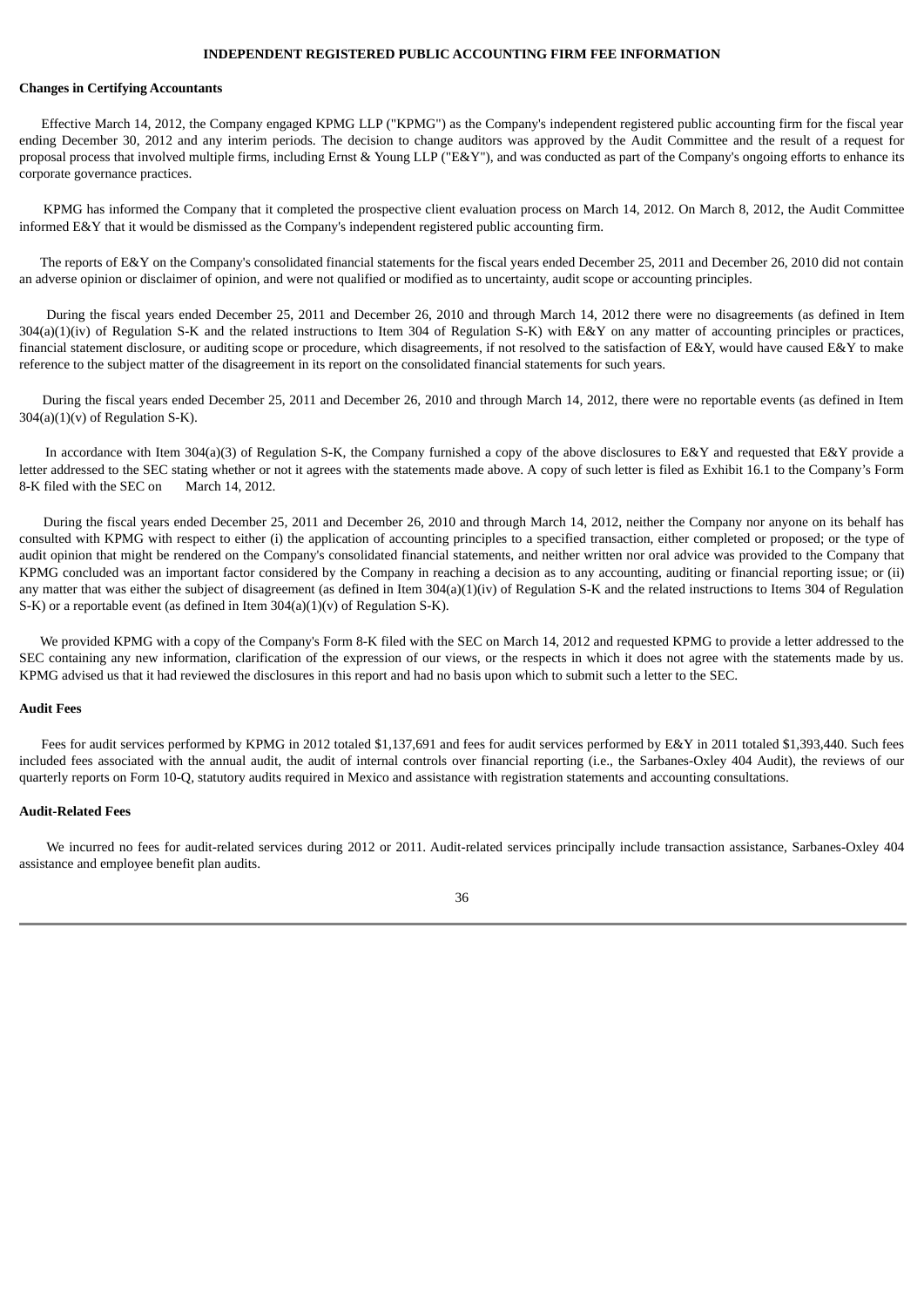#### **INDEPENDENT REGISTERED PUBLIC ACCOUNTING FIRM FEE INFORMATION**

#### **Changes in Certifying Accountants**

Effective March 14, 2012, the Company engaged KPMG LLP ("KPMG") as the Company's independent registered public accounting firm for the fiscal year ending December 30, 2012 and any interim periods. The decision to change auditors was approved by the Audit Committee and the result of a request for proposal process that involved multiple firms, including Ernst & Young LLP ("E&Y"), and was conducted as part of the Company's ongoing efforts to enhance its corporate governance practices.

KPMG has informed the Company that it completed the prospective client evaluation process on March 14, 2012. On March 8, 2012, the Audit Committee informed E&Y that it would be dismissed as the Company's independent registered public accounting firm.

 The reports of E&Y on the Company's consolidated financial statements for the fiscal years ended December 25, 2011 and December 26, 2010 did not contain an adverse opinion or disclaimer of opinion, and were not qualified or modified as to uncertainty, audit scope or accounting principles.

During the fiscal years ended December 25, 2011 and December 26, 2010 and through March 14, 2012 there were no disagreements (as defined in Item 304(a)(1)(iv) of Regulation S-K and the related instructions to Item 304 of Regulation S-K) with E&Y on any matter of accounting principles or practices, financial statement disclosure, or auditing scope or procedure, which disagreements, if not resolved to the satisfaction of E&Y, would have caused E&Y to make reference to the subject matter of the disagreement in its report on the consolidated financial statements for such years.

During the fiscal years ended December 25, 2011 and December 26, 2010 and through March 14, 2012, there were no reportable events (as defined in Item  $304(a)(1)(v)$  of Regulation S-K).

In accordance with Item 304(a)(3) of Regulation S-K, the Company furnished a copy of the above disclosures to E&Y and requested that E&Y provide a letter addressed to the SEC stating whether or not it agrees with the statements made above. A copy of such letter is filed as Exhibit 16.1 to the Company's Form 8-K filed with the SEC on March 14, 2012.

During the fiscal years ended December 25, 2011 and December 26, 2010 and through March 14, 2012, neither the Company nor anyone on its behalf has consulted with KPMG with respect to either (i) the application of accounting principles to a specified transaction, either completed or proposed; or the type of audit opinion that might be rendered on the Company's consolidated financial statements, and neither written nor oral advice was provided to the Company that KPMG concluded was an important factor considered by the Company in reaching a decision as to any accounting, auditing or financial reporting issue; or (ii) any matter that was either the subject of disagreement (as defined in Item 304(a)(1)(iv) of Regulation S-K and the related instructions to Items 304 of Regulation S-K) or a reportable event (as defined in Item 304(a)(1)(v) of Regulation S-K).

 We provided KPMG with a copy of the Company's Form 8-K filed with the SEC on March 14, 2012 and requested KPMG to provide a letter addressed to the SEC containing any new information, clarification of the expression of our views, or the respects in which it does not agree with the statements made by us. KPMG advised us that it had reviewed the disclosures in this report and had no basis upon which to submit such a letter to the SEC.

#### **Audit Fees**

Fees for audit services performed by KPMG in 2012 totaled \$1,137,691 and fees for audit services performed by E&Y in 2011 totaled \$1,393,440. Such fees included fees associated with the annual audit, the audit of internal controls over financial reporting (i.e., the Sarbanes-Oxley 404 Audit), the reviews of our quarterly reports on Form 10-Q, statutory audits required in Mexico and assistance with registration statements and accounting consultations.

### **Audit-Related Fees**

We incurred no fees for audit-related services during 2012 or 2011. Audit-related services principally include transaction assistance, Sarbanes-Oxley 404 assistance and employee benefit plan audits.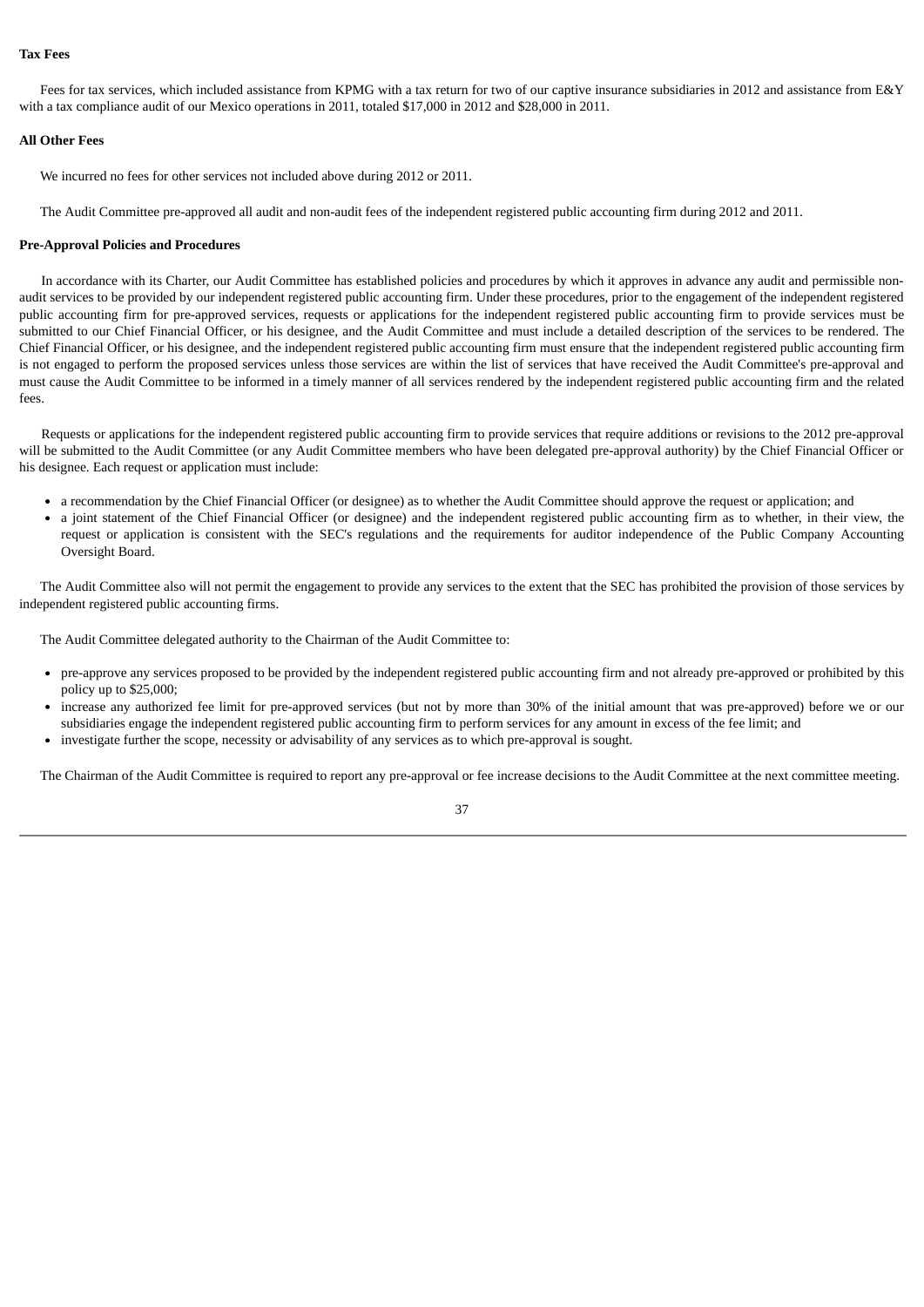### **Tax Fees**

Fees for tax services, which included assistance from KPMG with a tax return for two of our captive insurance subsidiaries in 2012 and assistance from E&Y with a tax compliance audit of our Mexico operations in 2011, totaled \$17,000 in 2012 and \$28,000 in 2011.

### **All Other Fees**

We incurred no fees for other services not included above during 2012 or 2011.

The Audit Committee pre-approved all audit and non-audit fees of the independent registered public accounting firm during 2012 and 2011.

### **Pre-Approval Policies and Procedures**

In accordance with its Charter, our Audit Committee has established policies and procedures by which it approves in advance any audit and permissible nonaudit services to be provided by our independent registered public accounting firm. Under these procedures, prior to the engagement of the independent registered public accounting firm for pre-approved services, requests or applications for the independent registered public accounting firm to provide services must be submitted to our Chief Financial Officer, or his designee, and the Audit Committee and must include a detailed description of the services to be rendered. The Chief Financial Officer, or his designee, and the independent registered public accounting firm must ensure that the independent registered public accounting firm is not engaged to perform the proposed services unless those services are within the list of services that have received the Audit Committee's pre-approval and must cause the Audit Committee to be informed in a timely manner of all services rendered by the independent registered public accounting firm and the related fees.

Requests or applications for the independent registered public accounting firm to provide services that require additions or revisions to the 2012 pre-approval will be submitted to the Audit Committee (or any Audit Committee members who have been delegated pre-approval authority) by the Chief Financial Officer or his designee. Each request or application must include:

- a recommendation by the Chief Financial Officer (or designee) as to whether the Audit Committee should approve the request or application; and
- a joint statement of the Chief Financial Officer (or designee) and the independent registered public accounting firm as to whether, in their view, the request or application is consistent with the SEC's regulations and the requirements for auditor independence of the Public Company Accounting Oversight Board.

 The Audit Committee also will not permit the engagement to provide any services to the extent that the SEC has prohibited the provision of those services by independent registered public accounting firms.

The Audit Committee delegated authority to the Chairman of the Audit Committee to:

- pre-approve any services proposed to be provided by the independent registered public accounting firm and not already pre-approved or prohibited by this policy up to \$25,000;
- increase any authorized fee limit for pre-approved services (but not by more than 30% of the initial amount that was pre-approved) before we or our subsidiaries engage the independent registered public accounting firm to perform services for any amount in excess of the fee limit; and
- investigate further the scope, necessity or advisability of any services as to which pre-approval is sought.

The Chairman of the Audit Committee is required to report any pre-approval or fee increase decisions to the Audit Committee at the next committee meeting.

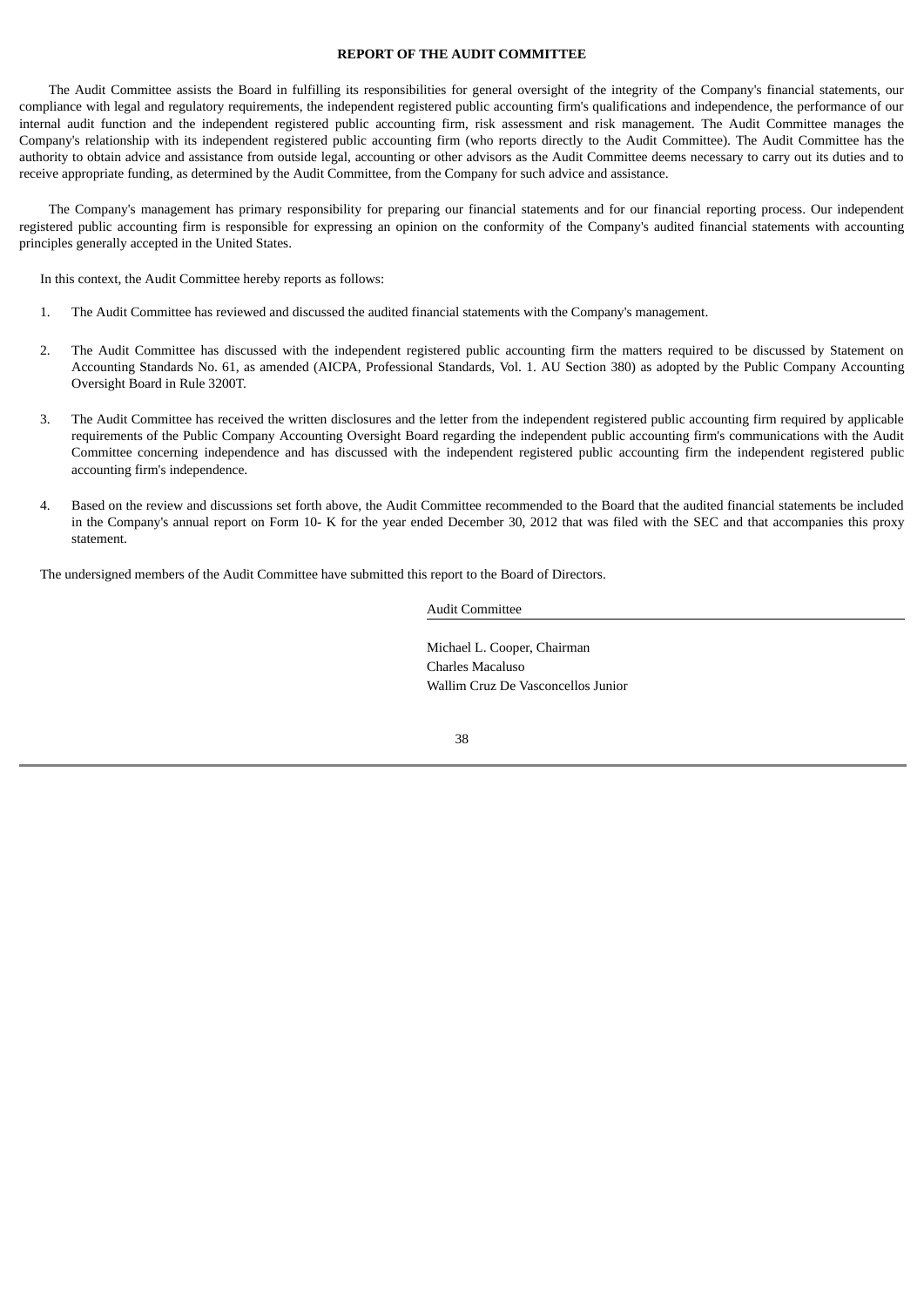### **REPORT OF THE AUDIT COMMITTEE**

The Audit Committee assists the Board in fulfilling its responsibilities for general oversight of the integrity of the Company's financial statements, our compliance with legal and regulatory requirements, the independent registered public accounting firm's qualifications and independence, the performance of our internal audit function and the independent registered public accounting firm, risk assessment and risk management. The Audit Committee manages the Company's relationship with its independent registered public accounting firm (who reports directly to the Audit Committee). The Audit Committee has the authority to obtain advice and assistance from outside legal, accounting or other advisors as the Audit Committee deems necessary to carry out its duties and to receive appropriate funding, as determined by the Audit Committee, from the Company for such advice and assistance.

The Company's management has primary responsibility for preparing our financial statements and for our financial reporting process. Our independent registered public accounting firm is responsible for expressing an opinion on the conformity of the Company's audited financial statements with accounting principles generally accepted in the United States.

In this context, the Audit Committee hereby reports as follows:

- 1. The Audit Committee has reviewed and discussed the audited financial statements with the Company's management.
- 2. The Audit Committee has discussed with the independent registered public accounting firm the matters required to be discussed by Statement on Accounting Standards No. 61, as amended (AICPA, Professional Standards, Vol. 1. AU Section 380) as adopted by the Public Company Accounting Oversight Board in Rule 3200T.
- 3. The Audit Committee has received the written disclosures and the letter from the independent registered public accounting firm required by applicable requirements of the Public Company Accounting Oversight Board regarding the independent public accounting firm's communications with the Audit Committee concerning independence and has discussed with the independent registered public accounting firm the independent registered public accounting firm's independence.
- 4. Based on the review and discussions set forth above, the Audit Committee recommended to the Board that the audited financial statements be included in the Company's annual report on Form 10- K for the year ended December 30, 2012 that was filed with the SEC and that accompanies this proxy statement.

The undersigned members of the Audit Committee have submitted this report to the Board of Directors.

Audit Committee

Michael L. Cooper, Chairman Charles Macaluso Wallim Cruz De Vasconcellos Junior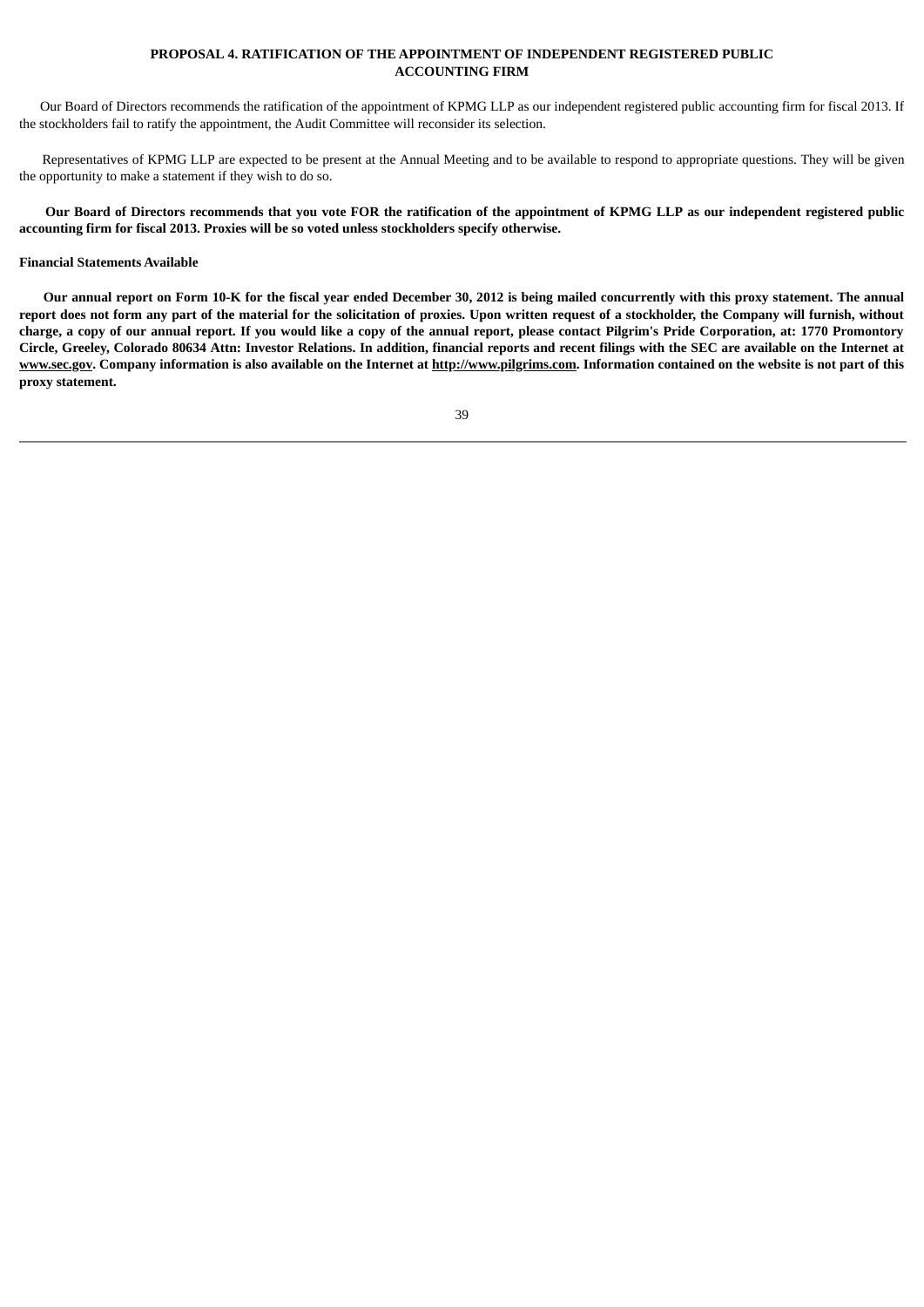### **PROPOSAL 4. RATIFICATION OF THE APPOINTMENT OF INDEPENDENT REGISTERED PUBLIC ACCOUNTING FIRM**

 Our Board of Directors recommends the ratification of the appointment of KPMG LLP as our independent registered public accounting firm for fiscal 2013. If the stockholders fail to ratify the appointment, the Audit Committee will reconsider its selection.

Representatives of KPMG LLP are expected to be present at the Annual Meeting and to be available to respond to appropriate questions. They will be given the opportunity to make a statement if they wish to do so.

**Our Board of Directors recommends that you vote FOR the ratification of the appointment of KPMG LLP as our independent registered public accounting firm for fiscal 2013. Proxies will be so voted unless stockholders specify otherwise.**

### **Financial Statements Available**

**Our annual report on Form 10-K for the fiscal year ended December 30, 2012 is being mailed concurrently with this proxy statement. The annual report does not form any part of the material for the solicitation of proxies. Upon written request of a stockholder, the Company will furnish, without charge, a copy of our annual report. If you would like a copy of the annual report, please contact Pilgrim's Pride Corporation, at: 1770 Promontory Circle, Greeley, Colorado 80634 Attn: Investor Relations. In addition, financial reports and recent filings with the SEC are available on the Internet at www.sec.gov. Company information is also available on the Internet at http://www.pilgrims.com. Information contained on the website is not part of this proxy statement.**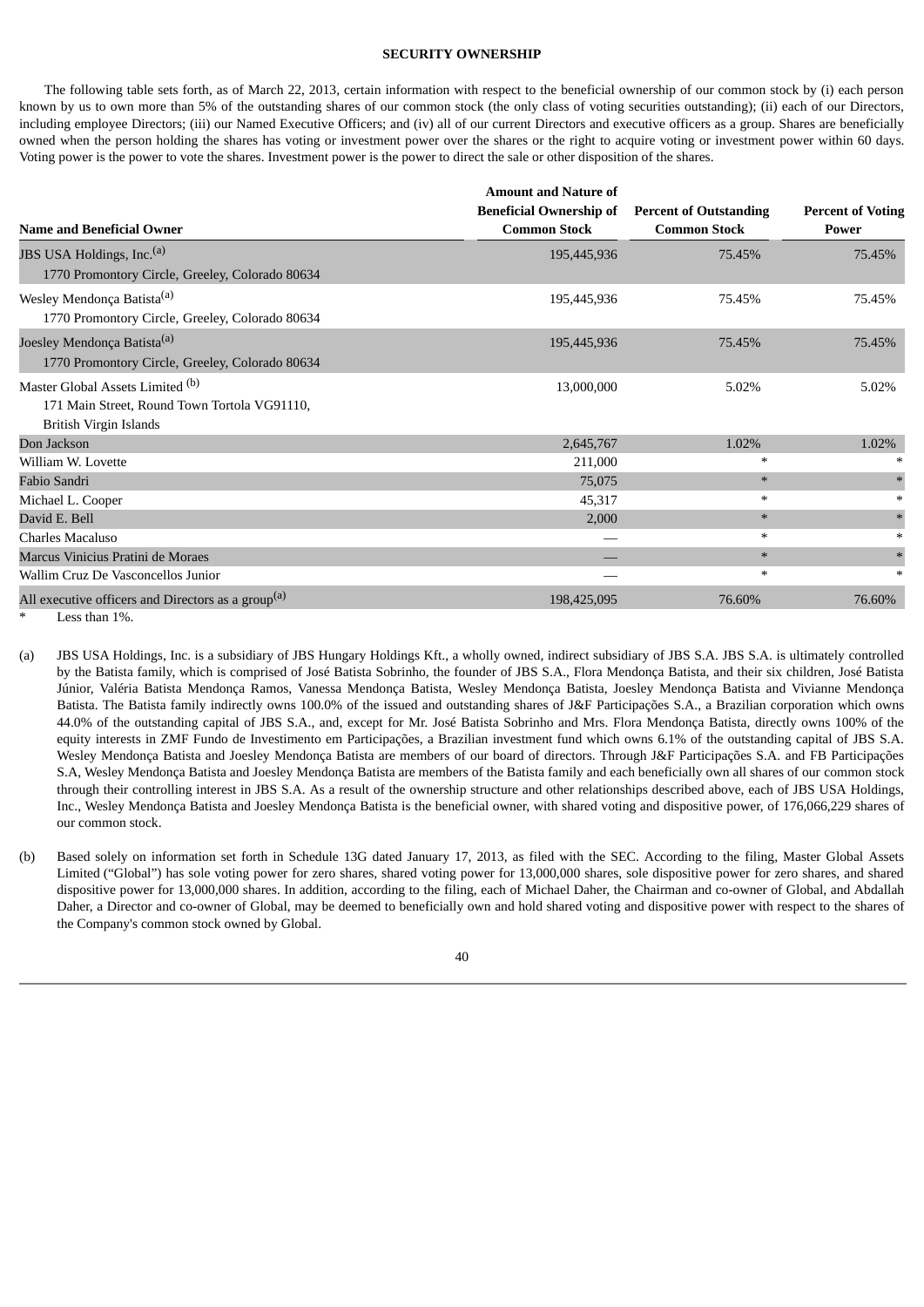#### **SECURITY OWNERSHIP**

The following table sets forth, as of March 22, 2013, certain information with respect to the beneficial ownership of our common stock by (i) each person known by us to own more than 5% of the outstanding shares of our common stock (the only class of voting securities outstanding); (ii) each of our Directors, including employee Directors; (iii) our Named Executive Officers; and (iv) all of our current Directors and executive officers as a group. Shares are beneficially owned when the person holding the shares has voting or investment power over the shares or the right to acquire voting or investment power within 60 days. Voting power is the power to vote the shares. Investment power is the power to direct the sale or other disposition of the shares.

|                                                                | <b>Amount and Nature of</b>    |                               | <b>Percent of Voting</b><br>Power |  |
|----------------------------------------------------------------|--------------------------------|-------------------------------|-----------------------------------|--|
|                                                                | <b>Beneficial Ownership of</b> | <b>Percent of Outstanding</b> |                                   |  |
| <b>Name and Beneficial Owner</b>                               | <b>Common Stock</b>            | <b>Common Stock</b>           |                                   |  |
| JBS USA Holdings, Inc. <sup>(a)</sup>                          | 195,445,936                    | 75.45%                        | 75.45%                            |  |
| 1770 Promontory Circle, Greeley, Colorado 80634                |                                |                               |                                   |  |
| Wesley Mendonça Batista <sup>(a)</sup>                         | 195,445,936                    | 75.45%                        | 75.45%                            |  |
| 1770 Promontory Circle, Greeley, Colorado 80634                |                                |                               |                                   |  |
| Joesley Mendonça Batista <sup>(a)</sup>                        | 195,445,936                    | 75.45%                        | 75.45%                            |  |
| 1770 Promontory Circle, Greeley, Colorado 80634                |                                |                               |                                   |  |
| Master Global Assets Limited (b)                               | 13,000,000                     | 5.02%                         | 5.02%                             |  |
| 171 Main Street, Round Town Tortola VG91110,                   |                                |                               |                                   |  |
| British Virgin Islands                                         |                                |                               |                                   |  |
| Don Jackson                                                    | 2,645,767                      | 1.02%                         | 1.02%                             |  |
| William W. Lovette                                             | 211,000                        | $\ast$                        | $\ast$                            |  |
| Fabio Sandri                                                   | 75,075                         | $\ast$                        |                                   |  |
| Michael L. Cooper                                              | 45,317                         | $\ast$                        |                                   |  |
| David E. Bell                                                  | 2,000                          | $\ast$                        |                                   |  |
| Charles Macaluso                                               |                                | $\ast$                        |                                   |  |
| Marcus Vinicius Pratini de Moraes                              |                                | $*$                           |                                   |  |
| Wallim Cruz De Vasconcellos Junior                             |                                | $\ast$                        | $\ast$                            |  |
| All executive officers and Directors as a group <sup>(a)</sup> | 198,425,095                    | 76.60%                        | 76.60%                            |  |

Less than 1%.

(a) JBS USA Holdings, Inc. is a subsidiary of JBS Hungary Holdings Kft., a wholly owned, indirect subsidiary of JBS S.A. JBS S.A. is ultimately controlled by the Batista family, which is comprised of José Batista Sobrinho, the founder of JBS S.A., Flora Mendonça Batista, and their six children, José Batista Júnior, Valéria Batista Mendonça Ramos, Vanessa Mendonça Batista, Wesley Mendonça Batista, Joesley Mendonça Batista and Vivianne Mendonça Batista. The Batista family indirectly owns 100.0% of the issued and outstanding shares of J&F Participações S.A., a Brazilian corporation which owns 44.0% of the outstanding capital of JBS S.A., and, except for Mr. José Batista Sobrinho and Mrs. Flora Mendonça Batista, directly owns 100% of the equity interests in ZMF Fundo de Investimento em Participações, a Brazilian investment fund which owns 6.1% of the outstanding capital of JBS S.A. Wesley Mendonça Batista and Joesley Mendonça Batista are members of our board of directors. Through J&F Participações S.A. and FB Participações S.A, Wesley Mendonça Batista and Joesley Mendonça Batista are members of the Batista family and each beneficially own all shares of our common stock through their controlling interest in JBS S.A. As a result of the ownership structure and other relationships described above, each of JBS USA Holdings, Inc., Wesley Mendonça Batista and Joesley Mendonça Batista is the beneficial owner, with shared voting and dispositive power, of 176,066,229 shares of our common stock.

(b) Based solely on information set forth in Schedule 13G dated January 17, 2013, as filed with the SEC. According to the filing, Master Global Assets Limited ("Global") has sole voting power for zero shares, shared voting power for 13,000,000 shares, sole dispositive power for zero shares, and shared dispositive power for 13,000,000 shares. In addition, according to the filing, each of Michael Daher, the Chairman and co-owner of Global, and Abdallah Daher, a Director and co-owner of Global, may be deemed to beneficially own and hold shared voting and dispositive power with respect to the shares of the Company's common stock owned by Global.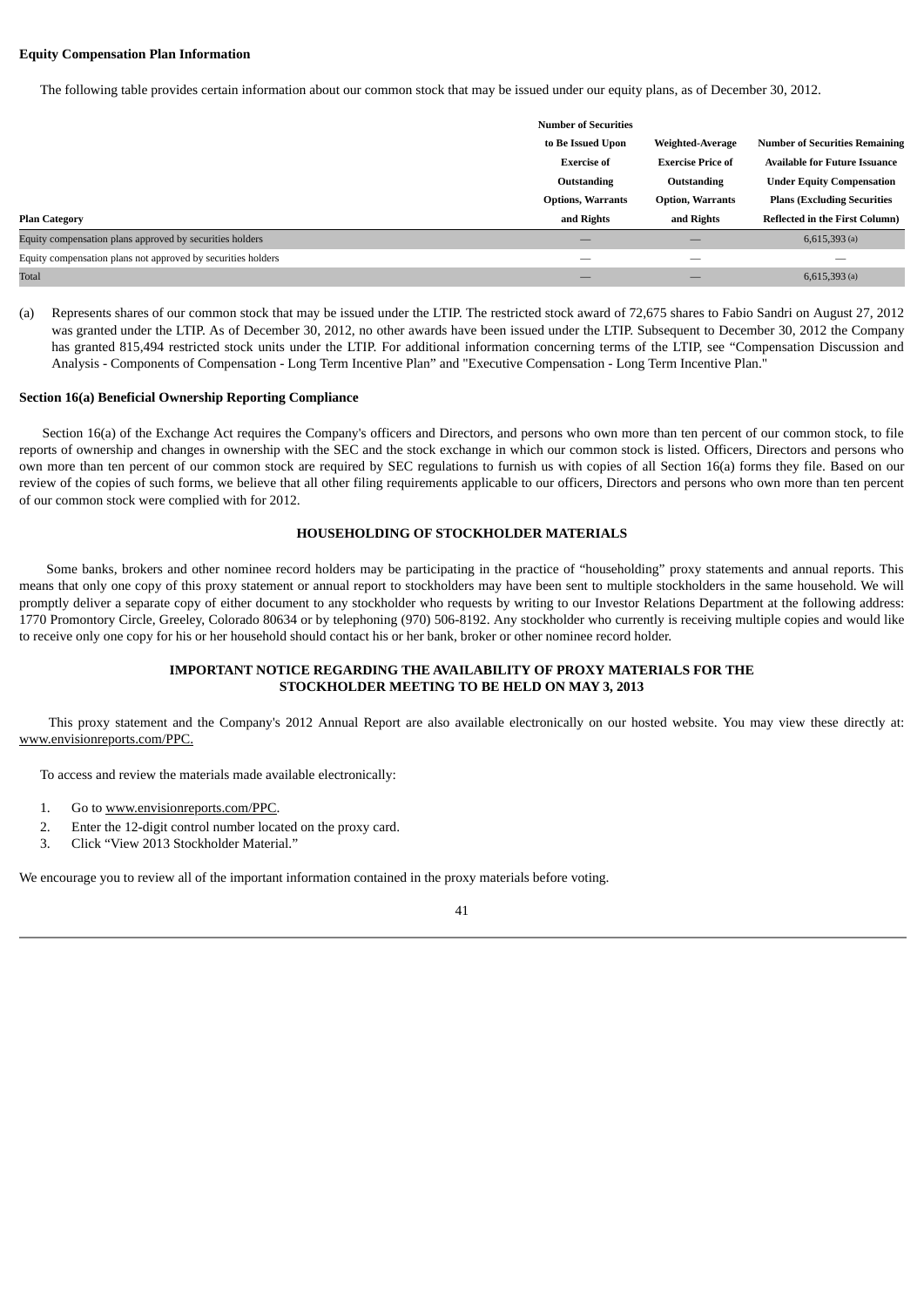#### **Equity Compensation Plan Information**

The following table provides certain information about our common stock that may be issued under our equity plans, as of December 30, 2012.

|                                                              | <b>Number of Securities</b>           |                          |                                       |  |  |
|--------------------------------------------------------------|---------------------------------------|--------------------------|---------------------------------------|--|--|
|                                                              | to Be Issued Upon<br>Weighted-Average |                          | <b>Number of Securities Remaining</b> |  |  |
|                                                              | <b>Exercise of</b>                    | <b>Exercise Price of</b> | <b>Available for Future Issuance</b>  |  |  |
|                                                              | Outstanding                           | Outstanding              | <b>Under Equity Compensation</b>      |  |  |
|                                                              | <b>Options, Warrants</b>              | <b>Option, Warrants</b>  | <b>Plans (Excluding Securities)</b>   |  |  |
| <b>Plan Category</b>                                         | and Rights                            | and Rights               | <b>Reflected in the First Column)</b> |  |  |
| Equity compensation plans approved by securities holders     |                                       |                          | $6,615,393$ (a)                       |  |  |
| Equity compensation plans not approved by securities holders |                                       | —                        | $\overline{\phantom{a}}$              |  |  |
| Total                                                        |                                       |                          | $6,615,393$ (a)                       |  |  |

(a) Represents shares of our common stock that may be issued under the LTIP. The restricted stock award of 72,675 shares to Fabio Sandri on August 27, 2012 was granted under the LTIP. As of December 30, 2012, no other awards have been issued under the LTIP. Subsequent to December 30, 2012 the Company has granted 815,494 restricted stock units under the LTIP. For additional information concerning terms of the LTIP, see "Compensation Discussion and Analysis - Components of Compensation - Long Term Incentive Plan" and "Executive Compensation - Long Term Incentive Plan."

#### **Section 16(a) Beneficial Ownership Reporting Compliance**

Section 16(a) of the Exchange Act requires the Company's officers and Directors, and persons who own more than ten percent of our common stock, to file reports of ownership and changes in ownership with the SEC and the stock exchange in which our common stock is listed. Officers, Directors and persons who own more than ten percent of our common stock are required by SEC regulations to furnish us with copies of all Section 16(a) forms they file. Based on our review of the copies of such forms, we believe that all other filing requirements applicable to our officers, Directors and persons who own more than ten percent of our common stock were complied with for 2012.

### **HOUSEHOLDING OF STOCKHOLDER MATERIALS**

Some banks, brokers and other nominee record holders may be participating in the practice of "householding" proxy statements and annual reports. This means that only one copy of this proxy statement or annual report to stockholders may have been sent to multiple stockholders in the same household. We will promptly deliver a separate copy of either document to any stockholder who requests by writing to our Investor Relations Department at the following address: 1770 Promontory Circle, Greeley, Colorado 80634 or by telephoning (970) 506-8192. Any stockholder who currently is receiving multiple copies and would like to receive only one copy for his or her household should contact his or her bank, broker or other nominee record holder.

### **IMPORTANT NOTICE REGARDING THE AVAILABILITY OF PROXY MATERIALS FOR THE STOCKHOLDER MEETING TO BE HELD ON MAY 3, 2013**

This proxy statement and the Company's 2012 Annual Report are also available electronically on our hosted website. You may view these directly at: www.envisionreports.com/PPC.

To access and review the materials made available electronically:

- 1. Go to www.envisionreports.com/PPC.
- 2. Enter the 12-digit control number located on the proxy card.
- 3. Click "View 2013 Stockholder Material."

We encourage you to review all of the important information contained in the proxy materials before voting.

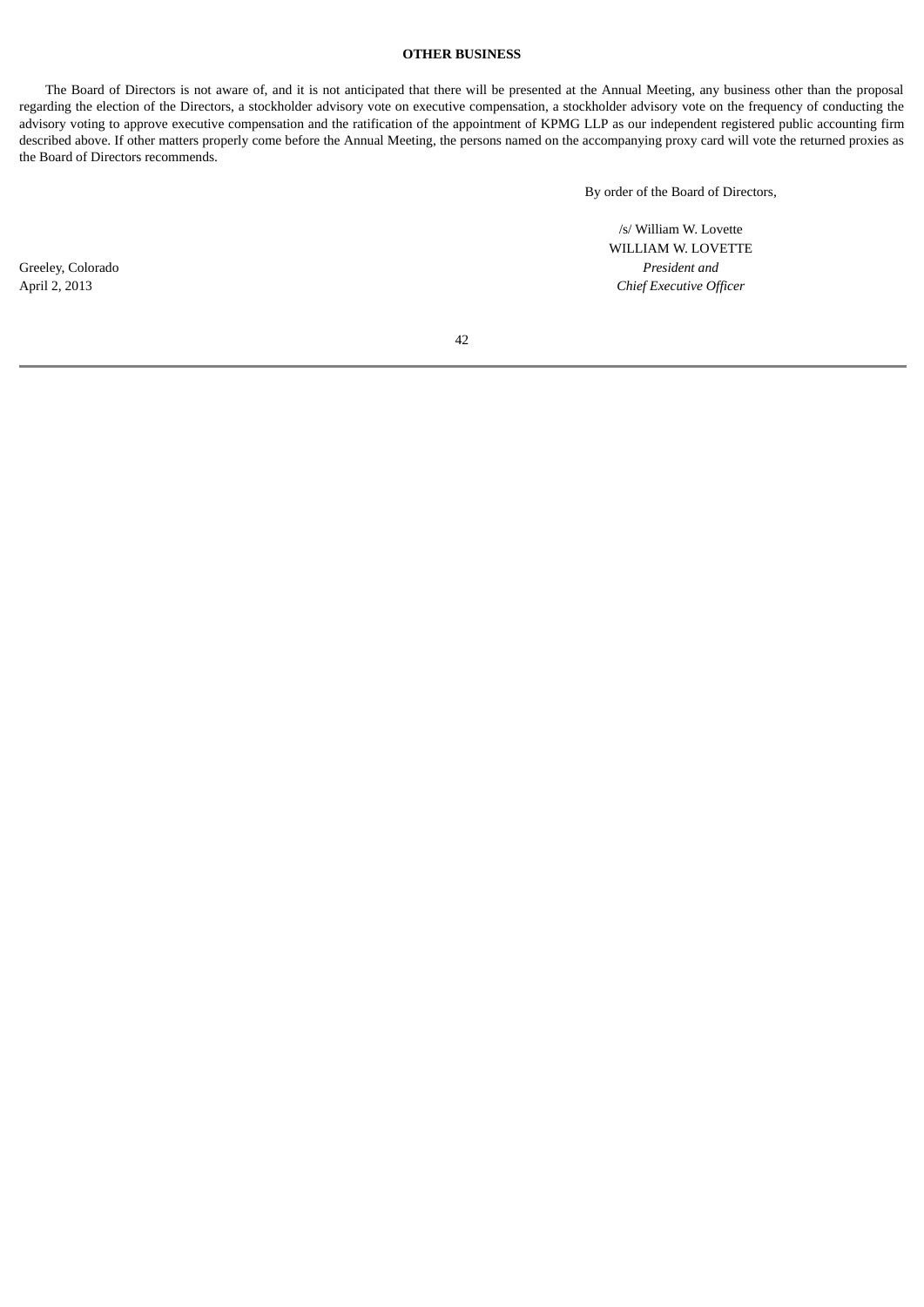### **OTHER BUSINESS**

The Board of Directors is not aware of, and it is not anticipated that there will be presented at the Annual Meeting, any business other than the proposal regarding the election of the Directors, a stockholder advisory vote on executive compensation, a stockholder advisory vote on the frequency of conducting the advisory voting to approve executive compensation and the ratification of the appointment of KPMG LLP as our independent registered public accounting firm described above. If other matters properly come before the Annual Meeting, the persons named on the accompanying proxy card will vote the returned proxies as the Board of Directors recommends.

By order of the Board of Directors,

/s/ William W. Lovette WILLIAM W. LOVETTE Greeley, Colorado *President and* April 2, 2013 *Chief Executive Officer*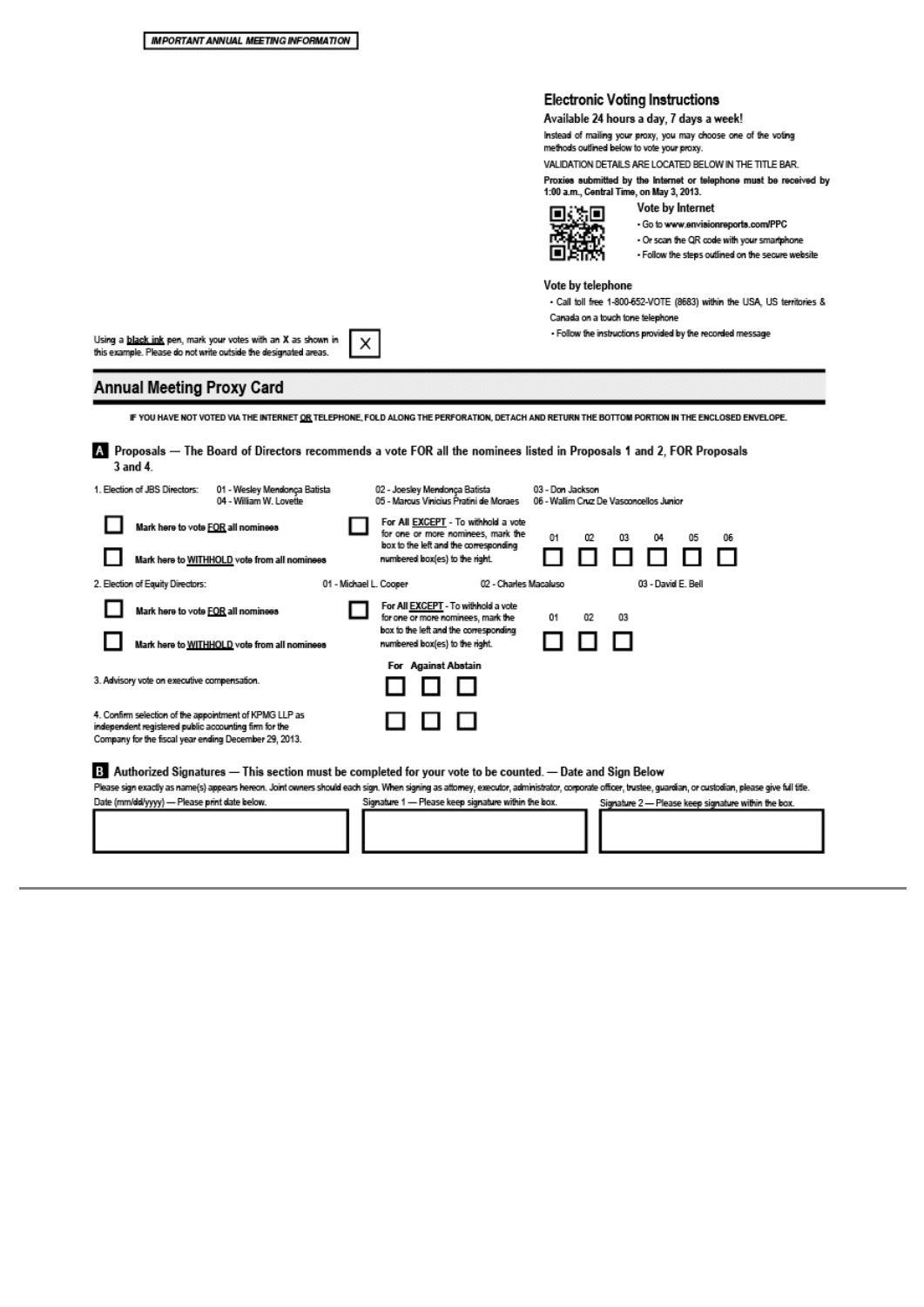### **Electronic Voting Instructions**

Available 24 hours a day, 7 days a week!

Instead of mailing your proxy, you may choose one of the voting<br>methods outlined below to vote your proxy.

VALIDATION DETAILS ARE LOCATED BELOW IN THE TITLE BAR. Proxies submitted by the Internet or telephone must be received by<br>1:00 a.m., Central Time, on May 3, 2013.

Vote by Internet



· Go to www.envisionreports.com/PPC

- Or scan the QR code with your smartphone

- Follow the steps outlined on the secure website

Vote by telephone

- Call toll free 1-800-652-VOTE (8683) within the USA, US territories &

Canada on a touch tone telephone

- Follow the instructions provided by the recorded message

Using a black ink pen, mark your votes with an X as shown in this example. Please do not write outside the designated areas.

### **Annual Meeting Proxy Card**

IF YOU HAVE NOT VOTED VIA THE INTERNET OR TELEPHONE, FOLD ALONG THE PERFORATION, DETACH AND RETURN THE BOTTOM PORTION IN THE ENCLOSED ENVELOPE.

X

| A Proposals — The Board of Directors recommends a vote FOR all the nominees listed in Proposals 1 and 2, FOR Proposals<br>$3$ and $4$ . |                                                                                                                                                                                                              |                                                       |                                                                                                                 |                        |                                                                                                                    |                                                     |                                                             |          |                    |    |                                                     |  |
|-----------------------------------------------------------------------------------------------------------------------------------------|--------------------------------------------------------------------------------------------------------------------------------------------------------------------------------------------------------------|-------------------------------------------------------|-----------------------------------------------------------------------------------------------------------------|------------------------|--------------------------------------------------------------------------------------------------------------------|-----------------------------------------------------|-------------------------------------------------------------|----------|--------------------|----|-----------------------------------------------------|--|
|                                                                                                                                         |                                                                                                                                                                                                              | 1. Election of JBS Directors:                         | 01 - Wesley Mendonca Batista<br>04 - William W. Lovette                                                         |                        | 02 - Joesley Mendonça Batista<br>05 - Marcus Vinicius Pratini de Moraes                                            |                                                     | 03 - Don Jackson<br>06 - Wallim Cruz De Vasconcellos Junior |          |                    |    |                                                     |  |
|                                                                                                                                         |                                                                                                                                                                                                              | Mark here to vote FOR all nominees                    |                                                                                                                 |                        | For All EXCEPT - To withhold a vote<br>for one or more nominees, mark the                                          | 01                                                  | œ<br>O3                                                     | 04       | 05                 | 06 |                                                     |  |
|                                                                                                                                         |                                                                                                                                                                                                              |                                                       | Mark here to WITHHOLD vote from all nominees                                                                    |                        | box to the left and the corresponding<br>numbered box(es) to the right.                                            |                                                     |                                                             |          |                    |    |                                                     |  |
|                                                                                                                                         |                                                                                                                                                                                                              | 2. Election of Equity Directors:                      |                                                                                                                 | 01 - Michael L. Cooper |                                                                                                                    | 02 - Charles Macaluso                               |                                                             |          | 03 - David E. Bell |    |                                                     |  |
|                                                                                                                                         |                                                                                                                                                                                                              | Mark here to vote FOR all nominees                    |                                                                                                                 |                        | For All EXCEPT - To withhold a vote<br>for one or more nominees, mark the<br>box to the left and the corresponding |                                                     | 01                                                          | 02<br>03 |                    |    |                                                     |  |
|                                                                                                                                         | Mark here to WITHHOLD vote from all nominees                                                                                                                                                                 |                                                       |                                                                                                                 |                        | numbered box(es) to the right.                                                                                     |                                                     |                                                             |          |                    |    |                                                     |  |
|                                                                                                                                         |                                                                                                                                                                                                              | 3. Advisory vote on executive compensation.           |                                                                                                                 |                        | For Against Abstain                                                                                                |                                                     |                                                             |          |                    |    |                                                     |  |
|                                                                                                                                         |                                                                                                                                                                                                              | independent registered public accounting firm for the | 4. Confirm selection of the appointment of KPMG LLP as<br>Company for the fiscal year ending December 29, 2013. |                        |                                                                                                                    |                                                     |                                                             |          |                    |    |                                                     |  |
| 3. Authorized Signatures — This section must be completed for your vote to be counted. — Date and Sign Below                            |                                                                                                                                                                                                              |                                                       |                                                                                                                 |                        |                                                                                                                    |                                                     |                                                             |          |                    |    |                                                     |  |
|                                                                                                                                         | Please sign exactly as name(s) appears hereon. Joint owners should each sign. When signing as attorney, executor, administrator, corporate officer, trustee, quardian, or custodian, please give full title. |                                                       |                                                                                                                 |                        |                                                                                                                    |                                                     |                                                             |          |                    |    |                                                     |  |
|                                                                                                                                         |                                                                                                                                                                                                              | Date (mm/dd/yyyy) - Please print date below.          |                                                                                                                 |                        |                                                                                                                    | Signature 1 - Please keep signature within the box. |                                                             |          |                    |    | Signature 2 - Please keep signature within the box. |  |
|                                                                                                                                         |                                                                                                                                                                                                              |                                                       |                                                                                                                 |                        |                                                                                                                    |                                                     |                                                             |          |                    |    |                                                     |  |